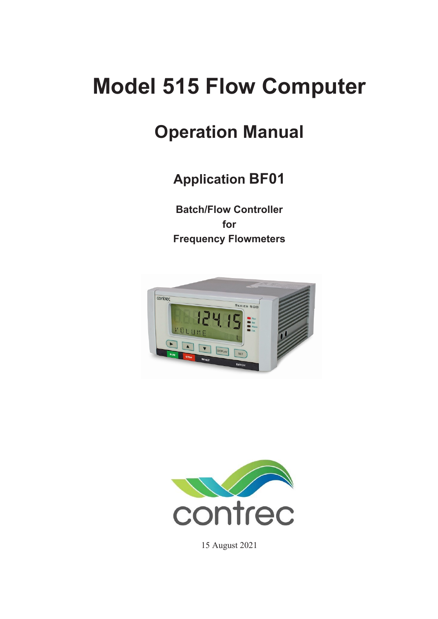# **Model 515 Flow Computer**

## **Operation Manual**

**Application BF01**

**Batch/Flow Controller for Frequency Flowmeters**





15 August 2021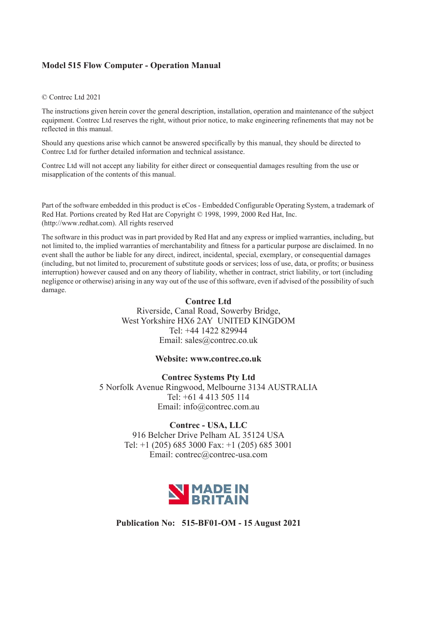#### **Model 515 Flow Computer - Operation Manual**

#### © Contrec Ltd 2021

The instructions given herein cover the general description, installation, operation and maintenance of the subject equipment. Contrec Ltd reserves the right, without prior notice, to make engineering refinements that may not be reflected in this manual.

Should any questions arise which cannot be answered specifically by this manual, they should be directed to Contrec Ltd for further detailed information and technical assistance.

Contrec Ltd will not accept any liability for either direct or consequential damages resulting from the use or misapplication of the contents of this manual.

Part of the software embedded in this product is eCos - Embedded Configurable Operating System, a trademark of Red Hat. Portions created by Red Hat are Copyright © 1998, 1999, 2000 Red Hat, Inc. (http://www.redhat.com). All rights reserved

The software in this product was in part provided by Red Hat and any express or implied warranties, including, but not limited to, the implied warranties of merchantability and fitness for a particular purpose are disclaimed. In no event shall the author be liable for any direct, indirect, incidental, special, exemplary, or consequential damages (including, but not limited to, procurement of substitute goods or services; loss of use, data, or profits; or business interruption) however caused and on any theory of liability, whether in contract, strict liability, or tort (including negligence or otherwise) arising in any way out of the use of this software, even if advised of the possibility of such damage.

#### **Contrec Ltd**

Riverside, Canal Road, Sowerby Bridge, West Yorkshire HX6 2AY UNITED KINGDOM Tel: +44 1422 829944 Email: sales@contrec.co.uk

#### **Website: www.contrec.co.uk**

**Contrec Systems Pty Ltd** 5 Norfolk Avenue Ringwood, Melbourne 3134 AUSTRALIA Tel: +61 4 413 505 114 Email: info@contrec.com.au

**Contrec - USA, LLC**

916 Belcher Drive Pelham AL 35124 USA Tel: +1 (205) 685 3000 Fax: +1 (205) 685 3001 Email: contrec@contrec-usa.com



**Publication No: 515-BF01-OM - 15 August 2021**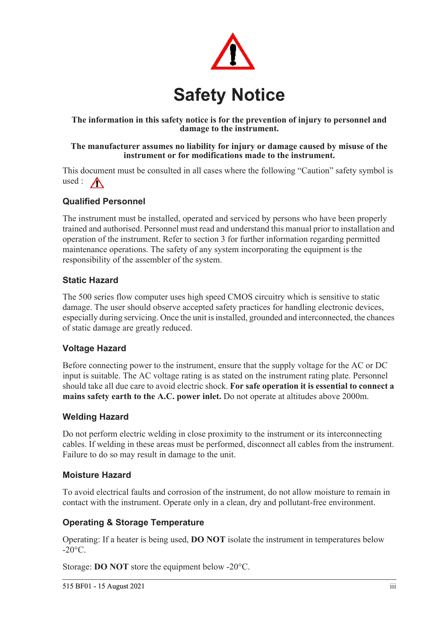

#### **The information in this safety notice is for the prevention of injury to personnel and damage to the instrument.**

#### **The manufacturer assumes no liability for injury or damage caused by misuse of the instrument or for modifications made to the instrument.**

This document must be consulted in all cases where the following "Caution" safety symbol is used :  $\bigwedge$ 

## **Qualified Personnel**

The instrument must be installed, operated and serviced by persons who have been properly trained and authorised. Personnel must read and understand this manual prior to installation and operation of the instrument. Refer to section 3 for further information regarding permitted maintenance operations. The safety of any system incorporating the equipment is the responsibility of the assembler of the system.

#### **Static Hazard**

The 500 series flow computer uses high speed CMOS circuitry which is sensitive to static damage. The user should observe accepted safety practices for handling electronic devices, especially during servicing. Once the unit is installed, grounded and interconnected, the chances of static damage are greatly reduced.

### **Voltage Hazard**

Before connecting power to the instrument, ensure that the supply voltage for the AC or DC input is suitable. The AC voltage rating is as stated on the instrument rating plate. Personnel should take all due care to avoid electric shock. **For safe operation it is essential to connect a mains safety earth to the A.C. power inlet.** Do not operate at altitudes above 2000m.

#### **Welding Hazard**

Do not perform electric welding in close proximity to the instrument or its interconnecting cables. If welding in these areas must be performed, disconnect all cables from the instrument. Failure to do so may result in damage to the unit.

#### **Moisture Hazard**

To avoid electrical faults and corrosion of the instrument, do not allow moisture to remain in contact with the instrument. Operate only in a clean, dry and pollutant-free environment.

### **Operating & Storage Temperature**

Operating: If a heater is being used, **DO NOT** isolate the instrument in temperatures below  $-20^{\circ}$ C.

Storage: **DO NOT** store the equipment below -20°C.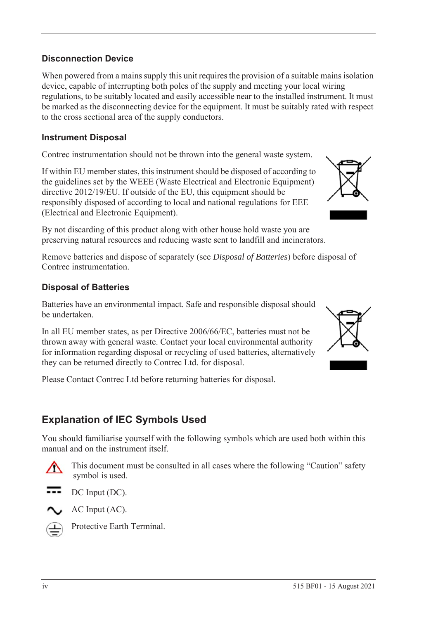### **Disconnection Device**

When powered from a mains supply this unit requires the provision of a suitable mains isolation device, capable of interrupting both poles of the supply and meeting your local wiring regulations, to be suitably located and easily accessible near to the installed instrument. It must be marked as the disconnecting device for the equipment. It must be suitably rated with respect to the cross sectional area of the supply conductors.

### **Instrument Disposal**

Contrec instrumentation should not be thrown into the general waste system.

If within EU member states, this instrument should be disposed of according to the guidelines set by the WEEE (Waste Electrical and Electronic Equipment) directive 2012/19/EU. If outside of the EU, this equipment should be responsibly disposed of according to local and national regulations for EEE (Electrical and Electronic Equipment).

By not discarding of this product along with other house hold waste you are preserving natural resources and reducing waste sent to landfill and incinerators.

Remove batteries and dispose of separately (see *Disposal of Batteries*) before disposal of Contrec instrumentation.

## **Disposal of Batteries**

Batteries have an environmental impact. Safe and responsible disposal should be undertaken.

In all EU member states, as per Directive 2006/66/EC, batteries must not be thrown away with general waste. Contact your local environmental authority for information regarding disposal or recycling of used batteries, alternatively they can be returned directly to Contrec Ltd. for disposal.

Please Contact Contrec Ltd before returning batteries for disposal.

## **Explanation of IEC Symbols Used**

You should familiarise yourself with the following symbols which are used both within this manual and on the instrument itself.

 This document must be consulted in all cases where the following "Caution" safety symbol is used.

| DC Input (DC).<br>-- |  |
|----------------------|--|
|----------------------|--|







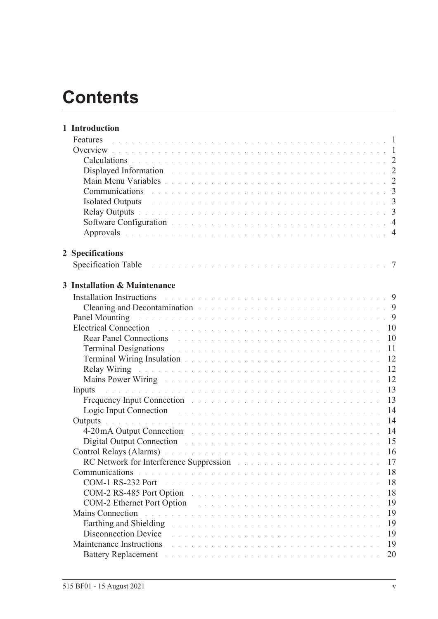## **Contents**

| 1 Introduction                                                                                                                                                                                                                                                    |  |
|-------------------------------------------------------------------------------------------------------------------------------------------------------------------------------------------------------------------------------------------------------------------|--|
| Features<br>. The contract of the contract of the contract of the contract of the contract of $\mathcal{A}$                                                                                                                                                       |  |
|                                                                                                                                                                                                                                                                   |  |
| Calculations de la commune de la commune de la commune de la commune de la commune de la commune de la commune                                                                                                                                                    |  |
| Displayed Information and the contract of the contract of the contract of the contract of the 2                                                                                                                                                                   |  |
|                                                                                                                                                                                                                                                                   |  |
| Communications research and contract the contract of the contract of the contract of the 3                                                                                                                                                                        |  |
| Isolated Outputs and a contract the contract of the contract of the contract of the S                                                                                                                                                                             |  |
| Relay Outputs in the community of the community of the community of the community of the community of the community of the community of the community of the community of the community of the community of the community of t                                    |  |
|                                                                                                                                                                                                                                                                   |  |
| Approvals received a construction of the contract of the construction of 4                                                                                                                                                                                        |  |
| 2 Specifications                                                                                                                                                                                                                                                  |  |
|                                                                                                                                                                                                                                                                   |  |
| 3 Installation & Maintenance                                                                                                                                                                                                                                      |  |
| Installation Instructions and the contract of the contract of the contract of the contract of the contract of the contract of the contract of the contract of the contract of the contract of the contract of the contract of                                     |  |
| Cleaning and Decontamination and a substitution of the contract of the state of the state of the Second Second Second Second Second Second Second Second Second Second Second Second Second Second Second Second Second Second                                    |  |
| Panel Mounting research and contract the contract of the contract of the contract of the 9                                                                                                                                                                        |  |
| Electrical Connection and a subsequently and a subsequently and a subsequently and the subsequently and the subsequently and the subsequently and the subsequently and the subsequently and the subsequently and the subsequen                                    |  |
| Rear Panel Connections and a constant of the contract of the contract of the contract of the contract of the contract of the contract of the contract of the contract of the contract of the contract of the contract of the c                                    |  |
| 11<br><b>Terminal Designations</b> and the contract of the contract of the contract of the contract of the contract of the contract of the contract of the contract of the contract of the contract of the contract of the contract of th                         |  |
| 12<br>Terminal Wiring Insulation and a contract the contract of the contract of the contract of the contract of the contract of the contract of the contract of the contract of the contract of the contract of the contract of the                               |  |
| 12<br>Relay Wiring and a construction of the contract of the construction of the construction of the construction of                                                                                                                                              |  |
| 12<br>Mains Power Wiring and a communication of the communication of the communication of the communication of the communication of the communication of the communication of the communication of the communication of the communic                              |  |
| 13<br>in de la caractería de la caractería de la caractería de la caractería de la caractería de la caractería de la<br>Inputs                                                                                                                                    |  |
| 13<br>Frequency Input Connection and a construction of the contract of the contract of the contract of the contract of the contract of the contract of the contract of the contract of the contract of the contract of the contract                               |  |
| 14<br>Logic Input Connection and a construction of the contract of the contract of the contract of                                                                                                                                                                |  |
| 14                                                                                                                                                                                                                                                                |  |
| 4-20 mA Output Connection and a construction of the contract of the contract of the contract of the contract of<br>14                                                                                                                                             |  |
| 15<br>Digital Output Connection and a construction of the contract of the contract of the contract of the contract of                                                                                                                                             |  |
| Control Relays (Alarms) and a contract the contract of the contract of the contract of the contract of the contract of the contract of the contract of the contract of the contract of the contract of the contract of the con<br>16                              |  |
| RC Network for Interference Suppression and a contract to the contract of the set of the set of the set of the<br>17                                                                                                                                              |  |
| Communications<br>18<br>.<br>In the second complete state of the second complete state of the second complete state of the second complete                                                                                                                        |  |
| COM-1 RS-232 Port<br>18<br>.<br>In the second complete state of the second complete state of the second complete state of the second complete                                                                                                                     |  |
| 18<br>COM-2 RS-485 Port Option<br>.<br>The contract of the contract of the contract of the contract of the contract of the contract of the contract of                                                                                                            |  |
| 19<br>COM-2 Ethernet Port Option<br>.<br>In the company of the company of the company of the company of the company of the company of the company of th                                                                                                           |  |
| 19<br><b>Mains Connection</b><br>.<br>In the second contract of the second contract of the second contract of the second contract of the second contr                                                                                                             |  |
| Earthing and Shielding<br>19<br>a sa bandar a sa bandar a sa bandar a sa bandar a sa bandar a sa bandar a sa bandar a sa bandar a sa bandar a                                                                                                                     |  |
| <b>Disconnection Device</b><br>19<br>.<br>In the company of the company of the company of the company of the company of the company of the company of th                                                                                                          |  |
| Maintenance Instructions<br>19<br><u>. Andre de la característica de la característica de la característica de la característica de la característic</u>                                                                                                          |  |
| <b>Battery Replacement</b><br>20<br>and a construction of the construction of the construction of the construction of the construction of the construction of the construction of the construction of the construction of the construction of the construction of |  |
|                                                                                                                                                                                                                                                                   |  |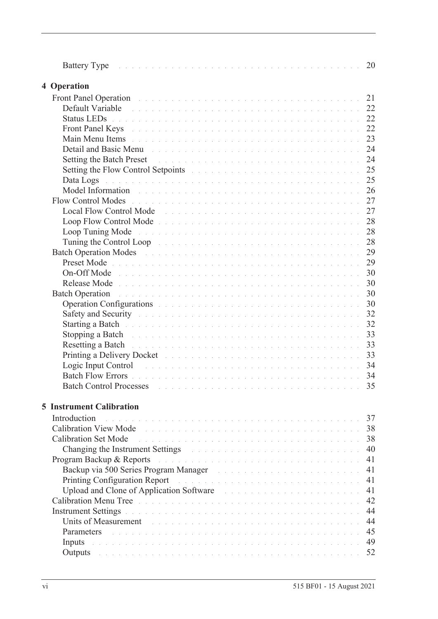| Battery Type and a substitution of the state of the state of the state of the state of the state of the state of the state of the state of the state of the state of the state of the state of the state of the state of the s                       |  |  |  |  |  |  |  |  | 20 |
|------------------------------------------------------------------------------------------------------------------------------------------------------------------------------------------------------------------------------------------------------|--|--|--|--|--|--|--|--|----|
| <b>4 Operation</b>                                                                                                                                                                                                                                   |  |  |  |  |  |  |  |  |    |
| Front Panel Operation and a contract the contract of the contract of the contract of the contract of the contract of the contract of the contract of the contract of the contract of the contract of the contract of the contr                       |  |  |  |  |  |  |  |  | 21 |
| Default Variable and a community of the community of the community of the community of the community of the community of the community of the community of the community of the community of the community of the community of                       |  |  |  |  |  |  |  |  | 22 |
| <b>Status LEDs</b><br>and a complete the complete state of the complete state of the complete state of the complete state of the complete state of the complete state of the complete state of the complete state of the complete state of the compl |  |  |  |  |  |  |  |  | 22 |
|                                                                                                                                                                                                                                                      |  |  |  |  |  |  |  |  | 22 |
| Main Menu Items research and contract the contract of the contract of the contract of the contract of the contract of the contract of the contract of the contract of the contract of the contract of the contract of the cont                       |  |  |  |  |  |  |  |  | 23 |
| Detail and Basic Menu and a substitution of the contract of the contract of the contract of the contract of the                                                                                                                                      |  |  |  |  |  |  |  |  | 24 |
| <b>Setting the Batch Preset Action Construction Construction Construction Construction Construction Construction</b>                                                                                                                                 |  |  |  |  |  |  |  |  | 24 |
| <b>Setting the Flow Control Setpoints</b> and the contract of the contract of the set of the contract of the set of the contract of the contract of the contract of the contract of the contract of the contract of the contract of                  |  |  |  |  |  |  |  |  | 25 |
| .<br>In the company of the company of the company of the company of the company of the company of the company of th<br>Data Logs                                                                                                                     |  |  |  |  |  |  |  |  | 25 |
| Model Information and the contract of the contract of the contract of the contract of the contract of the contract of the contract of the contract of the contract of the contract of the contract of the contract of the cont                       |  |  |  |  |  |  |  |  | 26 |
|                                                                                                                                                                                                                                                      |  |  |  |  |  |  |  |  | 27 |
| Local Flow Control Mode entering the service of the service of the service of the service of the service of the                                                                                                                                      |  |  |  |  |  |  |  |  | 27 |
|                                                                                                                                                                                                                                                      |  |  |  |  |  |  |  |  | 28 |
| Loop Tuning Mode des and a series and a series and a series and a series of                                                                                                                                                                          |  |  |  |  |  |  |  |  | 28 |
|                                                                                                                                                                                                                                                      |  |  |  |  |  |  |  |  | 28 |
| Tuning the Control Loop <b>Experience Control</b> Loop <b>Control</b> Loop <b>Control</b> Loop <b>Control Loop</b>                                                                                                                                   |  |  |  |  |  |  |  |  | 29 |
|                                                                                                                                                                                                                                                      |  |  |  |  |  |  |  |  | 29 |
| Preset Mode de la comparativa de la comparativa de la comparativa de la comparativa de la comparativa de la co                                                                                                                                       |  |  |  |  |  |  |  |  |    |
| On-Off Mode the community of the community of the community of the community of the community of the community of the community of the community of the community of the community of the community of the community of the co                       |  |  |  |  |  |  |  |  | 30 |
| Release Mode the community of the community of the community of the community of the community of the community of the community of the community of the community of the community of the community of the community of the c                       |  |  |  |  |  |  |  |  | 30 |
| Batch Operation and a construction of the construction of the construction of the construction of the construction of the construction of the construction of the construction of the construction of the construction of the                        |  |  |  |  |  |  |  |  | 30 |
| Operation Configurations and a contract of the contract of the contract of the contract of the contract of the                                                                                                                                       |  |  |  |  |  |  |  |  | 30 |
| Safety and Security and the contract of the contract of the contract of the contract of the contract of the contract of the contract of the contract of the contract of the contract of the contract of the contract of the co                       |  |  |  |  |  |  |  |  | 32 |
| Starting a Batch and a contract the contract of the contract of the contract of the contract of the contract of                                                                                                                                      |  |  |  |  |  |  |  |  | 32 |
| Stopping a Batch and a subsequence of the second contract the second contract of the second contract of the second second contract of the second second contract of the second second second second second second second secon                       |  |  |  |  |  |  |  |  | 33 |
| Resetting a Batch and a subsequence of the second contract the setting of the second second second second second                                                                                                                                     |  |  |  |  |  |  |  |  | 33 |
| Printing a Delivery Docket and a subsequently and the set of the set of the set of the set of the set of the set of the set of the set of the set of the set of the set of the set of the set of the set of the set of the set                       |  |  |  |  |  |  |  |  | 33 |
| Logic Input Control and a contract the contract of the contract of the contract of the contract of the contract of the contract of the contract of the contract of the contract of the contract of the contract of the contrac                       |  |  |  |  |  |  |  |  | 34 |
|                                                                                                                                                                                                                                                      |  |  |  |  |  |  |  |  | 34 |
| Batch Control Processes and a control of the control of the control of the control of the control of the control of the control of the control of the control of the control of the control of the control of the control of t                       |  |  |  |  |  |  |  |  | 35 |
| <b>5 Instrument Calibration</b>                                                                                                                                                                                                                      |  |  |  |  |  |  |  |  |    |
| Introduction                                                                                                                                                                                                                                         |  |  |  |  |  |  |  |  | 37 |
| de la caractería de la caractería de la caractería de la caractería de la caractería de la caractería<br><b>Calibration View Mode</b>                                                                                                                |  |  |  |  |  |  |  |  | 38 |
| .<br>In the second complete the second complete state of the second complete state of the second complete state of                                                                                                                                   |  |  |  |  |  |  |  |  |    |
| <b>Calibration Set Mode</b><br>a constitution de la constitución de la constitución de la constitución de la constitución de la constitución                                                                                                         |  |  |  |  |  |  |  |  | 38 |
| Changing the Instrument Settings and a contract of the contract of the contract of the contract of the contract of the contract of the contract of the contract of the contract of the contract of the contract of the contrac                       |  |  |  |  |  |  |  |  | 40 |
| Program Backup & Reports and the contract of the contract of the contract of the contract of the contract of the contract of the contract of the contract of the contract of the contract of the contract of the contract of t                       |  |  |  |  |  |  |  |  | 41 |
|                                                                                                                                                                                                                                                      |  |  |  |  |  |  |  |  | 41 |
| Printing Configuration Report Edmond & Contractor Contractor Contractor Contractor                                                                                                                                                                   |  |  |  |  |  |  |  |  | 41 |
| Upload and Clone of Application Software and a substitution of Application Software                                                                                                                                                                  |  |  |  |  |  |  |  |  | 41 |
| Calibration Menu Tree Albert and Albert and Albert and Albert and Albert and Albert and Albert and Albert and                                                                                                                                        |  |  |  |  |  |  |  |  | 42 |
|                                                                                                                                                                                                                                                      |  |  |  |  |  |  |  |  | 44 |
| Units of Measurement<br>and a straightful and a straight and a straight and a straight and a straight and                                                                                                                                            |  |  |  |  |  |  |  |  | 44 |
| Parameters<br>in die stelling van die stelling van die stelling van die stelling van die stelling van die stelling van die s                                                                                                                         |  |  |  |  |  |  |  |  | 45 |
| Inputs<br><u>The second dependence of the second dependence of the second dependence of the second dependence of the second</u>                                                                                                                      |  |  |  |  |  |  |  |  | 49 |
| Outputs<br>and the company of the company of the company of the company of the company of the company of the company of the                                                                                                                          |  |  |  |  |  |  |  |  | 52 |
|                                                                                                                                                                                                                                                      |  |  |  |  |  |  |  |  |    |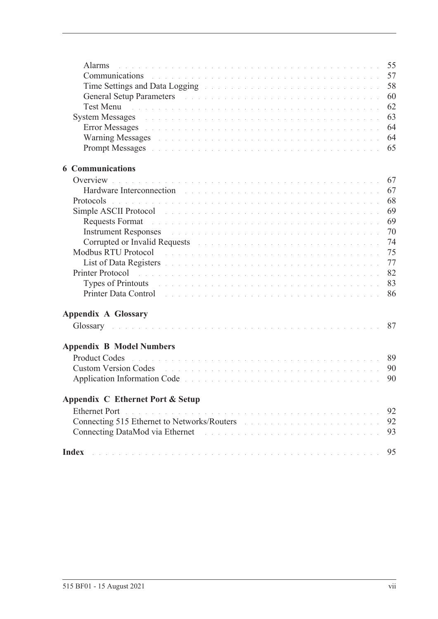| Alarms<br>in de la caractería de la caractería de la caractería de la caractería de la caractería de la caractería de la                                                                                                             | 55 |
|--------------------------------------------------------------------------------------------------------------------------------------------------------------------------------------------------------------------------------------|----|
| <b>Communications</b> and a contract the contract of the contract of the contract of the contract of the contract of the contract of the contract of the contract of the contract of the contract of the contract of the contract o  | 57 |
| Time Settings and Data Logging The Contract of the Contract of the Settings and Data Logging                                                                                                                                         | 58 |
| General Setup Parameters and the contract of the contract of the contract of the contract of the contract of the contract of the contract of the contract of the contract of the contract of the contract of the contract of t       | 60 |
| Test Menu and a construction of the construction of the construction of the construction                                                                                                                                             | 62 |
| System Messages entertainment and the state of the state of the state of the state of the state of the state of the state of the state of the state of the state of the state of the state of the state of the state of the st       | 63 |
| Error Messages and a contract the contract of the contract of the contract of the contract of the contract of                                                                                                                        | 64 |
| Warning Messages and a contract the contract of the contract of the contract of the contract of the contract of the contract of the contract of the contract of the contract of the contract of the contract of the contract o       | 64 |
| Prompt Messages entertainment and the contract of the contract of the contract of the contract of the contract of the contract of the contract of the contract of the contract of the contract of the contract of the contract       | 65 |
| <b>6</b> Communications                                                                                                                                                                                                              |    |
|                                                                                                                                                                                                                                      | 67 |
| Hardware Interconnection and a construction of the construction of the construction of the construction of the                                                                                                                       | 67 |
| Protocols and an annual contract of the contract of the contract of the contract of the contract of the contract of the contract of the contract of the contract of the contract of the contract of the contract of the contra       | 68 |
| Simple ASCII Protocol and the contract of the contract of the contract of the contract of the contract of the contract of the contract of the contract of the contract of the contract of the contract of the contract of the        | 69 |
| Requests Format <i>and the contract of the contract of the contract of the contract of the contract of the contract of the contract of the contract of the contract of the contract of the contract of the contract of the contr</i> | 69 |
| Instrument Responses and a contract the contract of the contract of the contract of the contract of the contract of the contract of the contract of the contract of the contract of the contract of the contract of the contra       | 70 |
| Corrupted or Invalid Requests and a construction of the construction of the construction                                                                                                                                             | 74 |
| Modbus RTU Protocol<br>.<br>The contract of the contract of the contract of the contract of the contract of the contract of the contract of                                                                                          | 75 |
| List of Data Registers and a consequence of the consequence of the consequence of the consequence of the consequence of the consequence of the consequence of the consequence of the consequence of the consequence of the con       | 77 |
| Printer Protocol and a construction of the construction of the construction of the construction of                                                                                                                                   | 82 |
| Types of Printouts and the contract of the contract of the contract of the contract of the contract of the contract of the contract of the contract of the contract of the contract of the contract of the contract of the con       | 83 |
| Printer Data Control and a control of the control of the control of the control of the control of the control of the control of the control of the control of the control of the control of the control of the control of the        | 86 |
| <b>Appendix A Glossary</b>                                                                                                                                                                                                           |    |
| Glossary and the contract of the contract of the contract of the contract of the contract of the contract of the contract of the contract of the contract of the contract of the contract of the contract of the contract of t       |    |
|                                                                                                                                                                                                                                      |    |
| <b>Appendix B Model Numbers</b>                                                                                                                                                                                                      |    |
| <b>Product Codes</b><br>.<br>The contract of the contract of the contract of the contract of the contract of the contract of the contract of                                                                                         | 89 |
| Custom Version Codes and a construction of the construction of the construction of the construction of the construction of the construction of the construction of the construction of the construction of the construction of       | 90 |
| Application Information Code and a construction of the construction of the construction of the construction of                                                                                                                       | 90 |
| Appendix C Ethernet Port & Setup                                                                                                                                                                                                     |    |
| <b>Ethernet Port</b><br>.<br>In the second complete the second complete second complete the second complete second complete second complete                                                                                          | 92 |
| Connecting 515 Ethernet to Networks/Routers and a connecting 515 Ethernet to Networks/Routers and a connection                                                                                                                       | 92 |
| Connecting DataMod via Ethernet and a constant and a constant and a constant of                                                                                                                                                      | 93 |
|                                                                                                                                                                                                                                      |    |
| <b>Index</b><br>and the company of the company of the company of the company of the company of the company of the company of the                                                                                                     | 95 |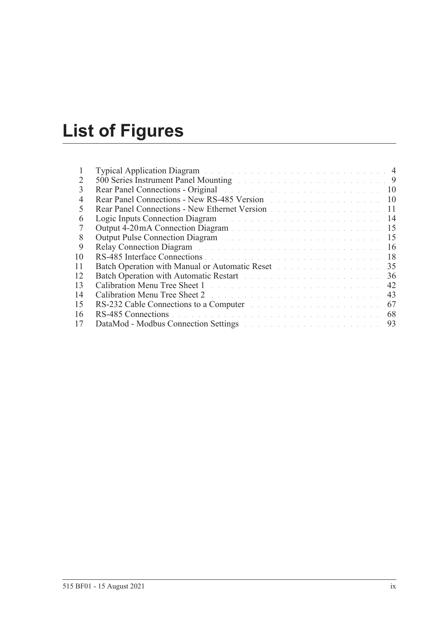# **List of Figures**

|                                                                                                                                                                                                                                | 10                                                                                                                                                                                                                                                                                                                                                                                                                                                                                                                                                                                                                                                                                                                                                                                                                                                                                                                                                                                                                                                                                                                                                                                                                                                                               |
|--------------------------------------------------------------------------------------------------------------------------------------------------------------------------------------------------------------------------------|----------------------------------------------------------------------------------------------------------------------------------------------------------------------------------------------------------------------------------------------------------------------------------------------------------------------------------------------------------------------------------------------------------------------------------------------------------------------------------------------------------------------------------------------------------------------------------------------------------------------------------------------------------------------------------------------------------------------------------------------------------------------------------------------------------------------------------------------------------------------------------------------------------------------------------------------------------------------------------------------------------------------------------------------------------------------------------------------------------------------------------------------------------------------------------------------------------------------------------------------------------------------------------|
|                                                                                                                                                                                                                                |                                                                                                                                                                                                                                                                                                                                                                                                                                                                                                                                                                                                                                                                                                                                                                                                                                                                                                                                                                                                                                                                                                                                                                                                                                                                                  |
|                                                                                                                                                                                                                                |                                                                                                                                                                                                                                                                                                                                                                                                                                                                                                                                                                                                                                                                                                                                                                                                                                                                                                                                                                                                                                                                                                                                                                                                                                                                                  |
|                                                                                                                                                                                                                                |                                                                                                                                                                                                                                                                                                                                                                                                                                                                                                                                                                                                                                                                                                                                                                                                                                                                                                                                                                                                                                                                                                                                                                                                                                                                                  |
|                                                                                                                                                                                                                                | 15                                                                                                                                                                                                                                                                                                                                                                                                                                                                                                                                                                                                                                                                                                                                                                                                                                                                                                                                                                                                                                                                                                                                                                                                                                                                               |
|                                                                                                                                                                                                                                | 16                                                                                                                                                                                                                                                                                                                                                                                                                                                                                                                                                                                                                                                                                                                                                                                                                                                                                                                                                                                                                                                                                                                                                                                                                                                                               |
|                                                                                                                                                                                                                                |                                                                                                                                                                                                                                                                                                                                                                                                                                                                                                                                                                                                                                                                                                                                                                                                                                                                                                                                                                                                                                                                                                                                                                                                                                                                                  |
|                                                                                                                                                                                                                                |                                                                                                                                                                                                                                                                                                                                                                                                                                                                                                                                                                                                                                                                                                                                                                                                                                                                                                                                                                                                                                                                                                                                                                                                                                                                                  |
|                                                                                                                                                                                                                                | 36                                                                                                                                                                                                                                                                                                                                                                                                                                                                                                                                                                                                                                                                                                                                                                                                                                                                                                                                                                                                                                                                                                                                                                                                                                                                               |
| Calibration Menu Tree Sheet 1 and the contract of the contract of the contract of the contract of the contract of the contract of the contract of the contract of the contract of the contract of the contract of the contract | -42                                                                                                                                                                                                                                                                                                                                                                                                                                                                                                                                                                                                                                                                                                                                                                                                                                                                                                                                                                                                                                                                                                                                                                                                                                                                              |
| Calibration Menu Tree Sheet 2 and the community of the community of the Calibration of the Calibration of the C                                                                                                                | 43                                                                                                                                                                                                                                                                                                                                                                                                                                                                                                                                                                                                                                                                                                                                                                                                                                                                                                                                                                                                                                                                                                                                                                                                                                                                               |
|                                                                                                                                                                                                                                |                                                                                                                                                                                                                                                                                                                                                                                                                                                                                                                                                                                                                                                                                                                                                                                                                                                                                                                                                                                                                                                                                                                                                                                                                                                                                  |
|                                                                                                                                                                                                                                | 68                                                                                                                                                                                                                                                                                                                                                                                                                                                                                                                                                                                                                                                                                                                                                                                                                                                                                                                                                                                                                                                                                                                                                                                                                                                                               |
| DataMod - Modbus Connection Settings and a substitution of the state of the 193                                                                                                                                                |                                                                                                                                                                                                                                                                                                                                                                                                                                                                                                                                                                                                                                                                                                                                                                                                                                                                                                                                                                                                                                                                                                                                                                                                                                                                                  |
|                                                                                                                                                                                                                                | Typical Application Diagram and a contract of the contract of the contract of the 4<br>500 Series Instrument Panel Mounting and a contract of the series of the series of the 9<br>Rear Panel Connections - Original<br>Rear Panel Connections - New RS-485 Version<br>Rear Panel Connections - New Ethernet Version and a manufacturer of the 11<br>Logic Inputs Connection Diagram and a substitution of the state of the state of the 14<br>Output 4-20mA Connection Diagram<br>Output Pulse Connection Diagram and a connection of the Connection of the Connection of the Connection of the Connection of the Connection of the Connection of the Connection of the Connection of the Connection of the Conn<br>Relay Connection Diagram and a connection of the connection of the connection of the connection of the connection of the connection of the connection of the connection of the connection of the connection of the connection<br>RS-485 Interface Connections<br>Batch Operation with Manual or Automatic Reset [1] [1] Allen Lines and Support 35<br>Batch Operation with Automatic Restart Marshall and Automatic Restart<br>RS-232 Cable Connections to a Computer entertainment of the state of the state of the SN-232 Cable Connections to a Computer |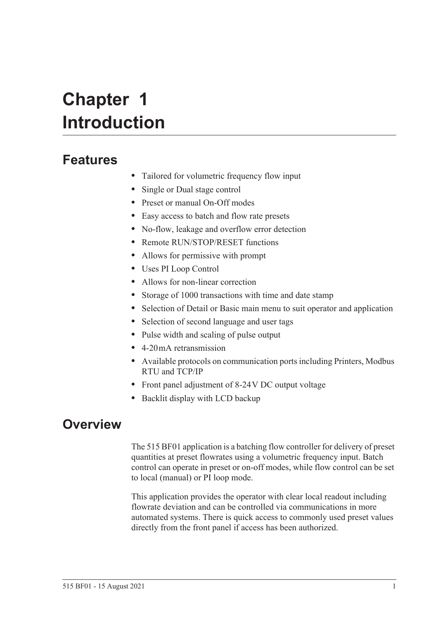# <span id="page-10-0"></span>**Chapter 1 Introduction**

## <span id="page-10-1"></span>**Features**

- **•** Tailored for volumetric frequency flow input
- **•** Single or Dual stage control
- **•** Preset or manual On-Off modes
- **•** Easy access to batch and flow rate presets
- No-flow, leakage and overflow error detection
- **•** Remote RUN/STOP/RESET functions
- **•** Allows for permissive with prompt
- **•** Uses PI Loop Control
- **•** Allows for non-linear correction
- **•** Storage of 1000 transactions with time and date stamp
- **•** Selection of Detail or Basic main menu to suit operator and application
- **•** Selection of second language and user tags
- **•** Pulse width and scaling of pulse output
- **•** 4-20 mA retransmission
- **•** Available protocols on communication ports including Printers, Modbus RTU and TCP/IP
- **•** Front panel adjustment of 8-24 V DC output voltage
- **•** Backlit display with LCD backup

## <span id="page-10-2"></span>**Overview**

The 515 BF01 application is a batching flow controller for delivery of preset quantities at preset flowrates using a volumetric frequency input. Batch control can operate in preset or on-off modes, while flow control can be set to local (manual) or PI loop mode.

This application provides the operator with clear local readout including flowrate deviation and can be controlled via communications in more automated systems. There is quick access to commonly used preset values directly from the front panel if access has been authorized.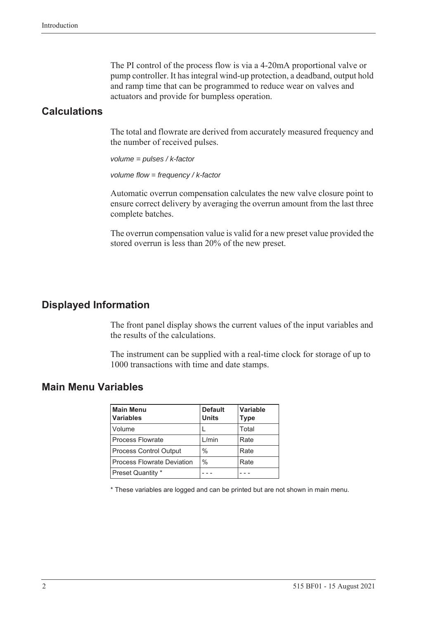The PI control of the process flow is via a 4-20mA proportional valve or pump controller. It has integral wind-up protection, a deadband, output hold and ramp time that can be programmed to reduce wear on valves and actuators and provide for bumpless operation.

## <span id="page-11-0"></span>**Calculations**

The total and flowrate are derived from accurately measured frequency and the number of received pulses.

*volume = pulses / k-factor*

*volume flow = frequency / k-factor*

Automatic overrun compensation calculates the new valve closure point to ensure correct delivery by averaging the overrun amount from the last three complete batches.

The overrun compensation value is valid for a new preset value provided the stored overrun is less than 20% of the new preset.

### <span id="page-11-1"></span>**Displayed Information**

The front panel display shows the current values of the input variables and the results of the calculations.

The instrument can be supplied with a real-time clock for storage of up to 1000 transactions with time and date stamps.

## <span id="page-11-2"></span>**Main Menu Variables**

| Main Menu<br>Variables     | <b>Default</b><br><b>Units</b> | Variable<br><b>Type</b> |  |
|----------------------------|--------------------------------|-------------------------|--|
| l Volume                   |                                | Total                   |  |
| Process Flowrate           | L/min                          | Rate                    |  |
| Process Control Output     | $\%$                           | Rate                    |  |
| Process Flowrate Deviation | $\frac{0}{0}$                  | Rate                    |  |
| Preset Quantity *          |                                |                         |  |

\* These variables are logged and can be printed but are not shown in main menu.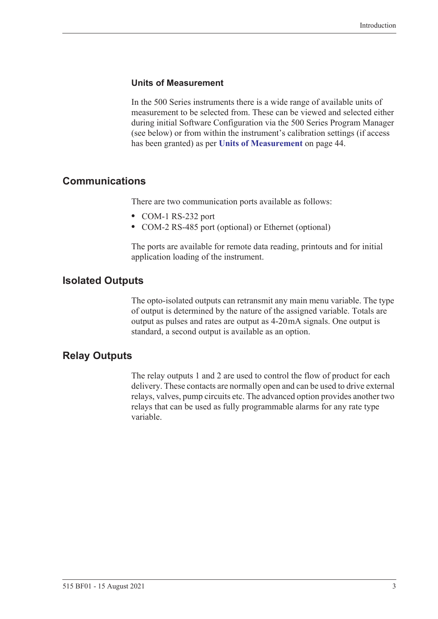#### **Units of Measurement**

In the 500 Series instruments there is a wide range of available units of measurement to be selected from. These can be viewed and selected either during initial Software Configuration via the 500 Series Program Manager (see below) or from within the instrument's calibration settings (if access has been granted) as per **[Units of Measurement](#page-53-2)** on page 44.

## <span id="page-12-0"></span>**Communications**

There are two communication ports available as follows:

- **•** COM-1 RS-232 port
- **•** COM-2 RS-485 port (optional) or Ethernet (optional)

The ports are available for remote data reading, printouts and for initial application loading of the instrument.

## <span id="page-12-1"></span>**Isolated Outputs**

The opto-isolated outputs can retransmit any main menu variable. The type of output is determined by the nature of the assigned variable. Totals are output as pulses and rates are output as 4-20 mA signals. One output is standard, a second output is available as an option.

## <span id="page-12-2"></span>**Relay Outputs**

The relay outputs 1 and 2 are used to control the flow of product for each delivery. These contacts are normally open and can be used to drive external relays, valves, pump circuits etc. The advanced option provides another two relays that can be used as fully programmable alarms for any rate type variable.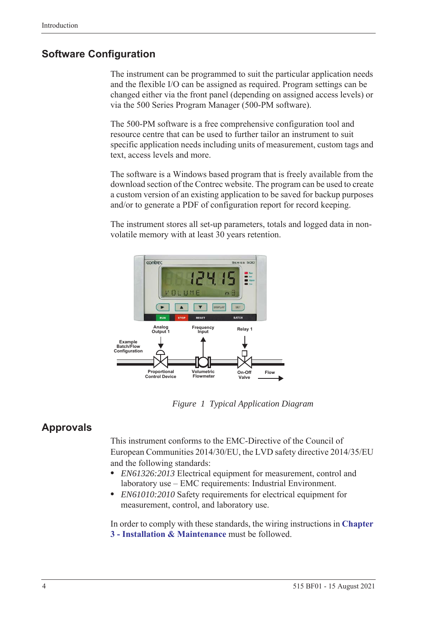## <span id="page-13-0"></span>**Software Configuration**

The instrument can be programmed to suit the particular application needs and the flexible I/O can be assigned as required. Program settings can be changed either via the front panel (depending on assigned access levels) or via the 500 Series Program Manager (500-PM software).

The 500-PM software is a free comprehensive configuration tool and resource centre that can be used to further tailor an instrument to suit specific application needs including units of measurement, custom tags and text, access levels and more.

The software is a Windows based program that is freely available from the download section of the Contrec website. The program can be used to create a custom version of an existing application to be saved for backup purposes and/or to generate a PDF of configuration report for record keeping.

The instrument stores all set-up parameters, totals and logged data in nonvolatile memory with at least 30 years retention.



*Figure 1 Typical Application Diagram*

## <span id="page-13-1"></span>**Approvals**

<span id="page-13-2"></span>This instrument conforms to the EMC-Directive of the Council of European Communities 2014/30/EU, the LVD safety directive 2014/35/EU and the following standards:

- **•** *EN61326:2013* Electrical equipment for measurement, control and laboratory use – EMC requirements: Industrial Environment.
- **•** *EN61010:2010* Safety requirements for electrical equipment for measurement, control, and laboratory use.

In order to comply with these standards, the wiring instructions in **[Chapter](#page-18-5)  [3 - Installation & Maintenance](#page-18-5)** must be followed.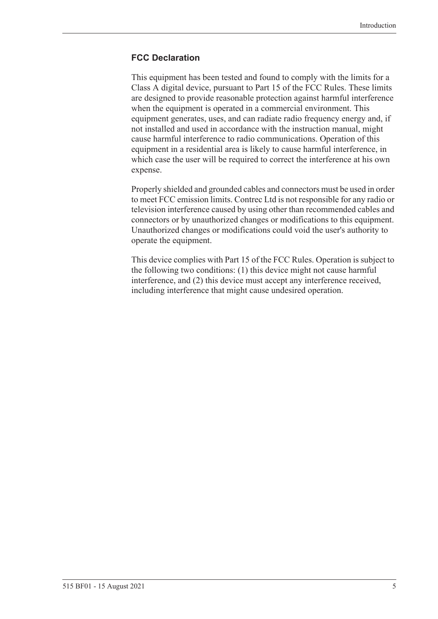### **FCC Declaration**

This equipment has been tested and found to comply with the limits for a Class A digital device, pursuant to Part 15 of the FCC Rules. These limits are designed to provide reasonable protection against harmful interference when the equipment is operated in a commercial environment. This equipment generates, uses, and can radiate radio frequency energy and, if not installed and used in accordance with the instruction manual, might cause harmful interference to radio communications. Operation of this equipment in a residential area is likely to cause harmful interference, in which case the user will be required to correct the interference at his own expense.

Properly shielded and grounded cables and connectors must be used in order to meet FCC emission limits. Contrec Ltd is not responsible for any radio or television interference caused by using other than recommended cables and connectors or by unauthorized changes or modifications to this equipment. Unauthorized changes or modifications could void the user's authority to operate the equipment.

This device complies with Part 15 of the FCC Rules. Operation is subject to the following two conditions: (1) this device might not cause harmful interference, and (2) this device must accept any interference received, including interference that might cause undesired operation.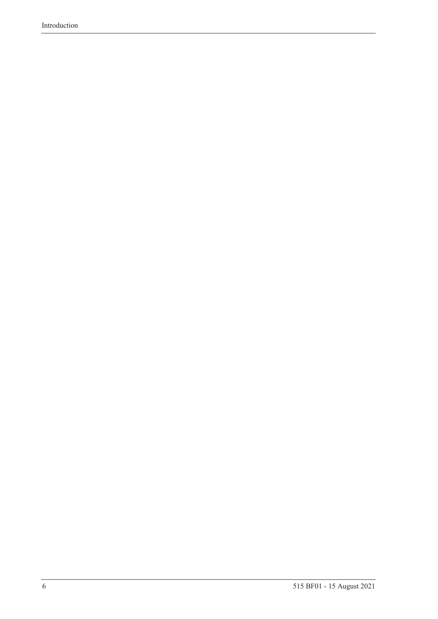Introduction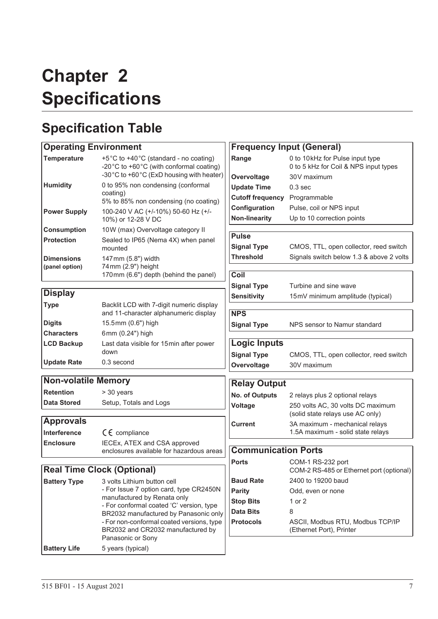# <span id="page-16-0"></span>**Chapter 2 Specifications**

## <span id="page-16-1"></span>**Specification Table**

#### **Operating Environment Temperature**  $+5^{\circ}$ C to  $+40^{\circ}$ C (standard - no coating) -20 °C to +60 °C (with conformal coating) -30 °C to +60 °C (ExD housing with heater) **Humidity** 0 to 95% non condensing (conformal coating) 5% to 85% non condensing (no coating) **Power Supply** 100-240 V AC (+/-10%) 50-60 Hz (+/- 10%) or 12-28 V DC **Consumption** 10W (max) Overvoltage category II **Protection** Sealed to IP65 (Nema 4X) when panel mounted **Dimensions (panel option)** 147 mm (5.8") width 74 mm (2.9") height 170 mm (6.6") depth (behind the panel) **Display Type** Backlit LCD with 7-digit numeric display and 11-character alphanumeric display **Digits** 15.5 mm (0.6") high **Characters** 6mm (0.24") high **LCD Backup** Last data visible for 15 min after power down **Update Rate** 0.3 second **Non-volatile Memory Retention** > 30 years **Data Stored** Setup, Totals and Logs **Approvals Interference** C E compliance **Enclosure** IECEx, ATEX and CSA approved enclosures available for hazardous areas **Real Time Clock (Optional) Battery Type** 3 volts Lithium button cell - For Issue 7 option card, type CR2450N manufactured by Renata only - For conformal coated 'C' version, type BR2032 manufactured by Panasonic only - For non-conformal coated versions, type BR2032 and CR2032 manufactured by Panasonic or Sony **Battery Life** 5 years (typical) **Frequency Input (General) Range** 0 to 10 kHz for Pulse input type 0 to 5 kHz for Coil & NPS input types **Overvoltage** 30V maximum **Update Time** 0.3 sec **Cutoff frequency** Programmable **Configuration** Pulse, coil or NPS input **Non-linearity** Up to 10 correction points **Pulse Signal Type** CMOS, TTL, open collector, reed switch **Threshold** Signals switch below 1.3 & above 2 volts **Coil Signal Type** Turbine and sine wave **Sensitivity** 15mV minimum amplitude (typical) **NPS Signal Type** NPS sensor to Namur standard **Logic Inputs Signal Type** CMOS, TTL, open collector, reed switch **Overvoltage** 30V maximum **Relay Output No. of Outputs** 2 relays plus 2 optional relays **Voltage** 250 volts AC, 30 volts DC maximum (solid state relays use AC only) **Current** 3A maximum - mechanical relays 1.5A maximum - solid state relays **Communication Ports** Ports **COM-1 RS-232 port** COM-2 RS-485 or Ethernet port (optional) **Baud Rate** 2400 to 19200 baud **Parity** Odd, even or none **Stop Bits** 1 or 2 **Data Bits** 8 **Protocols** ASCII, Modbus RTU, Modbus TCP/IP (Ethernet Port), Printer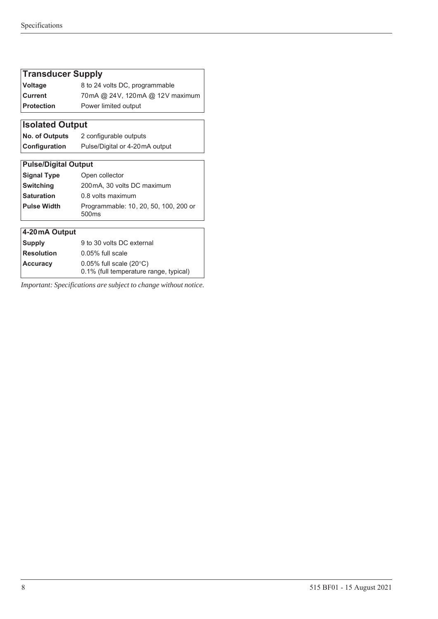| <b>Transducer Supply</b>    |                                                                                |  |  |  |  |  |
|-----------------------------|--------------------------------------------------------------------------------|--|--|--|--|--|
| Voltage                     | 8 to 24 volts DC, programmable                                                 |  |  |  |  |  |
| <b>Current</b>              | 70mA @ 24V, 120mA @ 12V maximum                                                |  |  |  |  |  |
| <b>Protection</b>           | Power limited output                                                           |  |  |  |  |  |
|                             |                                                                                |  |  |  |  |  |
| <b>Isolated Output</b>      |                                                                                |  |  |  |  |  |
| <b>No. of Outputs</b>       | 2 configurable outputs                                                         |  |  |  |  |  |
| Configuration               | Pulse/Digital or 4-20 mA output                                                |  |  |  |  |  |
|                             |                                                                                |  |  |  |  |  |
| <b>Pulse/Digital Output</b> |                                                                                |  |  |  |  |  |
| <b>Signal Type</b>          | Open collector                                                                 |  |  |  |  |  |
| Switching                   | 200 mA. 30 volts DC maximum                                                    |  |  |  |  |  |
| <b>Saturation</b>           | 0.8 volts maximum                                                              |  |  |  |  |  |
| <b>Pulse Width</b>          | Programmable: 10, 20, 50, 100, 200 or<br>500ms                                 |  |  |  |  |  |
| 4-20mA Output               |                                                                                |  |  |  |  |  |
| Supply                      | 9 to 30 volts DC external                                                      |  |  |  |  |  |
| <b>Resolution</b>           | $0.05\%$ full scale                                                            |  |  |  |  |  |
| <b>Accuracy</b>             | $0.05\%$ full scale (20 $\degree$ C)<br>0.1% (full temperature range, typical) |  |  |  |  |  |

*Important: Specifications are subject to change without notice.*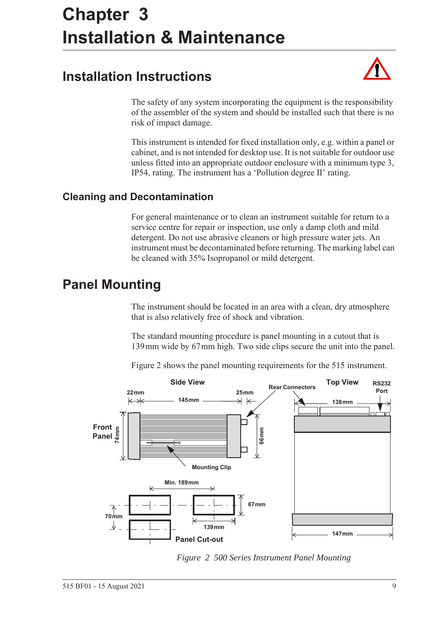# <span id="page-18-5"></span><span id="page-18-0"></span>**Chapter 3 Installation & Maintenance**

## <span id="page-18-1"></span>**Installation Instructions**



The safety of any system incorporating the equipment is the responsibility of the assembler of the system and should be installed such that there is no risk of impact damage.

This instrument is intended for fixed installation only, e.g. within a panel or cabinet, and is not intended for desktop use. It is not suitable for outdoor use unless fitted into an appropriate outdoor enclosure with a minimum type 3, IP54, rating. The instrument has a 'Pollution degree II' rating.

## <span id="page-18-2"></span>**Cleaning and Decontamination**

For general maintenance or to clean an instrument suitable for return to a service centre for repair or inspection, use only a damp cloth and mild detergent. Do not use abrasive cleaners or high pressure water jets. An instrument must be decontaminated before returning. The marking label can be cleaned with 35% Isopropanol or mild detergent.

## <span id="page-18-3"></span>**Panel Mounting**

The instrument should be located in an area with a clean, dry atmosphere that is also relatively free of shock and vibration.

The standard mounting procedure is panel mounting in a cutout that is 139 mm wide by 67 mm high. Two side clips secure the unit into the panel.



[Figure 2](#page-18-4) shows the panel mounting requirements for the 515 instrument.

<span id="page-18-4"></span>*Figure 2 500 Series Instrument Panel Mounting*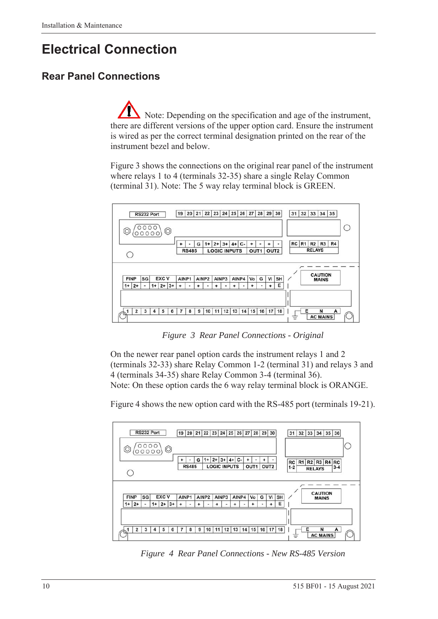## <span id="page-19-0"></span>**Electrical Connection**

## <span id="page-19-1"></span>**Rear Panel Connections**

Note: Depending on the specification and age of the instrument, there are different versions of the upper option card. Ensure the instrument is wired as per the correct terminal designation printed on the rear of the instrument bezel and below.

[Figure 3](#page-19-2) shows the connections on the original rear panel of the instrument where relays 1 to 4 (terminals 32-35) share a single Relay Common (terminal 31). Note: The 5 way relay terminal block is GREEN.



*Figure 3 Rear Panel Connections - Original*

<span id="page-19-2"></span>On the newer rear panel option cards the instrument relays 1 and 2 (terminals 32-33) share Relay Common 1-2 (terminal 31) and relays 3 and 4 (terminals 34-35) share Relay Common 3-4 (terminal 36). Note: On these option cards the 6 way relay terminal block is ORANGE.

[Figure 4](#page-19-3) shows the new option card with the RS-485 port (terminals 19-21).



<span id="page-19-3"></span>*Figure 4 Rear Panel Connections - New RS-485 Version*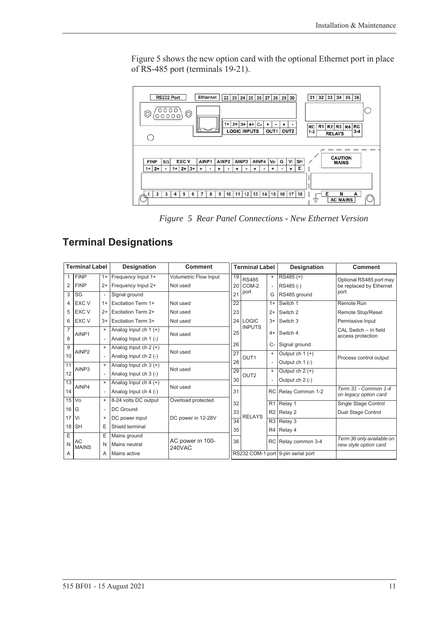[Figure 5](#page-20-1) shows the new option card with the optional Ethernet port in place of RS-485 port (terminals 19-21).



<span id="page-20-1"></span>*Figure 5 Rear Panel Connections - New Ethernet Version*

## <span id="page-20-0"></span>**Terminal Designations**

|    | <b>Terminal Label</b>  |                          | Designation               | <b>Comment</b>               | <b>Terminal Label</b>              |                  |                | <b>Designation</b> | <b>Comment</b>            |                                               |
|----|------------------------|--------------------------|---------------------------|------------------------------|------------------------------------|------------------|----------------|--------------------|---------------------------|-----------------------------------------------|
|    | <b>FINP</b>            | $1+$                     | Frequency Input 1+        | <b>Volumetric Flow Input</b> | 19                                 | <b>RS485</b>     | $\ddot{}$      | $RS485 (+)$        | Optional RS485 port may   |                                               |
| 2  | <b>FINP</b>            | $2+$                     | Frequency Input 2+        | Not used                     | 20                                 | COM-2            |                | RS485 (-)          | be replaced by Ethernet   |                                               |
| 3  | $\overline{\text{SG}}$ | $\overline{\phantom{a}}$ | Signal ground             |                              | 21                                 | port             | G              | RS485 ground       | port.                     |                                               |
| 4  | EXC V                  | $1+$                     | Excitation Term 1+        | Not used                     | 22                                 |                  |                | Switch 1           | Remote Run                |                                               |
| 5  | EXC V                  | $2+$                     | <b>Excitation Term 2+</b> | Not used                     | 23                                 |                  |                |                    | $2+$                      | Switch 2                                      |
| 6  | <b>EXC V</b>           | $3+$                     | Excitation Term 3+        | Not used                     | 24                                 | <b>LOGIC</b>     | $3+$           | Switch 3           | Permissive Input          |                                               |
| 7  | AINP1                  | $\ddot{}$                | Analog Input ch $1 (+)$   | Not used                     | 25                                 | <b>INPUTS</b>    | $4+$           | Switch 4           | CAL Switch - In field     |                                               |
| 8  |                        |                          | Analog Input ch 1 (-)     |                              |                                    |                  |                |                    | access protection         |                                               |
| 9  | AINP <sub>2</sub>      | $\ddot{}$                | Analog Input ch $2 (+)$   | Not used                     | 26                                 |                  | $C-$           | Signal ground      |                           |                                               |
| 10 |                        |                          | Analog Input ch 2 (-)     | 27                           |                                    | OUT1             | $\ddot{}$      | Output ch $1 (+)$  | Process control output    |                                               |
| 11 |                        | $\ddot{}$                | Analog Input ch $3 (+)$   |                              | 28                                 |                  |                | Output ch 1 (-)    |                           |                                               |
| 12 | AINP3                  | $\overline{\phantom{a}}$ | Analog Input ch 3 (-)     | Not used                     | 29                                 | OUT <sub>2</sub> |                | $\ddot{}$          | Output $ch 2 (+)$         |                                               |
| 13 |                        | $\ddot{}$                | Analog Input ch 4 (+)     |                              | 30                                 |                  |                | Output $ch 2$ (-)  |                           |                                               |
| 14 | AINP4                  | $\overline{\phantom{a}}$ | Analog Input ch 4 (-)     | Not used                     | 31                                 |                  |                | <b>RC</b>          | Relay Common 1-2          | Term 31 - Common 1-4<br>on legacy option card |
| 15 | Vo                     | $\ddot{}$                | 8-24 volts DC output      | Overload protected           | 32                                 |                  | R1             | Relay 1            | Single Stage Control      |                                               |
| 16 | G                      | $\overline{\phantom{a}}$ | DC Ground                 |                              | 33                                 |                  | R <sub>2</sub> | Relay 2            | Dual Stage Control        |                                               |
| 17 | Vi                     | $\ddot{}$                | DC power input            | DC power in 12-28V           | $\overline{34}$                    | <b>RELAYS</b>    | R <sub>3</sub> | Relay 3            |                           |                                               |
| 18 | <b>SH</b>              | Ε                        | Shield terminal           |                              | 35                                 |                  | R4             | Relay 4            |                           |                                               |
| E  |                        | E                        | Mains ground              | AC power in 100-             |                                    |                  |                |                    | Term 36 only available on |                                               |
| N  | AC<br><b>MAINS</b>     | N                        | Mains neutral             | <b>240VAC</b>                | 36                                 |                  | <b>RC</b>      | Relay common 3-4   | new style option card     |                                               |
| A  |                        | Α                        | Mains active              |                              | RS232 COM-1 port 9-pin serial port |                  |                |                    |                           |                                               |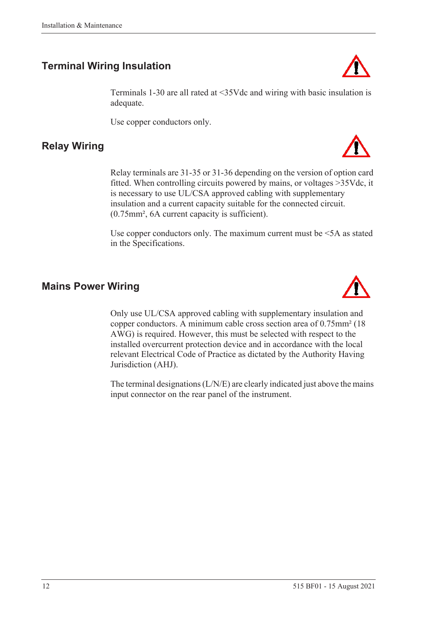## <span id="page-21-0"></span>**Terminal Wiring Insulation**

Terminals 1-30 are all rated at <35Vdc and wiring with basic insulation is adequate.

Use copper conductors only.

## <span id="page-21-1"></span>**Relay Wiring**

Relay terminals are 31-35 or 31-36 depending on the version of option card fitted. When controlling circuits powered by mains, or voltages >35Vdc, it is necessary to use UL/CSA approved cabling with supplementary insulation and a current capacity suitable for the connected circuit. (0.75mm², 6A current capacity is sufficient).

Use copper conductors only. The maximum current must be  $\leq 5A$  as stated in the Specifications.

## <span id="page-21-2"></span>**Mains Power Wiring**

Only use UL/CSA approved cabling with supplementary insulation and copper conductors. A minimum cable cross section area of 0.75mm² (18 AWG) is required. However, this must be selected with respect to the installed overcurrent protection device and in accordance with the local relevant Electrical Code of Practice as dictated by the Authority Having Jurisdiction (AHJ).

The terminal designations (L/N/E) are clearly indicated just above the mains input connector on the rear panel of the instrument.





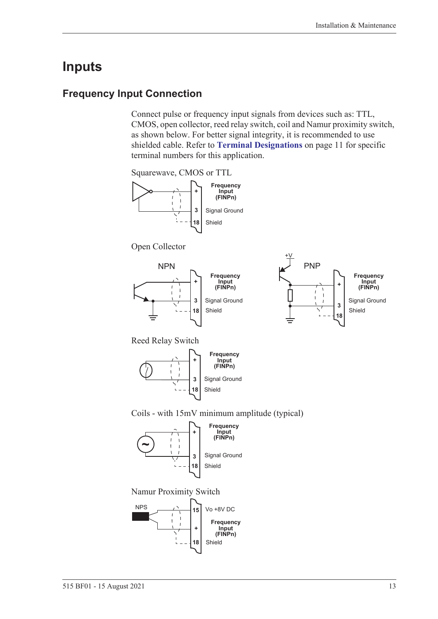## <span id="page-22-0"></span>**Inputs**

## <span id="page-22-1"></span>**Frequency Input Connection**

Connect pulse or frequency input signals from devices such as: TTL, CMOS, open collector, reed relay switch, coil and Namur proximity switch, as shown below. For better signal integrity, it is recommended to use shielded cable. Refer to **[Terminal Designations](#page-20-0)** on page 11 for specific terminal numbers for this application.

Squarewave, CMOS or TTL



Open Collector





Reed Relay Switch



Coils - with 15mV minimum amplitude (typical)



Namur Proximity Switch

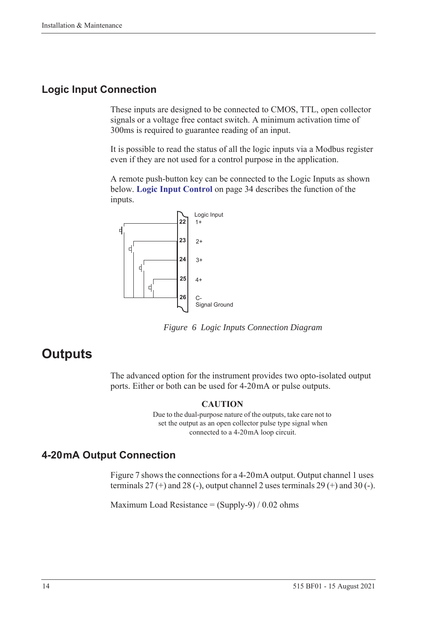## <span id="page-23-0"></span>**Logic Input Connection**

These inputs are designed to be connected to CMOS, TTL, open collector signals or a voltage free contact switch. A minimum activation time of 300ms is required to guarantee reading of an input.

It is possible to read the status of all the logic inputs via a Modbus register even if they are not used for a control purpose in the application.

A remote push-button key can be connected to the Logic Inputs as shown below. **[Logic Input Control](#page-43-2)** on page 34 describes the function of the inputs.



*Figure 6 Logic Inputs Connection Diagram*

## <span id="page-23-1"></span>**Outputs**

<span id="page-23-3"></span>The advanced option for the instrument provides two opto-isolated output ports. Either or both can be used for 4-20 mA or pulse outputs.

#### **CAUTION**

Due to the dual-purpose nature of the outputs, take care not to set the output as an open collector pulse type signal when connected to a 4-20mA loop circuit.

## <span id="page-23-2"></span>**4-20 mA Output Connection**

[Figure 7](#page-24-1) shows the connections for a 4-20 mA output. Output channel 1 uses terminals  $27$  (+) and  $28$  (-), output channel 2 uses terminals  $29$  (+) and  $30$  (-).

Maximum Load Resistance =  $(Supply-9) / 0.02$  ohms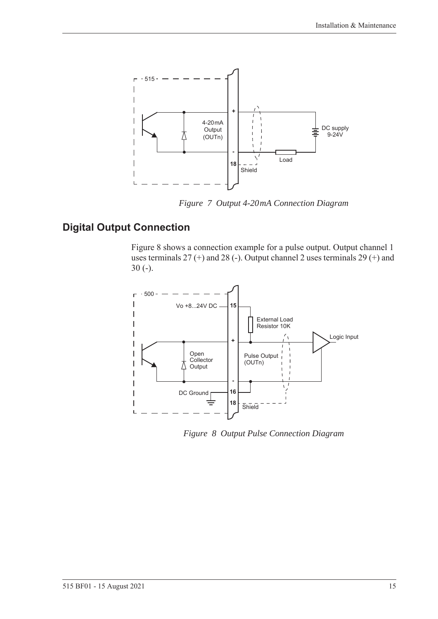

*Figure 7 Output 4-20 mA Connection Diagram*

## <span id="page-24-0"></span>**Digital Output Connection**

<span id="page-24-1"></span>[Figure 8](#page-24-2) shows a connection example for a pulse output. Output channel 1 uses terminals 27 (+) and 28 (-). Output channel 2 uses terminals 29 (+) and 30 (-).



<span id="page-24-2"></span>*Figure 8 Output Pulse Connection Diagram*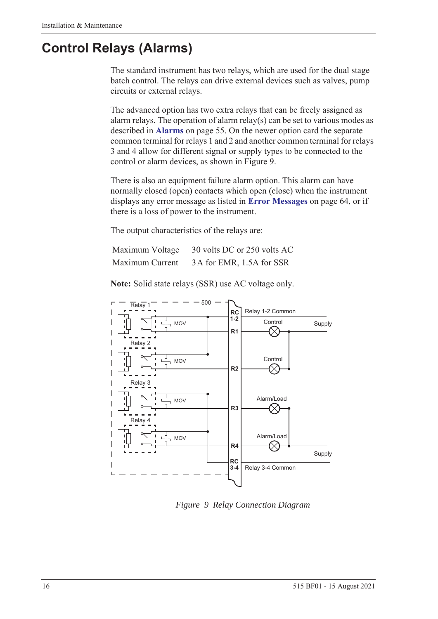## <span id="page-25-0"></span>**Control Relays (Alarms)**

The standard instrument has two relays, which are used for the dual stage batch control. The relays can drive external devices such as valves, pump circuits or external relays.

The advanced option has two extra relays that can be freely assigned as alarm relays. The operation of alarm relay(s) can be set to various modes as described in **Alarms** [on page 55](#page-64-1). On the newer option card the separate common terminal for relays 1 and 2 and another common terminal for relays 3 and 4 allow for different signal or supply types to be connected to the control or alarm devices, as shown in [Figure 9.](#page-25-1)

There is also an equipment failure alarm option. This alarm can have normally closed (open) contacts which open (close) when the instrument displays any error message as listed in **[Error Messages](#page-73-2)** on page 64, or if there is a loss of power to the instrument.

The output characteristics of the relays are:

| Maximum Voltage | 30 volts DC or 250 volts AC |
|-----------------|-----------------------------|
| Maximum Current | 3A for EMR, 1.5A for SSR    |

**Note:** Solid state relays (SSR) use AC voltage only.



<span id="page-25-1"></span>*Figure 9 Relay Connection Diagram*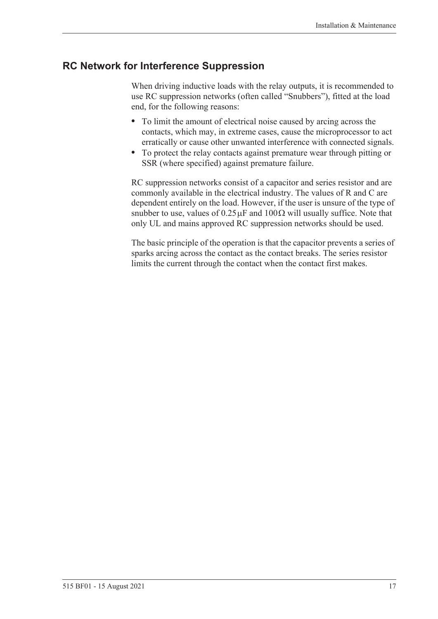## <span id="page-26-0"></span>**RC Network for Interference Suppression**

When driving inductive loads with the relay outputs, it is recommended to use RC suppression networks (often called "Snubbers"), fitted at the load end, for the following reasons:

- **•** To limit the amount of electrical noise caused by arcing across the contacts, which may, in extreme cases, cause the microprocessor to act erratically or cause other unwanted interference with connected signals.
- **•** To protect the relay contacts against premature wear through pitting or SSR (where specified) against premature failure.

RC suppression networks consist of a capacitor and series resistor and are commonly available in the electrical industry. The values of R and C are dependent entirely on the load. However, if the user is unsure of the type of snubber to use, values of  $0.25 \mu$ F and  $100 \Omega$  will usually suffice. Note that only UL and mains approved RC suppression networks should be used.

The basic principle of the operation is that the capacitor prevents a series of sparks arcing across the contact as the contact breaks. The series resistor limits the current through the contact when the contact first makes.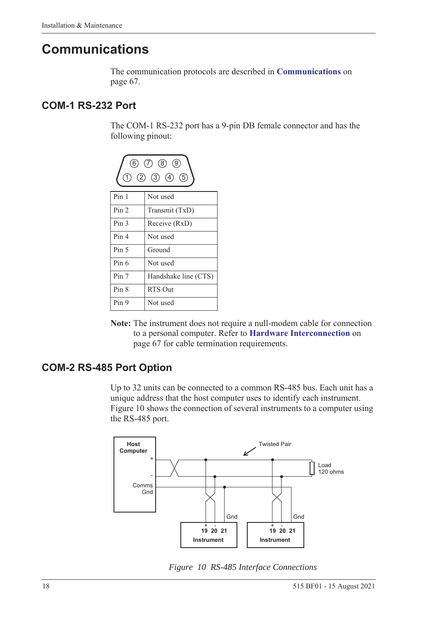## <span id="page-27-0"></span>**Communications**

The communication protocols are described in **[Communications](#page-76-4)** on [page 67.](#page-76-4)

## <span id="page-27-1"></span>**COM-1 RS-232 Port**

The COM-1 RS-232 port has a 9-pin DB female connector and has the following pinout:



**Note:** The instrument does not require a null-modem cable for connection to a personal computer. Refer to **[Hardware Interconnection](#page-76-5)** on [page 67](#page-76-5) for cable termination requirements.

## <span id="page-27-2"></span>**COM-2 RS-485 Port Option**

Up to 32 units can be connected to a common RS-485 bus. Each unit has a unique address that the host computer uses to identify each instrument. [Figure 10](#page-27-3) shows the connection of several instruments to a computer using the RS-485 port.



<span id="page-27-3"></span>*Figure 10 RS-485 Interface Connections*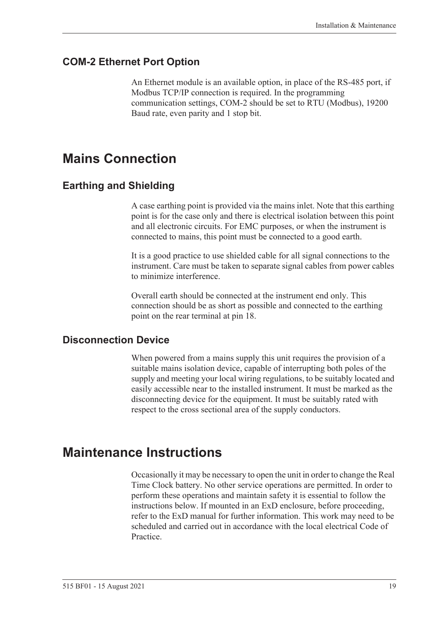## <span id="page-28-0"></span>**COM-2 Ethernet Port Option**

An Ethernet module is an available option, in place of the RS-485 port, if Modbus TCP/IP connection is required. In the programming communication settings, COM-2 should be set to RTU (Modbus), 19200 Baud rate, even parity and 1 stop bit.

## <span id="page-28-1"></span>**Mains Connection**

## <span id="page-28-2"></span>**Earthing and Shielding**

A case earthing point is provided via the mains inlet. Note that this earthing point is for the case only and there is electrical isolation between this point and all electronic circuits. For EMC purposes, or when the instrument is connected to mains, this point must be connected to a good earth.

It is a good practice to use shielded cable for all signal connections to the instrument. Care must be taken to separate signal cables from power cables to minimize interference.

Overall earth should be connected at the instrument end only. This connection should be as short as possible and connected to the earthing point on the rear terminal at pin 18.

## <span id="page-28-3"></span>**Disconnection Device**

When powered from a mains supply this unit requires the provision of a suitable mains isolation device, capable of interrupting both poles of the supply and meeting your local wiring regulations, to be suitably located and easily accessible near to the installed instrument. It must be marked as the disconnecting device for the equipment. It must be suitably rated with respect to the cross sectional area of the supply conductors.

## <span id="page-28-4"></span>**Maintenance Instructions**

Occasionally it may be necessary to open the unit in order to change the Real Time Clock battery. No other service operations are permitted. In order to perform these operations and maintain safety it is essential to follow the instructions below. If mounted in an ExD enclosure, before proceeding, refer to the ExD manual for further information. This work may need to be scheduled and carried out in accordance with the local electrical Code of Practice.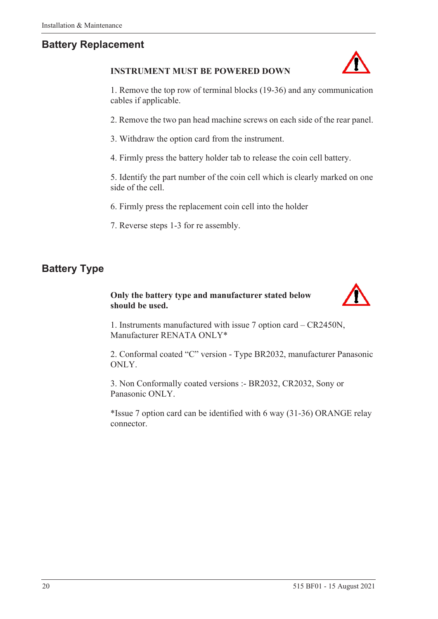## <span id="page-29-0"></span>**Battery Replacement**

#### **INSTRUMENT MUST BE POWERED DOWN**



1. Remove the top row of terminal blocks (19-36) and any communication cables if applicable.

2. Remove the two pan head machine screws on each side of the rear panel.

- 3. Withdraw the option card from the instrument.
- 4. Firmly press the battery holder tab to release the coin cell battery.

5. Identify the part number of the coin cell which is clearly marked on one side of the cell.

- 6. Firmly press the replacement coin cell into the holder
- 7. Reverse steps 1-3 for re assembly.

## <span id="page-29-1"></span>**Battery Type**

**Only the battery type and manufacturer stated below should be used.** 



1. Instruments manufactured with issue 7 option card – CR2450N, Manufacturer RENATA ONLY\*

2. Conformal coated "C" version - Type BR2032, manufacturer Panasonic ONLY.

3. Non Conformally coated versions :- BR2032, CR2032, Sony or Panasonic ONLY.

\*Issue 7 option card can be identified with 6 way (31-36) ORANGE relay connector.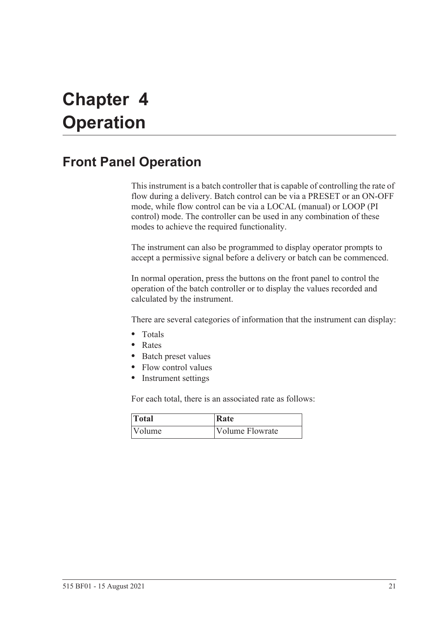# <span id="page-30-0"></span>**Chapter 4 Operation**

## <span id="page-30-1"></span>**Front Panel Operation**

This instrument is a batch controller that is capable of controlling the rate of flow during a delivery. Batch control can be via a PRESET or an ON-OFF mode, while flow control can be via a LOCAL (manual) or LOOP (PI control) mode. The controller can be used in any combination of these modes to achieve the required functionality.

The instrument can also be programmed to display operator prompts to accept a permissive signal before a delivery or batch can be commenced.

In normal operation, press the buttons on the front panel to control the operation of the batch controller or to display the values recorded and calculated by the instrument.

There are several categories of information that the instrument can display:

- **•** Totals
- **•** Rates
- **•** Batch preset values
- **•** Flow control values
- **•** Instrument settings

For each total, there is an associated rate as follows:

| <b>Total</b> | Rate            |
|--------------|-----------------|
| Volume       | Volume Flowrate |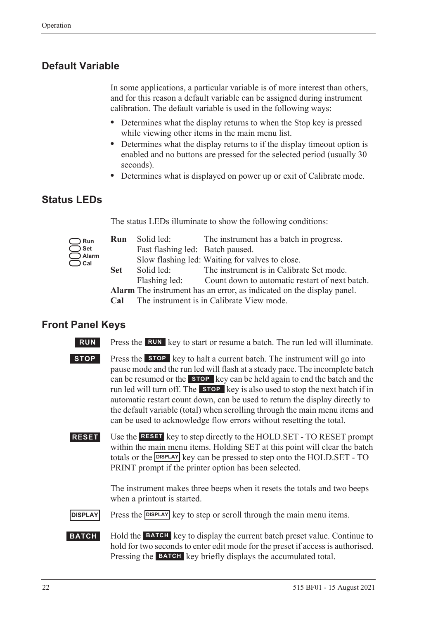## <span id="page-31-0"></span>**Default Variable**

In some applications, a particular variable is of more interest than others, and for this reason a default variable can be assigned during instrument calibration. The default variable is used in the following ways:

- **•** Determines what the display returns to when the Stop key is pressed while viewing other items in the main menu list.
- **•** Determines what the display returns to if the display timeout option is enabled and no buttons are pressed for the selected period (usually 30 seconds).
- **•** Determines what is displayed on power up or exit of Calibrate mode.

## <span id="page-31-1"></span>**Status LEDs**

The status LEDs illuminate to show the following conditions:

| Run          |
|--------------|
| Set          |
| <b>Alarm</b> |
| Cal          |

|            | <b>Run</b> Solid led:            | The instrument has a batch in progress.                               |
|------------|----------------------------------|-----------------------------------------------------------------------|
|            | Fast flashing led: Batch paused. |                                                                       |
|            |                                  | Slow flashing led: Waiting for valves to close.                       |
| <b>Set</b> | Solid led:                       | The instrument is in Calibrate Set mode.                              |
|            |                                  | Flashing led: Count down to automatic restart of next batch.          |
|            |                                  | Alarm The instrument has an error, as indicated on the display panel. |
|            |                                  | <b>Cal</b> The instrument is in Calibrate View mode.                  |
|            |                                  |                                                                       |

## <span id="page-31-2"></span>**Front Panel Keys**

**RUN** Press the **RUN** key to start or resume a batch. The run led will illuminate.

- **STOP** Press the **STOP** key to halt a current batch. The instrument will go into pause mode and the run led will flash at a steady pace. The incomplete batch can be resumed or the **STOP** key can be held again to end the batch and the run led will turn off. The **STOP** key is also used to stop the next batch if in automatic restart count down, can be used to return the display directly to the default variable (total) when scrolling through the main menu items and can be used to acknowledge flow errors without resetting the total.
- **RESET** Use the **RESET** key to step directly to the HOLD.SET TO RESET prompt within the main menu items. Holding SET at this point will clear the batch totals or the **DISPLAY** key can be pressed to step onto the HOLD.SET - TO PRINT prompt if the printer option has been selected.

The instrument makes three beeps when it resets the totals and two beeps when a printout is started.

- **DISPLAY** Press the **DISPLAY** key to step or scroll through the main menu items.
- **BATCH** Hold the **BATCH** key to display the current batch preset value. Continue to hold for two seconds to enter edit mode for the preset if access is authorised. Pressing the **BATCH** key briefly displays the accumulated total.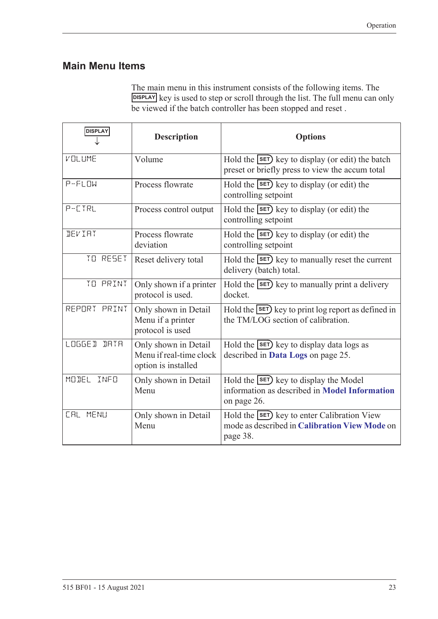## <span id="page-32-0"></span>**Main Menu Items**

The main menu in this instrument consists of the following items. The key is used to step or scroll through the list. The full menu can only be viewed if the batch controller has been stopped and reset . **DISPLAY**

| <b>DISPLAY</b>  | <b>Description</b>                                                     | <b>Options</b>                                                                                                        |
|-----------------|------------------------------------------------------------------------|-----------------------------------------------------------------------------------------------------------------------|
| VOLUME          | Volume                                                                 | Hold the $\boxed{\mathsf{set}}$ key to display (or edit) the batch<br>preset or briefly press to view the accum total |
| P-FLOW          | Process flowrate                                                       | Hold the SET) key to display (or edit) the<br>controlling setpoint                                                    |
| P-ETRL          | Process control output                                                 | Hold the $\overline{\text{set}}$ key to display (or edit) the<br>controlling setpoint                                 |
| <b>JEVIAT</b>   | Process flowrate<br>deviation                                          | Hold the SET) key to display (or edit) the<br>controlling setpoint                                                    |
| TO RESET        | Reset delivery total                                                   | Hold the <b>SET</b> ) key to manually reset the current<br>delivery (batch) total.                                    |
| TO PRINT        | Only shown if a printer<br>protocol is used.                           | Hold the <b>SET</b> ) key to manually print a delivery<br>docket.                                                     |
| REPORT PRINT    | Only shown in Detail<br>Menu if a printer<br>protocol is used          | Hold the <b>SET</b> key to print log report as defined in<br>the TM/LOG section of calibration.                       |
| LOGGED DATA     | Only shown in Detail<br>Menu if real-time clock<br>option is installed | Hold the <b>SET</b> key to display data logs as<br>described in Data Logs on page 25.                                 |
| MODEL INFO      | Only shown in Detail<br>Menu                                           | Hold the SET key to display the Model<br>information as described in Model Information<br>on page 26.                 |
| <b>CAL MENU</b> | Only shown in Detail<br>Menu                                           | Hold the $ \text{SET} $ key to enter Calibration View<br>mode as described in Calibration View Mode on<br>page 38.    |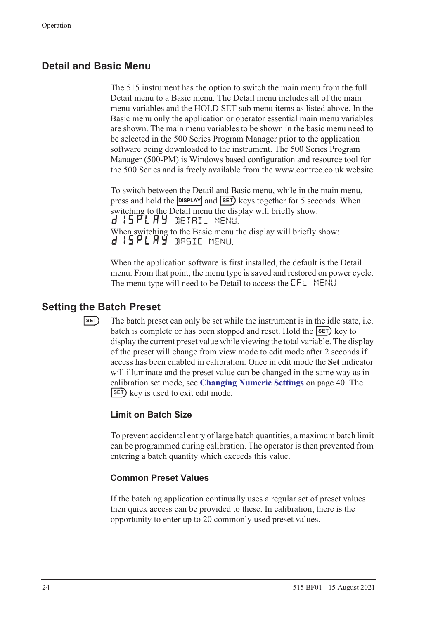## <span id="page-33-0"></span>**Detail and Basic Menu**

The 515 instrument has the option to switch the main menu from the full Detail menu to a Basic menu. The Detail menu includes all of the main menu variables and the HOLD SET sub menu items as listed above. In the Basic menu only the application or operator essential main menu variables are shown. The main menu variables to be shown in the basic menu need to be selected in the 500 Series Program Manager prior to the application software being downloaded to the instrument. The 500 Series Program Manager (500-PM) is Windows based configuration and resource tool for the 500 Series and is freely available from the www.contrec.co.uk website.

To switch between the Detail and Basic menu, while in the main menu, press and hold the **DISPLAY** and **SET**) keys together for 5 seconds. When switching to the Detail menu the display will briefly show: d 15 PL A Y DETAIL MENU. When switching to the Basic menu the display will briefly show: d ISPLAY BASIC MENU

When the application software is first installed, the default is the Detail menu. From that point, the menu type is saved and restored on power cycle. The menu type will need to be Detail to access the CAL MENU

## <span id="page-33-1"></span>**Setting the Batch Preset**

**SET**

The batch preset can only be set while the instrument is in the idle state, i.e. batch is complete or has been stopped and reset. Hold the **SET** key to display the current preset value while viewing the total variable. The display of the preset will change from view mode to edit mode after 2 seconds if access has been enabled in calibration. Once in edit mode the **Set** indicator will illuminate and the preset value can be changed in the same way as in calibration set mode, see **[Changing Numeric Settings](#page-49-1)** on page 40. The key is used to exit edit mode. **SET**

## **Limit on Batch Size**

To prevent accidental entry of large batch quantities, a maximum batch limit can be programmed during calibration. The operator is then prevented from entering a batch quantity which exceeds this value.

### **Common Preset Values**

If the batching application continually uses a regular set of preset values then quick access can be provided to these. In calibration, there is the opportunity to enter up to 20 commonly used preset values.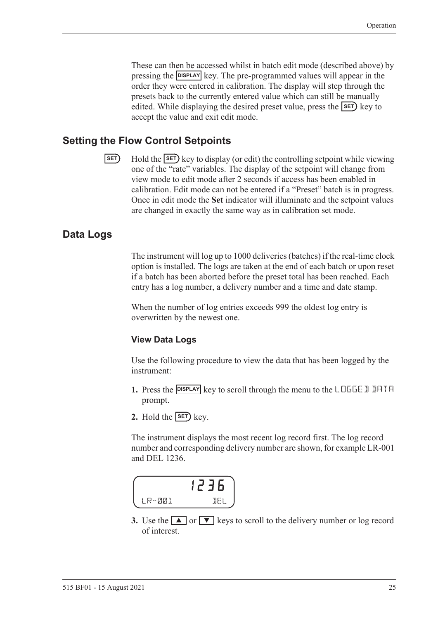These can then be accessed whilst in batch edit mode (described above) by pressing the **DISPLAY** key. The pre-programmed values will appear in the order they were entered in calibration. The display will step through the presets back to the currently entered value which can still be manually edited. While displaying the desired preset value, press the **SET** key to accept the value and exit edit mode.

### <span id="page-34-0"></span>**Setting the Flow Control Setpoints**

**EXECUTE:** Hold the **SET** key to display (or edit) the controlling setpoint while viewing one of the "rate" variables. The display of the setpoint will change from view mode to edit mode after 2 seconds if access has been enabled in calibration. Edit mode can not be entered if a "Preset" batch is in progress. Once in edit mode the **Set** indicator will illuminate and the setpoint values are changed in exactly the same way as in calibration set mode.

## <span id="page-34-1"></span>**Data Logs**

The instrument will log up to 1000 deliveries (batches) if the real-time clock option is installed. The logs are taken at the end of each batch or upon reset if a batch has been aborted before the preset total has been reached. Each entry has a log number, a delivery number and a time and date stamp.

When the number of log entries exceeds 999 the oldest log entry is overwritten by the newest one.

#### **View Data Logs**

Use the following procedure to view the data that has been logged by the instrument:

- **1.** Press the **DISPLAY** key to scroll through the menu to the LOGGE D DATA prompt.
- **2.** Hold the  $\overline{\text{SET}}$  key.

The instrument displays the most recent log record first. The log record number and corresponding delivery number are shown, for example LR-001 and DEL 1236.



**3.** Use the  $\Box$  or  $\Box$  keys to scroll to the delivery number or log record of interest.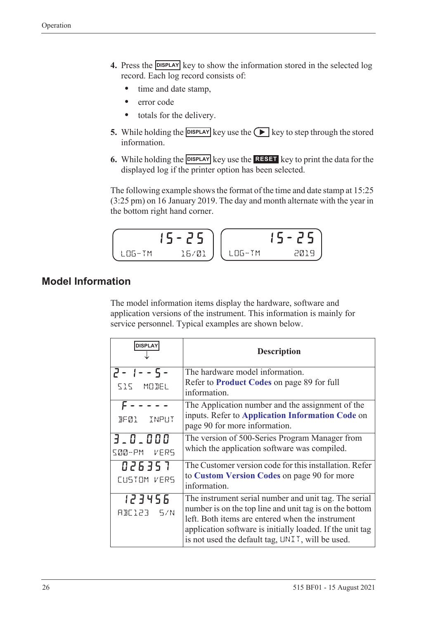- 4. Press the **DISPLAY** key to show the information stored in the selected log record. Each log record consists of:
	- time and date stamp,
	- **•** error code
	- **•** totals for the delivery.
- **5.** While holding the  $\boxed{\text{DISPLAN}}$  key use the  $\boxed{\blacktriangleright}$  key to step through the stored information.
- **6.** While holding the **DISPLAY** key use the **RESET** key to print the data for the displayed log if the printer option has been selected.

The following example shows the format of the time and date stamp at 15:25 (3:25 pm) on 16 January 2019. The day and month alternate with the year in the bottom right hand corner.

$$
\begin{array}{|c|c|c|c|}\n\hline\n & 15-25 \\
 & 15-25 \\
\hline\n & 16-21 \\
\hline\n\end{array}\n\quad\n\begin{array}{|c|c|}\n\hline\n & 15-25 \\
 & 15-25 \\
\hline\n & 2019\n\end{array}
$$

## <span id="page-35-0"></span>**Model Information**

The model information items display the hardware, software and application versions of the instrument. This information is mainly for service personnel. Typical examples are shown below.

| <b>DISPLAY</b>             | <b>Description</b>                                                                                                                                                                                                                                                                    |
|----------------------------|---------------------------------------------------------------------------------------------------------------------------------------------------------------------------------------------------------------------------------------------------------------------------------------|
| $7 - 1 - 5 -$<br>SIS MODEL | The hardware model information.<br>Refer to <b>Product Codes</b> on page 89 for full<br>information.                                                                                                                                                                                  |
| BFØ1 INPUT                 | The Application number and the assignment of the<br>inputs. Refer to Application Information Code on<br>page 90 for more information.                                                                                                                                                 |
| 3.0.000<br>SØ0-PM VERS     | The version of 500-Series Program Manager from<br>which the application software was compiled.                                                                                                                                                                                        |
| 026357<br>CUSTOM VERS      | The Customer version code for this installation. Refer<br>to Custom Version Codes on page 90 for more<br>information.                                                                                                                                                                 |
| 123456<br>RBE123 5/N       | The instrument serial number and unit tag. The serial<br>number is on the top line and unit tag is on the bottom<br>left. Both items are entered when the instrument<br>application software is initially loaded. If the unit tag<br>is not used the default tag, UNIT, will be used. |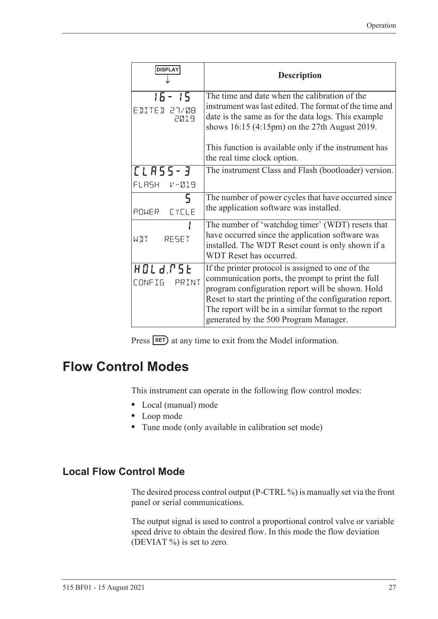| <b>DISPLAY</b>                    | <b>Description</b>                                                                                                                                                                                                                                                                                                      |
|-----------------------------------|-------------------------------------------------------------------------------------------------------------------------------------------------------------------------------------------------------------------------------------------------------------------------------------------------------------------------|
| $15 - 15$<br>EDITED 27/08<br>2019 | The time and date when the calibration of the<br>instrument was last edited. The format of the time and<br>date is the same as for the data logs. This example<br>shows $16:15$ (4:15pm) on the 27th August 2019.<br>This function is available only if the instrument has<br>the real time clock option.               |
| [LA55-3<br>FLASH I<br>$V - Q$ 19  | The instrument Class and Flash (bootloader) version.                                                                                                                                                                                                                                                                    |
| 5<br>POWER EYELE                  | The number of power cycles that have occurred since<br>the application software was installed.                                                                                                                                                                                                                          |
| WITT<br>RESET                     | The number of 'watchdog timer' (WDT) resets that<br>have occurred since the application software was<br>installed. The WDT Reset count is only shown if a<br>WDT Reset has occurred.                                                                                                                                    |
| HOLd.PSE<br>CONFIG<br>PRINT       | If the printer protocol is assigned to one of the<br>communication ports, the prompt to print the full<br>program configuration report will be shown. Hold<br>Reset to start the printing of the configuration report.<br>The report will be in a similar format to the report<br>generated by the 500 Program Manager. |

Press **SET**) at any time to exit from the Model information.

# **Flow Control Modes**

This instrument can operate in the following flow control modes:

- **•** Local (manual) mode
- **•** Loop mode
- **•** Tune mode (only available in calibration set mode)

#### **Local Flow Control Mode**

The desired process control output (P-CTRL %) is manually set via the front panel or serial communications.

The output signal is used to control a proportional control valve or variable speed drive to obtain the desired flow. In this mode the flow deviation (DEVIAT  $\%$ ) is set to zero.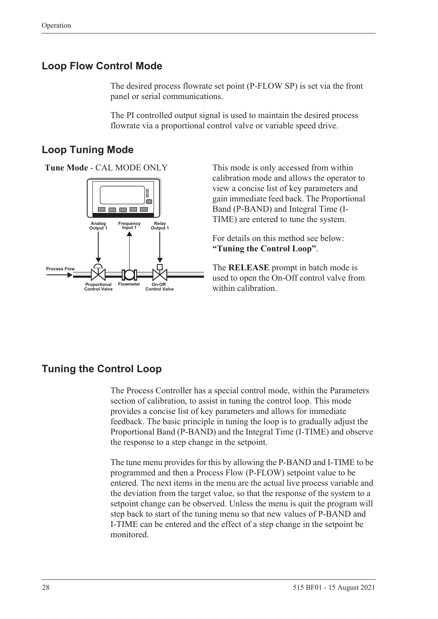#### **Loop Flow Control Mode**

The desired process flowrate set point (P-FLOW SP) is set via the front panel or serial communications.

The PI controlled output signal is used to maintain the desired process flowrate via a proportional control valve or variable speed drive.

#### **Loop Tuning Mode**



**Tune Mode** - CAL MODE ONLY This mode is only accessed from within calibration mode and allows the operator to view a concise list of key parameters and gain immediate feed back. The Proportional Band (P-BAND) and Integral Time (I-TIME) are entered to tune the system.

> For details on this method see below: **"Tuning the Control Loop"**.

The **RELEASE** prompt in batch mode is used to open the On-Off control valve from **Chi-Off**<br>
Introl Valve Within calibration.

#### <span id="page-37-0"></span>**Tuning the Control Loop**

The Process Controller has a special control mode, within the Parameters section of calibration, to assist in tuning the control loop. This mode provides a concise list of key parameters and allows for immediate feedback. The basic principle in tuning the loop is to gradually adjust the Proportional Band (P-BAND) and the Integral Time (I-TIME) and observe the response to a step change in the setpoint.

The tune menu provides for this by allowing the P-BAND and I-TIME to be programmed and then a Process Flow (P-FLOW) setpoint value to be entered. The next items in the menu are the actual live process variable and the deviation from the target value, so that the response of the system to a setpoint change can be observed. Unless the menu is quit the program will step back to start of the tuning menu so that new values of P-BAND and I-TIME can be entered and the effect of a step change in the setpoint be monitored.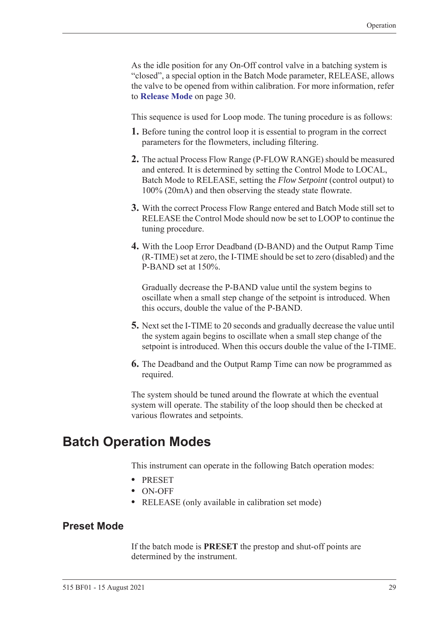As the idle position for any On-Off control valve in a batching system is "closed", a special option in the Batch Mode parameter, RELEASE, allows the valve to be opened from within calibration. For more information, refer to **[Release Mode](#page-39-0)** on page 30.

This sequence is used for Loop mode. The tuning procedure is as follows:

- **1.** Before tuning the control loop it is essential to program in the correct parameters for the flowmeters, including filtering.
- **2.** The actual Process Flow Range (P-FLOW RANGE) should be measured and entered. It is determined by setting the Control Mode to LOCAL, Batch Mode to RELEASE, setting the *Flow Setpoint* (control output) to 100% (20mA) and then observing the steady state flowrate.
- **3.** With the correct Process Flow Range entered and Batch Mode still set to RELEASE the Control Mode should now be set to LOOP to continue the tuning procedure.
- **4.** With the Loop Error Deadband (D-BAND) and the Output Ramp Time (R-TIME) set at zero, the I-TIME should be set to zero (disabled) and the P-BAND set at 150%.

Gradually decrease the P-BAND value until the system begins to oscillate when a small step change of the setpoint is introduced. When this occurs, double the value of the P-BAND.

- **5.** Next set the I-TIME to 20 seconds and gradually decrease the value until the system again begins to oscillate when a small step change of the setpoint is introduced. When this occurs double the value of the I-TIME.
- **6.** The Deadband and the Output Ramp Time can now be programmed as required.

The system should be tuned around the flowrate at which the eventual system will operate. The stability of the loop should then be checked at various flowrates and setpoints.

# **Batch Operation Modes**

This instrument can operate in the following Batch operation modes:

- **•** PRESET
- **•** ON-OFF
- **•** RELEASE (only available in calibration set mode)

#### **Preset Mode**

If the batch mode is **PRESET** the prestop and shut-off points are determined by the instrument.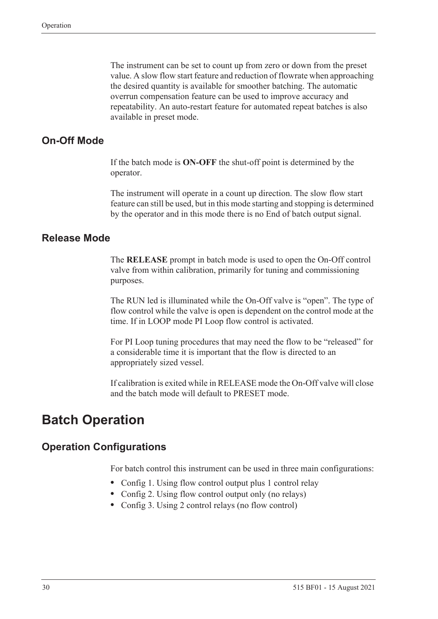The instrument can be set to count up from zero or down from the preset value. A slow flow start feature and reduction of flowrate when approaching the desired quantity is available for smoother batching. The automatic overrun compensation feature can be used to improve accuracy and repeatability. An auto-restart feature for automated repeat batches is also available in preset mode.

#### **On-Off Mode**

If the batch mode is **ON-OFF** the shut-off point is determined by the operator.

The instrument will operate in a count up direction. The slow flow start feature can still be used, but in this mode starting and stopping is determined by the operator and in this mode there is no End of batch output signal.

#### <span id="page-39-0"></span>**Release Mode**

The **RELEASE** prompt in batch mode is used to open the On-Off control valve from within calibration, primarily for tuning and commissioning purposes.

The RUN led is illuminated while the On-Off valve is "open". The type of flow control while the valve is open is dependent on the control mode at the time. If in LOOP mode PI Loop flow control is activated.

For PI Loop tuning procedures that may need the flow to be "released" for a considerable time it is important that the flow is directed to an appropriately sized vessel.

If calibration is exited while in RELEASE mode the On-Off valve will close and the batch mode will default to PRESET mode.

# **Batch Operation**

#### **Operation Configurations**

For batch control this instrument can be used in three main configurations:

- **•** Config 1. Using flow control output plus 1 control relay
- **•** Config 2. Using flow control output only (no relays)
- Config 3. Using 2 control relays (no flow control)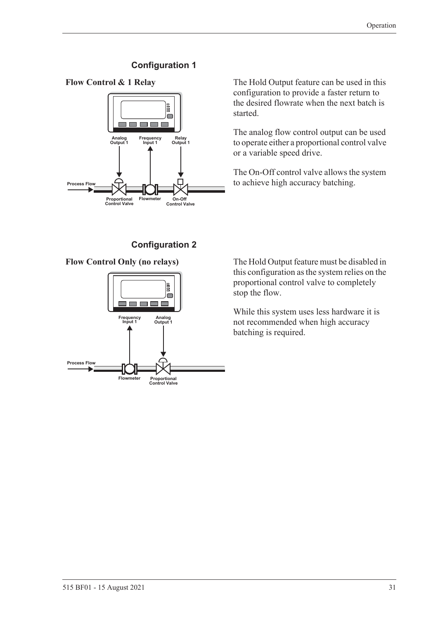#### **Configuration 1**



**Flow Control & 1 Relay** The Hold Output feature can be used in this configuration to provide a faster return to the desired flowrate when the next batch is started.

> The analog flow control output can be used to operate either a proportional control valve or a variable speed drive.

> The On-Off control valve allows the system to achieve high accuracy batching.

**Configuration 2**



**Flow Control Only (no relays)** The Hold Output feature must be disabled in this configuration as the system relies on the proportional control valve to completely stop the flow.

> While this system uses less hardware it is not recommended when high accuracy batching is required.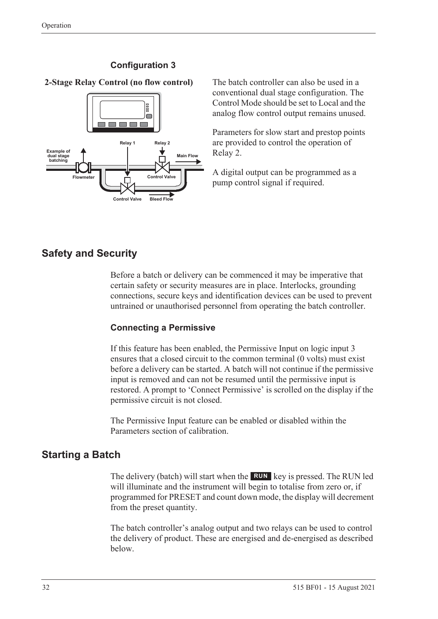

**Configuration 3**

**2-Stage Relay Control (no flow control)** The batch controller can also be used in a conventional dual stage configuration. The Control Mode should be set to Local and the analog flow control output remains unused.

> Parameters for slow start and prestop points are provided to control the operation of Relay 2.

A digital output can be programmed as a pump control signal if required.

# **Safety and Security**

Before a batch or delivery can be commenced it may be imperative that certain safety or security measures are in place. Interlocks, grounding connections, secure keys and identification devices can be used to prevent untrained or unauthorised personnel from operating the batch controller.

#### **Connecting a Permissive**

If this feature has been enabled, the Permissive Input on logic input 3 ensures that a closed circuit to the common terminal (0 volts) must exist before a delivery can be started. A batch will not continue if the permissive input is removed and can not be resumed until the permissive input is restored. A prompt to 'Connect Permissive' is scrolled on the display if the permissive circuit is not closed.

The Permissive Input feature can be enabled or disabled within the Parameters section of calibration.

# **Starting a Batch**

The delivery (batch) will start when the **RUN** key is pressed. The RUN led will illuminate and the instrument will begin to totalise from zero or, if programmed for PRESET and count down mode, the display will decrement from the preset quantity.

The batch controller's analog output and two relays can be used to control the delivery of product. These are energised and de-energised as described below.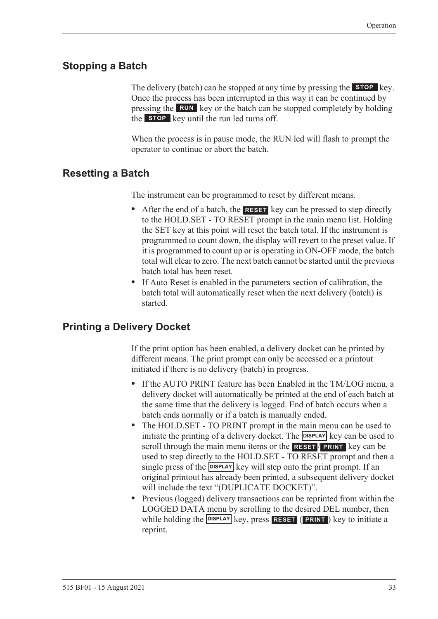#### **Stopping a Batch**

The delivery (batch) can be stopped at any time by pressing the **STOP** key. Once the process has been interrupted in this way it can be continued by pressing the RUN key or the batch can be stopped completely by holding the **STOP** key until the run led turns off.

When the process is in pause mode, the RUN led will flash to prompt the operator to continue or abort the batch.

#### **Resetting a Batch**

The instrument can be programmed to reset by different means.

- After the end of a batch, the **RESET** key can be pressed to step directly to the HOLD.SET - TO RESET prompt in the main menu list. Holding the SET key at this point will reset the batch total. If the instrument is programmed to count down, the display will revert to the preset value. If it is programmed to count up or is operating in ON-OFF mode, the batch total will clear to zero. The next batch cannot be started until the previous batch total has been reset.
- **•** If Auto Reset is enabled in the parameters section of calibration, the batch total will automatically reset when the next delivery (batch) is started.

#### **Printing a Delivery Docket**

If the print option has been enabled, a delivery docket can be printed by different means. The print prompt can only be accessed or a printout initiated if there is no delivery (batch) in progress.

- **•** If the AUTO PRINT feature has been Enabled in the TM/LOG menu, a delivery docket will automatically be printed at the end of each batch at the same time that the delivery is logged. End of batch occurs when a batch ends normally or if a batch is manually ended.
- **•** The HOLD.SET TO PRINT prompt in the main menu can be used to initiate the printing of a delivery docket. The **DISPLAY** key can be used to scroll through the main menu items or the **RESET PRINT** key can be used to step directly to the HOLD.SET - TO RESET prompt and then a single press of the **DISPLAY** key will step onto the print prompt. If an original printout has already been printed, a subsequent delivery docket will include the text "(DUPLICATE DOCKET)".
- **•** Previous (logged) delivery transactions can be reprinted from within the LOGGED DATA menu by scrolling to the desired DEL number, then while holding the **DISPLAY** key, press **RESET** ( **PRINT** ) key to initiate a reprint.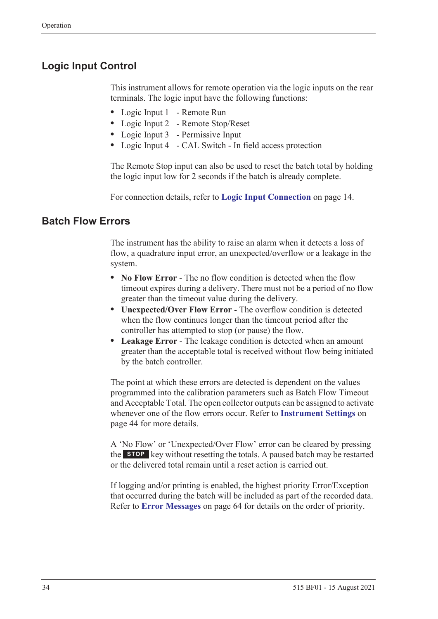#### <span id="page-43-0"></span>**Logic Input Control**

This instrument allows for remote operation via the logic inputs on the rear terminals. The logic input have the following functions:

- **•** Logic Input 1 Remote Run
- **•** Logic Input 2 Remote Stop/Reset
- **•** Logic Input 3 Permissive Input
- **•** Logic Input 4 CAL Switch In field access protection

The Remote Stop input can also be used to reset the batch total by holding the logic input low for 2 seconds if the batch is already complete.

For connection details, refer to **[Logic Input Connection](#page-23-0)** on page 14.

#### **Batch Flow Errors**

The instrument has the ability to raise an alarm when it detects a loss of flow, a quadrature input error, an unexpected/overflow or a leakage in the system.

- **• No Flow Error** The no flow condition is detected when the flow timeout expires during a delivery. There must not be a period of no flow greater than the timeout value during the delivery.
- **• Unexpected/Over Flow Error** The overflow condition is detected when the flow continues longer than the timeout period after the controller has attempted to stop (or pause) the flow.
- **• Leakage Error** The leakage condition is detected when an amount greater than the acceptable total is received without flow being initiated by the batch controller.

The point at which these errors are detected is dependent on the values programmed into the calibration parameters such as Batch Flow Timeout and Acceptable Total. The open collector outputs can be assigned to activate whenever one of the flow errors occur. Refer to **[Instrument Settings](#page-53-0)** on [page 44](#page-53-0) for more details.

A 'No Flow' or 'Unexpected/Over Flow' error can be cleared by pressing the **STOP** key without resetting the totals. A paused batch may be restarted or the delivered total remain until a reset action is carried out.

If logging and/or printing is enabled, the highest priority Error/Exception that occurred during the batch will be included as part of the recorded data. Refer to **[Error Messages](#page-73-0)** on page 64 for details on the order of priority.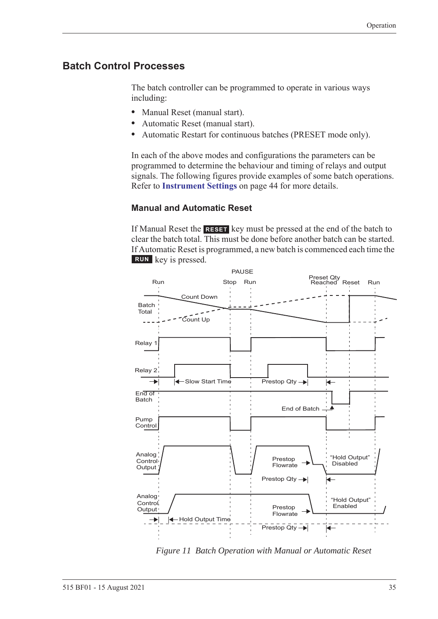#### **Batch Control Processes**

The batch controller can be programmed to operate in various ways including:

- **•** Manual Reset (manual start).
- **•** Automatic Reset (manual start).
- **•** Automatic Restart for continuous batches (PRESET mode only).

In each of the above modes and configurations the parameters can be programmed to determine the behaviour and timing of relays and output signals. The following figures provide examples of some batch operations. Refer to **[Instrument Settings](#page-53-0)** on page 44 for more details.

#### **Manual and Automatic Reset**

If Manual Reset the **RESET** key must be pressed at the end of the batch to clear the batch total. This must be done before another batch can be started. If Automatic Reset is programmed, a new batch is commenced each time the **RUN** key is pressed.



*Figure 11 Batch Operation with Manual or Automatic Reset*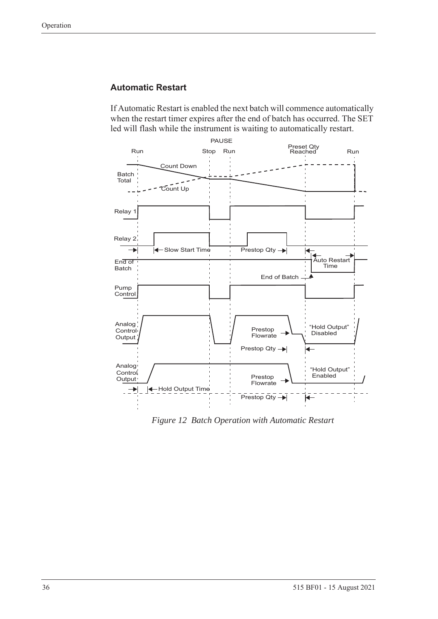#### **Automatic Restart**

If Automatic Restart is enabled the next batch will commence automatically when the restart timer expires after the end of batch has occurred. The SET led will flash while the instrument is waiting to automatically restart.



*Figure 12 Batch Operation with Automatic Restart*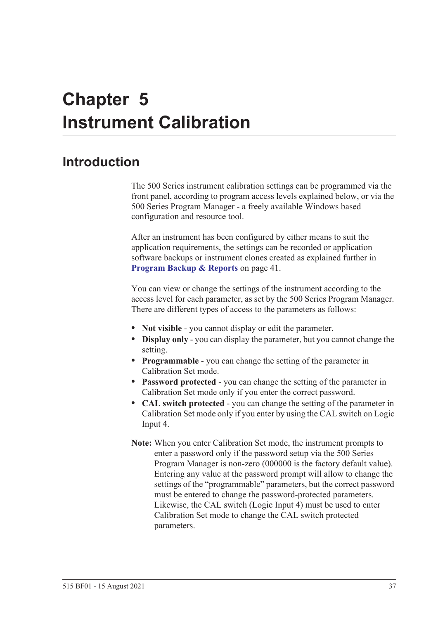# **Chapter 5 Instrument Calibration**

# **Introduction**

The 500 Series instrument calibration settings can be programmed via the front panel, according to program access levels explained below, or via the 500 Series Program Manager - a freely available Windows based configuration and resource tool.

After an instrument has been configured by either means to suit the application requirements, the settings can be recorded or application software backups or instrument clones created as explained further in **[Program Backup & Reports](#page-50-0)** on page 41.

You can view or change the settings of the instrument according to the access level for each parameter, as set by the 500 Series Program Manager. There are different types of access to the parameters as follows:

- **• Not visible** you cannot display or edit the parameter.
- **• Display only** you can display the parameter, but you cannot change the setting.
- **• Programmable** you can change the setting of the parameter in Calibration Set mode.
- **• Password protected** you can change the setting of the parameter in Calibration Set mode only if you enter the correct password.
- **• CAL switch protected**  you can change the setting of the parameter in Calibration Set mode only if you enter by using the CAL switch on Logic Input 4.
- **Note:** When you enter Calibration Set mode, the instrument prompts to enter a password only if the password setup via the 500 Series Program Manager is non-zero (000000 is the factory default value). Entering any value at the password prompt will allow to change the settings of the "programmable" parameters, but the correct password must be entered to change the password-protected parameters. Likewise, the CAL switch (Logic Input 4) must be used to enter Calibration Set mode to change the CAL switch protected parameters.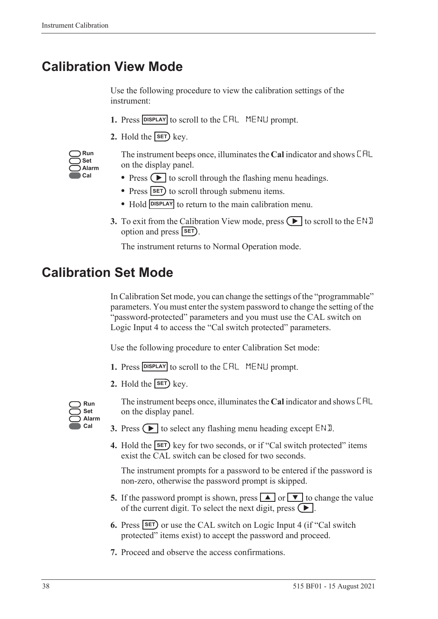# **Calibration View Mode**

Use the following procedure to view the calibration settings of the instrument:

- 1. Press **DISPLAY** to scroll to the **CAL** MENLI prompt.
- **2.** Hold the  $\overline{\text{SET}}$  key.



The instrument beeps once, illuminates the **Cal** indicator and shows CAL on the display panel.

- Press  $\left( \blacktriangleright \right)$  to scroll through the flashing menu headings.
- Press **SET**) to scroll through submenu items.
- Hold **DISPLAY** to return to the main calibration menu.
- **3.** To exit from the Calibration View mode, press  $\Box$  to scroll to the END option and press **SET**).

The instrument returns to Normal Operation mode.

# **Calibration Set Mode**

In Calibration Set mode, you can change the settings of the "programmable" parameters. You must enter the system password to change the setting of the "password-protected" parameters and you must use the CAL switch on Logic Input 4 to access the "Cal switch protected" parameters.

Use the following procedure to enter Calibration Set mode:

- **1.** Press **DISPLAY** to scroll to the **CAL** MENLI prompt.
- **2.** Hold the  $\overline{\text{SET}}$  key.



The instrument beeps once, illuminates the **Cal** indicator and shows CAL on the display panel.

- **3.** Press  $\left( \blacktriangleright \right)$  to select any flashing menu heading except END.
- **4.** Hold the **SET** key for two seconds, or if "Cal switch protected" items exist the CAL switch can be closed for two seconds.

The instrument prompts for a password to be entered if the password is non-zero, otherwise the password prompt is skipped.

- **5.** If the password prompt is shown, press  $\boxed{\blacktriangle}$  or  $\boxed{\blacktriangledown}$  to change the value of the current digit. To select the next digit, press  $\Box$ .
- **6.** Press **SET** or use the CAL switch on Logic Input 4 (if "Cal switch protected" items exist) to accept the password and proceed.
- **7.** Proceed and observe the access confirmations.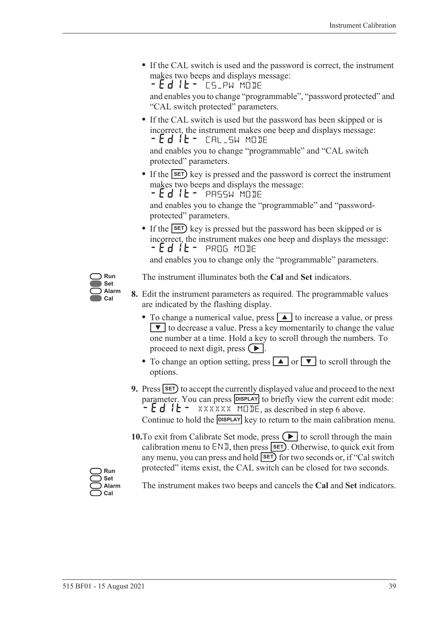**•** If the CAL switch is used and the password is correct, the instrument makes two beeps and displays message:  $-Ed$  it -  $TS$  pw mode

and enables you to change "programmable", "password protected" and "CAL switch protected" parameters.

• If the CAL switch is used but the password has been skipped or is incorrect, the instrument makes one beep and displays message: -EDIT- CAL\_SW MODE

and enables you to change "programmable" and "CAL switch protected" parameters.

- If the **SET**) key is pressed and the password is correct the instrument makes two beeps and displays the message:
	- -EDIT- PASSW MODE and enables you to change the "programmable" and "passwordprotected" parameters.
- If the **SET**) key is pressed but the password has been skipped or is incorrect, the instrument makes one beep and displays the message: -EDIT- PROG MODE

and enables you to change only the "programmable" parameters.



The instrument illuminates both the **Cal** and **Set** indicators.

- **8.** Edit the instrument parameters as required. The programmable values are indicated by the flashing display.
	- To change a numerical value, press **A** to increase a value, or press  $\triangledown$  to decrease a value. Press a key momentarily to change the value one number at a time. Hold a key to scroll through the numbers. To proceed to next digit, press  $(\blacktriangleright)$ .
	- To change an option setting, press  $\blacksquare$  or  $\blacksquare$  to scroll through the options.
- **9.** Press **SET** to accept the currently displayed value and proceed to the next parameter. You can press **DISPLAY** to briefly view the current edit mode:  $-Ed$   $E - \frac{2}{x}$  XXXXXX MODE, as described in step 6 above. Continue to hold the **DISPLAY** key to return to the main calibration menu.
- **10.**To exit from Calibrate Set mode, press  $\Box$  to scroll through the main calibration menu to  $ENI$ , then press  $SET$ . Otherwise, to quick exit from any menu, you can press and hold **SET** for two seconds or, if "Cal switch protected" items exist, the CAL switch can be closed for two seconds.

**Run Set Alarm Cal**

The instrument makes two beeps and cancels the **Cal** and **Set** indicators.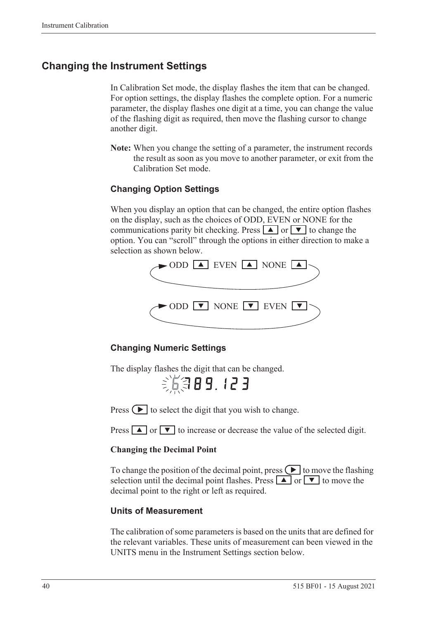#### **Changing the Instrument Settings**

In Calibration Set mode, the display flashes the item that can be changed. For option settings, the display flashes the complete option. For a numeric parameter, the display flashes one digit at a time, you can change the value of the flashing digit as required, then move the flashing cursor to change another digit.

**Note:** When you change the setting of a parameter, the instrument records the result as soon as you move to another parameter, or exit from the Calibration Set mode.

#### **Changing Option Settings**

When you display an option that can be changed, the entire option flashes on the display, such as the choices of ODD, EVEN or NONE for the communications parity bit checking. Press  $\boxed{\blacktriangle}$  or  $\boxed{\blacktriangledown}$  to change the option. You can "scroll" through the options in either direction to make a selection as shown below.



#### **Changing Numeric Settings**

The display flashes the digit that can be changed.

第第89.123

Press  $\left( \blacktriangleright \right)$  to select the digit that you wish to change.

Press  $\boxed{\blacktriangle}$  or  $\boxed{\blacktriangledown}$  to increase or decrease the value of the selected digit.

#### **Changing the Decimal Point**

To change the position of the decimal point, press  $\Box$  to move the flashing selection until the decimal point flashes. Press  $\boxed{\blacktriangle}$  or  $\boxed{\blacktriangledown}$  to move the decimal point to the right or left as required.

#### **Units of Measurement**

The calibration of some parameters is based on the units that are defined for the relevant variables. These units of measurement can been viewed in the UNITS menu in the Instrument Settings section below.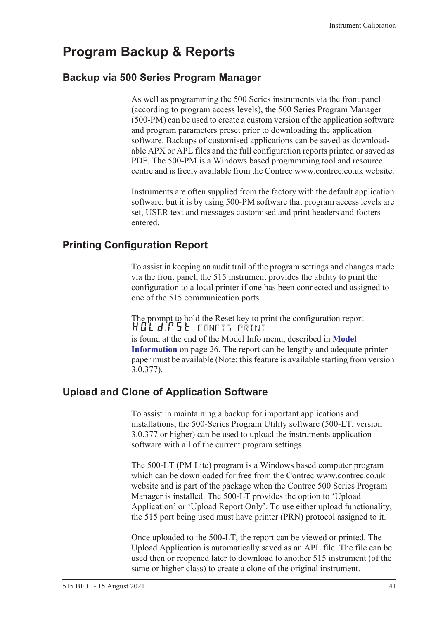# <span id="page-50-0"></span>**Program Backup & Reports**

#### **Backup via 500 Series Program Manager**

As well as programming the 500 Series instruments via the front panel (according to program access levels), the 500 Series Program Manager (500-PM) can be used to create a custom version of the application software and program parameters preset prior to downloading the application software. Backups of customised applications can be saved as downloadable APX or APL files and the full configuration reports printed or saved as PDF. The 500-PM is a Windows based programming tool and resource centre and is freely available from the Contrec www.contrec.co.uk website.

Instruments are often supplied from the factory with the default application software, but it is by using 500-PM software that program access levels are set, USER text and messages customised and print headers and footers entered.

#### **Printing Configuration Report**

To assist in keeping an audit trail of the program settings and changes made via the front panel, the 515 instrument provides the ability to print the configuration to a local printer if one has been connected and assigned to one of the 515 communication ports.

The prompt to hold the Reset key to print the configuration report HOLd.PSE CONFIG PRINT is found at the end of the Model Info menu, described in **[Model](#page-35-0)  [Information](#page-35-0)** on page 26. The report can be lengthy and adequate printer paper must be available (Note: this feature is available starting from version 3.0.377).

#### **Upload and Clone of Application Software**

To assist in maintaining a backup for important applications and installations, the 500-Series Program Utility software (500-LT, version 3.0.377 or higher) can be used to upload the instruments application software with all of the current program settings.

The 500-LT (PM Lite) program is a Windows based computer program which can be downloaded for free from the Contrec www.contrec.co.uk website and is part of the package when the Contrec 500 Series Program Manager is installed. The 500-LT provides the option to 'Upload Application' or 'Upload Report Only'. To use either upload functionality, the 515 port being used must have printer (PRN) protocol assigned to it.

Once uploaded to the 500-LT, the report can be viewed or printed. The Upload Application is automatically saved as an APL file. The file can be used then or reopened later to download to another 515 instrument (of the same or higher class) to create a clone of the original instrument.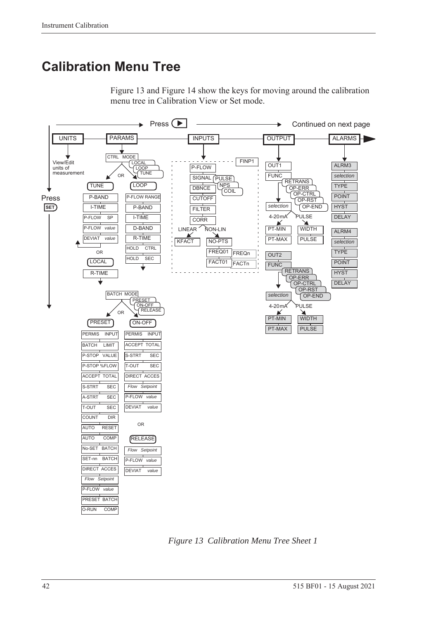# **Calibration Menu Tree**





<span id="page-51-0"></span>*Figure 13 Calibration Menu Tree Sheet 1*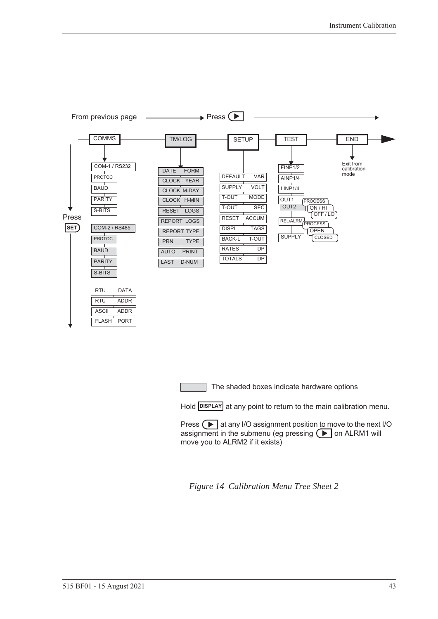

The shaded boxes indicate hardware options

Hold **DISPLAY** at any point to return to the main calibration menu.

Press  $\Box$  at any I/O assignment position to move to the next I/O assignment in the submenu (eg pressing  $\left( \blacktriangleright \right)$  on ALRM1 will move you to ALRM2 if it exists)

<span id="page-52-0"></span>*Figure 14 Calibration Menu Tree Sheet 2*

FLASH PORT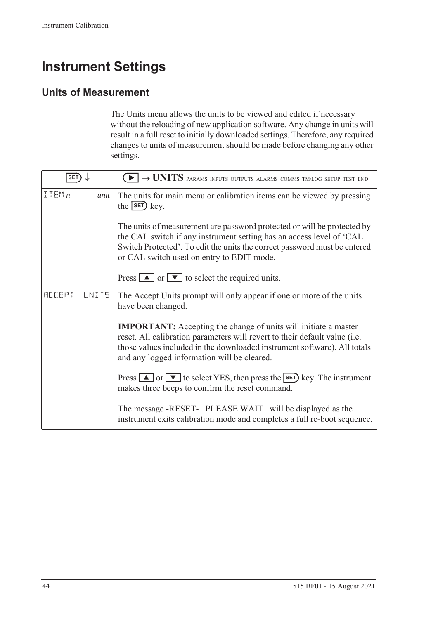# <span id="page-53-0"></span>**Instrument Settings**

#### **Units of Measurement**

The Units menu allows the units to be viewed and edited if necessary without the reloading of new application software. Any change in units will result in a full reset to initially downloaded settings. Therefore, any required changes to units of measurement should be made before changing any other settings.

| <b>SET</b>              | $\blacktriangleright$ $\rightarrow$ UNITS params inputs outputs alarms comms tm/log setup test end                                                                                                                                                                              |
|-------------------------|---------------------------------------------------------------------------------------------------------------------------------------------------------------------------------------------------------------------------------------------------------------------------------|
| ITEMn<br>unit           | The units for main menu or calibration items can be viewed by pressing<br>the $\left  \text{set} \right $ key.                                                                                                                                                                  |
|                         | The units of measurement are password protected or will be protected by<br>the CAL switch if any instrument setting has an access level of 'CAL<br>Switch Protected'. To edit the units the correct password must be entered<br>or CAL switch used on entry to EDIT mode.       |
|                         | Press $\boxed{\blacktriangle}$ or $\boxed{\blacktriangledown}$ to select the required units.                                                                                                                                                                                    |
| <b>ACCEPT</b><br>LINIT5 | The Accept Units prompt will only appear if one or more of the units<br>have been changed.                                                                                                                                                                                      |
|                         | <b>IMPORTANT:</b> Accepting the change of units will initiate a master<br>reset. All calibration parameters will revert to their default value (i.e.<br>those values included in the downloaded instrument software). All totals<br>and any logged information will be cleared. |
|                         | Press $\Box$ or $\nabla$ to select YES, then press the SET key. The instrument<br>makes three beeps to confirm the reset command.                                                                                                                                               |
|                         | The message -RESET- PLEASE WAIT will be displayed as the<br>instrument exits calibration mode and completes a full re-boot sequence.                                                                                                                                            |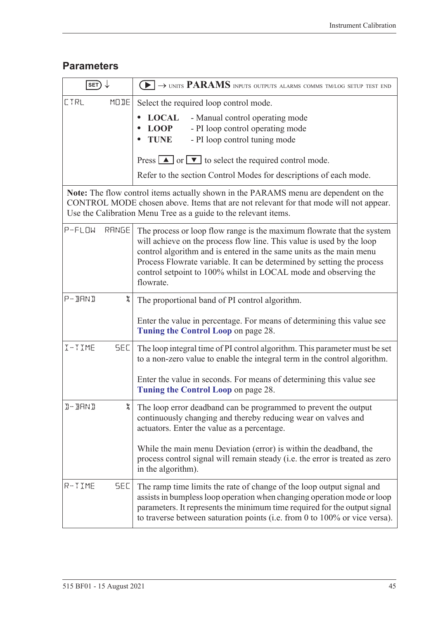### **Parameters**

| SET)                                                    | $\blacktriangleright$ $\rightarrow$ units PARAMS inputs outputs alarms comms tm/log setup test end                                                                                                                                                                                                                                                                               |
|---------------------------------------------------------|----------------------------------------------------------------------------------------------------------------------------------------------------------------------------------------------------------------------------------------------------------------------------------------------------------------------------------------------------------------------------------|
| <b>ETRL</b><br><b>MODE</b>                              | Select the required loop control mode.<br><b>LOCAL</b><br>- Manual control operating mode<br>- PI loop control operating mode<br><b>LOOP</b><br><b>TUNE</b><br>- PI loop control tuning mode                                                                                                                                                                                     |
|                                                         | Press $\boxed{\blacktriangle}$ or $\boxed{\blacktriangledown}$ to select the required control mode.<br>Refer to the section Control Modes for descriptions of each mode.                                                                                                                                                                                                         |
|                                                         | Note: The flow control items actually shown in the PARAMS menu are dependent on the<br>CONTROL MODE chosen above. Items that are not relevant for that mode will not appear.<br>Use the Calibration Menu Tree as a guide to the relevant items.                                                                                                                                  |
| P-FLOW<br>RANGE                                         | The process or loop flow range is the maximum flowrate that the system<br>will achieve on the process flow line. This value is used by the loop<br>control algorithm and is entered in the same units as the main menu<br>Process Flowrate variable. It can be determined by setting the process<br>control setpoint to 100% whilst in LOCAL mode and observing the<br>flowrate. |
| P-BAND<br>∦                                             | The proportional band of PI control algorithm.<br>Enter the value in percentage. For means of determining this value see<br>Tuning the Control Loop on page 28.                                                                                                                                                                                                                  |
| I-TIME<br>SEC <sup>1</sup>                              | The loop integral time of PI control algorithm. This parameter must be set<br>to a non-zero value to enable the integral term in the control algorithm.<br>Enter the value in seconds. For means of determining this value see<br>Tuning the Control Loop on page 28.                                                                                                            |
| $\mathbb{J}-\mathbb{J}\mathsf{H}\mathsf{N}\,\mathbb{J}$ | The loop error deadband can be programmed to prevent the output<br>continuously changing and thereby reducing wear on valves and<br>actuators. Enter the value as a percentage.<br>While the main menu Deviation (error) is within the deadband, the<br>process control signal will remain steady (i.e. the error is treated as zero<br>in the algorithm).                       |
| R-TIME<br>SEC <sub>1</sub>                              | The ramp time limits the rate of change of the loop output signal and<br>assists in bumpless loop operation when changing operation mode or loop<br>parameters. It represents the minimum time required for the output signal<br>to traverse between saturation points (i.e. from 0 to 100% or vice versa).                                                                      |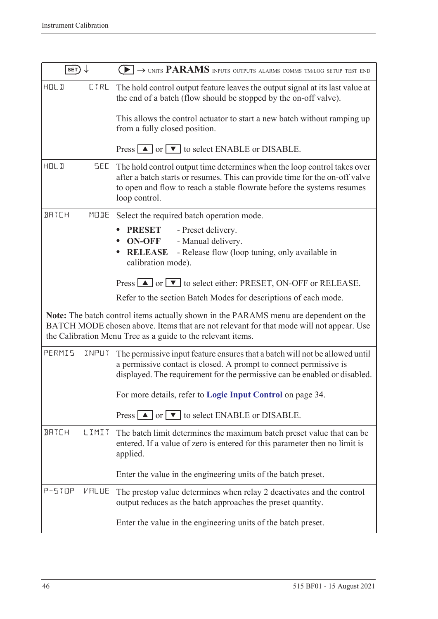| SET)                       | $\blacktriangleright$ $\rightarrow$ units PARAMS inputs outputs alarms comms tm/log setup test end                                                                                                                                                 |
|----------------------------|----------------------------------------------------------------------------------------------------------------------------------------------------------------------------------------------------------------------------------------------------|
| <b>HOLD</b><br><b>ETRL</b> | The hold control output feature leaves the output signal at its last value at<br>the end of a batch (flow should be stopped by the on-off valve).                                                                                                  |
|                            | This allows the control actuator to start a new batch without ramping up<br>from a fully closed position.                                                                                                                                          |
|                            | Press $\boxed{\blacktriangle}$ or $\boxed{\blacktriangledown}$ to select ENABLE or DISABLE.                                                                                                                                                        |
| <b>HOLD</b><br>SEC.        | The hold control output time determines when the loop control takes over<br>after a batch starts or resumes. This can provide time for the on-off valve<br>to open and flow to reach a stable flowrate before the systems resumes<br>loop control. |
| <b>BATCH</b><br>MODE       | Select the required batch operation mode.                                                                                                                                                                                                          |
|                            | <b>PRESET</b><br>- Preset delivery.                                                                                                                                                                                                                |
|                            | <b>ON-OFF</b><br>- Manual delivery.<br>- Release flow (loop tuning, only available in<br><b>RELEASE</b><br>calibration mode).                                                                                                                      |
|                            | Press $\Box$ or $\nabla$ to select either: PRESET, ON-OFF or RELEASE.                                                                                                                                                                              |
|                            | Refer to the section Batch Modes for descriptions of each mode.                                                                                                                                                                                    |
|                            | Note: The batch control items actually shown in the PARAMS menu are dependent on the<br>BATCH MODE chosen above. Items that are not relevant for that mode will not appear. Use<br>the Calibration Menu Tree as a guide to the relevant items.     |
| PERMIS<br>INPUT            | The permissive input feature ensures that a batch will not be allowed until<br>a permissive contact is closed. A prompt to connect permissive is<br>displayed. The requirement for the permissive can be enabled or disabled.                      |
|                            | For more details, refer to Logic Input Control on page 34.                                                                                                                                                                                         |
|                            | Press $\Box$ or $\nabla$ to select ENABLE or DISABLE.                                                                                                                                                                                              |
| <b>BRTCH</b><br>LIMIT      | The batch limit determines the maximum batch preset value that can be<br>entered. If a value of zero is entered for this parameter then no limit is<br>applied.                                                                                    |
|                            | Enter the value in the engineering units of the batch preset.                                                                                                                                                                                      |
| <b>P-510P</b><br>VALUE     | The prestop value determines when relay 2 deactivates and the control<br>output reduces as the batch approaches the preset quantity.                                                                                                               |
|                            | Enter the value in the engineering units of the batch preset.                                                                                                                                                                                      |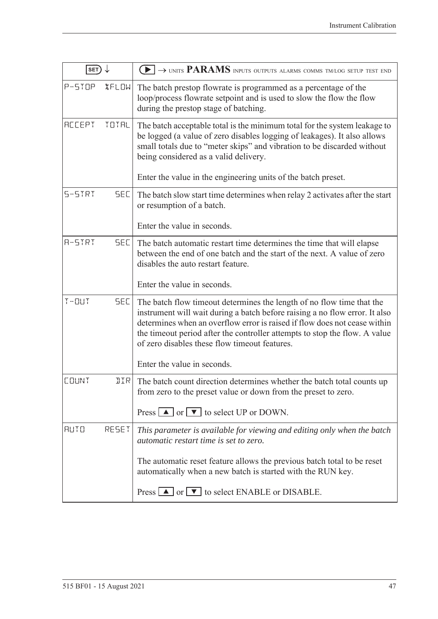| SET)          |              | $\blacktriangleright$ $\rightarrow$ units PARAMS inputs outputs alarms comms tm/log setup test end                                                                                                                                                                                                                                                               |
|---------------|--------------|------------------------------------------------------------------------------------------------------------------------------------------------------------------------------------------------------------------------------------------------------------------------------------------------------------------------------------------------------------------|
| <b>P-510P</b> | <b>XFLOW</b> | The batch prestop flowrate is programmed as a percentage of the<br>loop/process flowrate setpoint and is used to slow the flow the flow<br>during the prestop stage of batching.                                                                                                                                                                                 |
| <b>ACCEPT</b> | TOTAL        | The batch acceptable total is the minimum total for the system leakage to<br>be logged (a value of zero disables logging of leakages). It also allows<br>small totals due to "meter skips" and vibration to be discarded without<br>being considered as a valid delivery.                                                                                        |
|               |              | Enter the value in the engineering units of the batch preset.                                                                                                                                                                                                                                                                                                    |
| <b>5-5TRT</b> | <b>SEC</b>   | The batch slow start time determines when relay 2 activates after the start<br>or resumption of a batch.                                                                                                                                                                                                                                                         |
|               |              | Enter the value in seconds.                                                                                                                                                                                                                                                                                                                                      |
| A-STRT        | <b>SEC</b>   | The batch automatic restart time determines the time that will elapse<br>between the end of one batch and the start of the next. A value of zero<br>disables the auto restart feature.                                                                                                                                                                           |
|               |              | Enter the value in seconds.                                                                                                                                                                                                                                                                                                                                      |
| $T - 11T$     | SEC.         | The batch flow timeout determines the length of no flow time that the<br>instrument will wait during a batch before raising a no flow error. It also<br>determines when an overflow error is raised if flow does not cease within<br>the timeout period after the controller attempts to stop the flow. A value<br>of zero disables these flow timeout features. |
|               |              | Enter the value in seconds.                                                                                                                                                                                                                                                                                                                                      |
| <b>COUNT</b>  | <b>IIR</b>   | The batch count direction determines whether the batch total counts up<br>from zero to the preset value or down from the preset to zero.                                                                                                                                                                                                                         |
|               |              | Press $\boxed{\blacktriangle}$ or $\boxed{\blacktriangledown}$ to select UP or DOWN.                                                                                                                                                                                                                                                                             |
| <b>AUTO</b>   | RESET        | This parameter is available for viewing and editing only when the batch<br>automatic restart time is set to zero.                                                                                                                                                                                                                                                |
|               |              | The automatic reset feature allows the previous batch total to be reset<br>automatically when a new batch is started with the RUN key.                                                                                                                                                                                                                           |
|               |              | Press $\Box$ or $\nabla$ to select ENABLE or DISABLE.                                                                                                                                                                                                                                                                                                            |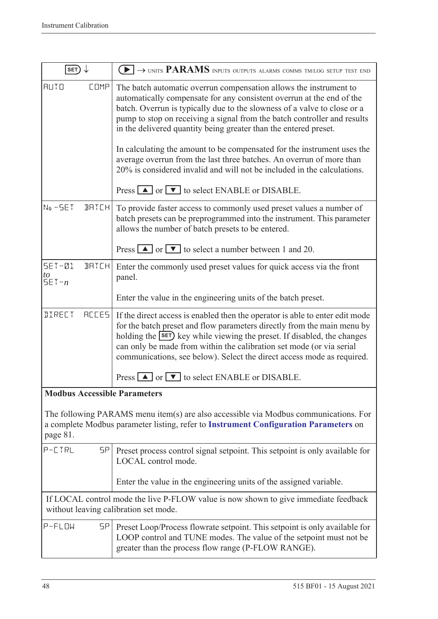| SET)                                             | $\blacktriangleright$ $\rightarrow$ units PARAMS inputs outputs alarms comms tm/log setup test end                                                                                                                                                                                                                                                                                         |  |
|--------------------------------------------------|--------------------------------------------------------------------------------------------------------------------------------------------------------------------------------------------------------------------------------------------------------------------------------------------------------------------------------------------------------------------------------------------|--|
| <b>RUTO</b><br><b>COMP</b>                       | The batch automatic overrun compensation allows the instrument to<br>automatically compensate for any consistent overrun at the end of the<br>batch. Overrun is typically due to the slowness of a valve to close or a<br>pump to stop on receiving a signal from the batch controller and results<br>in the delivered quantity being greater than the entered preset.                     |  |
|                                                  | In calculating the amount to be compensated for the instrument uses the<br>average overrun from the last three batches. An overrun of more than<br>20% is considered invalid and will not be included in the calculations.                                                                                                                                                                 |  |
|                                                  | Press $\Box$ or $\nabla$ to select ENABLE or DISABLE.                                                                                                                                                                                                                                                                                                                                      |  |
| $No - SET$<br><b>BRTCH</b>                       | To provide faster access to commonly used preset values a number of<br>batch presets can be preprogrammed into the instrument. This parameter<br>allows the number of batch presets to be entered.                                                                                                                                                                                         |  |
|                                                  | Press $\Box$ or $\Box$ to select a number between 1 and 20.                                                                                                                                                                                                                                                                                                                                |  |
| <b>SET-01</b><br><b>BRTCH</b><br>to<br>$5ET - n$ | Enter the commonly used preset values for quick access via the front<br>panel.                                                                                                                                                                                                                                                                                                             |  |
|                                                  | Enter the value in the engineering units of the batch preset.                                                                                                                                                                                                                                                                                                                              |  |
| <b>IIRECT</b><br><b>ACCES</b>                    | If the direct access is enabled then the operator is able to enter edit mode<br>for the batch preset and flow parameters directly from the main menu by<br>holding the <b>SET</b> key while viewing the preset. If disabled, the changes<br>can only be made from within the calibration set mode (or via serial<br>communications, see below). Select the direct access mode as required. |  |
|                                                  | Press $\boxed{\blacktriangle}$ or $\boxed{\blacktriangledown}$ to select ENABLE or DISABLE.                                                                                                                                                                                                                                                                                                |  |
| <b>Modbus Accessible Parameters</b>              |                                                                                                                                                                                                                                                                                                                                                                                            |  |
| page 81.                                         | The following PARAMS menu item(s) are also accessible via Modbus communications. For<br>a complete Modbus parameter listing, refer to Instrument Configuration Parameters on                                                                                                                                                                                                               |  |
| P-ETRL<br>5P I                                   | Preset process control signal setpoint. This setpoint is only available for<br>LOCAL control mode.                                                                                                                                                                                                                                                                                         |  |
|                                                  | Enter the value in the engineering units of the assigned variable.                                                                                                                                                                                                                                                                                                                         |  |
| without leaving calibration set mode.            | If LOCAL control mode the live P-FLOW value is now shown to give immediate feedback                                                                                                                                                                                                                                                                                                        |  |
| P-FLOW<br>5P                                     | Preset Loop/Process flowrate setpoint. This setpoint is only available for<br>LOOP control and TUNE modes. The value of the setpoint must not be<br>greater than the process flow range (P-FLOW RANGE).                                                                                                                                                                                    |  |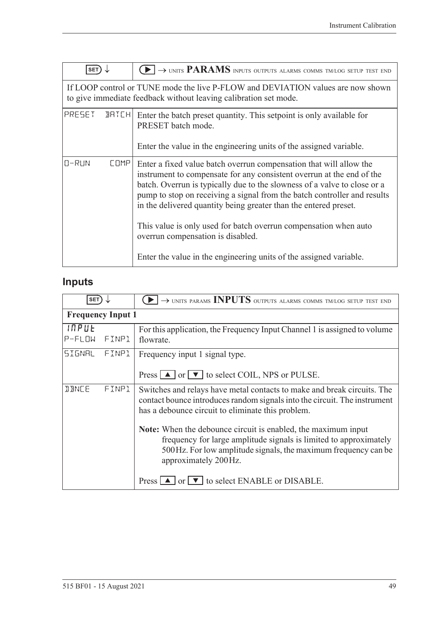| <b>SET</b>                                                                                                                                          | $(\blacktriangleright)$ $\rightarrow$ units PARAMS inputs outputs alarms comms tm/log setup test end                                                                                                                                                                                                                                                                                                                                                                                                                                                   |  |
|-----------------------------------------------------------------------------------------------------------------------------------------------------|--------------------------------------------------------------------------------------------------------------------------------------------------------------------------------------------------------------------------------------------------------------------------------------------------------------------------------------------------------------------------------------------------------------------------------------------------------------------------------------------------------------------------------------------------------|--|
| If LOOP control or TUNE mode the live P-FLOW and DEVIATION values are now shown<br>to give immediate feedback without leaving calibration set mode. |                                                                                                                                                                                                                                                                                                                                                                                                                                                                                                                                                        |  |
| PRESET<br><b>BRICH</b>                                                                                                                              | Enter the batch preset quantity. This setpoint is only available for<br>PRESET batch mode.<br>Enter the value in the engineering units of the assigned variable.                                                                                                                                                                                                                                                                                                                                                                                       |  |
| $D - R UN$<br>COMP                                                                                                                                  | Enter a fixed value batch overrun compensation that will allow the<br>instrument to compensate for any consistent overrun at the end of the<br>batch. Overrun is typically due to the slowness of a valve to close or a<br>pump to stop on receiving a signal from the batch controller and results<br>in the delivered quantity being greater than the entered preset.<br>This value is only used for batch overrun compensation when auto<br>overrun compensation is disabled.<br>Enter the value in the engineering units of the assigned variable. |  |

# **Inputs**

| <b>SET</b>               |       | $\rightarrow$ UNITS PARAMS INPUTS OUTPUTS ALARMS COMMS TM/LOG SETUP TEST END                                                                                                                                                        |  |
|--------------------------|-------|-------------------------------------------------------------------------------------------------------------------------------------------------------------------------------------------------------------------------------------|--|
| <b>Frequency Input 1</b> |       |                                                                                                                                                                                                                                     |  |
| INPUL<br>P-FLOW          | FINPl | For this application, the Frequency Input Channel 1 is assigned to volume<br>flowrate.                                                                                                                                              |  |
| SIGNAL                   | FINPl | Frequency input 1 signal type.<br>Press $\Box$ or $\nabla$ to select COIL, NPS or PULSE.                                                                                                                                            |  |
| <b>JBNCE</b>             | FINPl | Switches and relays have metal contacts to make and break circuits. The<br>contact bounce introduces random signals into the circuit. The instrument<br>has a debounce circuit to eliminate this problem.                           |  |
|                          |       | <b>Note:</b> When the debounce circuit is enabled, the maximum input<br>frequency for large amplitude signals is limited to approximately<br>500Hz. For low amplitude signals, the maximum frequency can be<br>approximately 200Hz. |  |
|                          |       | Press $\Box$ or $\nabla$ to select ENABLE or DISABLE.                                                                                                                                                                               |  |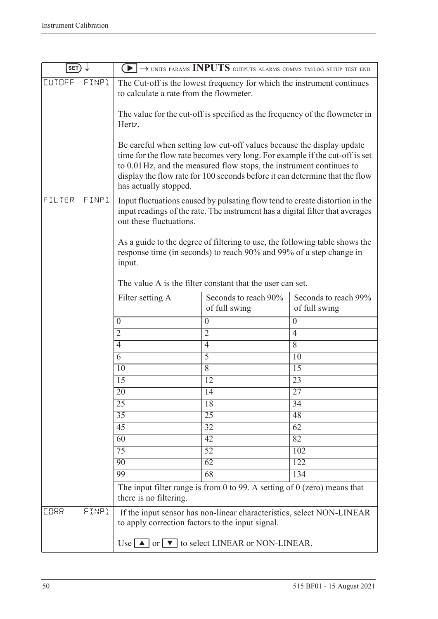| <b>SET</b>             |                                                  | $\widetilde{\blacktriangleright\blacktriangleright\blacktriangleright}$ units params INPUTS outputs alarms comms tm/log setup test end                                                                                                                                                                      |                                       |
|------------------------|--------------------------------------------------|-------------------------------------------------------------------------------------------------------------------------------------------------------------------------------------------------------------------------------------------------------------------------------------------------------------|---------------------------------------|
| <b>CUTOFF</b><br>FINP1 | to calculate a rate from the flowmeter.          | The Cut-off is the lowest frequency for which the instrument continues                                                                                                                                                                                                                                      |                                       |
|                        | Hertz.                                           | The value for the cut-off is specified as the frequency of the flowmeter in                                                                                                                                                                                                                                 |                                       |
|                        | has actually stopped.                            | Be careful when setting low cut-off values because the display update<br>time for the flow rate becomes very long. For example if the cut-off is set<br>to 0.01 Hz, and the measured flow stops, the instrument continues to<br>display the flow rate for 100 seconds before it can determine that the flow |                                       |
| FILTER<br>FINP1        | out these fluctuations.                          | Input fluctuations caused by pulsating flow tend to create distortion in the<br>input readings of the rate. The instrument has a digital filter that averages                                                                                                                                               |                                       |
|                        | input.                                           | As a guide to the degree of filtering to use, the following table shows the<br>response time (in seconds) to reach 90% and 99% of a step change in<br>The value A is the filter constant that the user can set.                                                                                             |                                       |
|                        | Filter setting A                                 | Seconds to reach 90%<br>of full swing                                                                                                                                                                                                                                                                       | Seconds to reach 99%<br>of full swing |
|                        | $\theta$                                         | $\boldsymbol{0}$                                                                                                                                                                                                                                                                                            | $\boldsymbol{0}$                      |
|                        | $\overline{2}$                                   | $\overline{2}$                                                                                                                                                                                                                                                                                              | $\overline{4}$                        |
|                        | $\overline{4}$                                   | $\overline{4}$                                                                                                                                                                                                                                                                                              | 8                                     |
|                        | 6                                                | $\overline{5}$                                                                                                                                                                                                                                                                                              | 10                                    |
|                        | 10                                               | $\overline{8}$                                                                                                                                                                                                                                                                                              | 15                                    |
|                        | 15                                               | 12                                                                                                                                                                                                                                                                                                          | 23                                    |
|                        | 20                                               | 14                                                                                                                                                                                                                                                                                                          | 27                                    |
|                        | $\overline{25}$                                  | $\overline{18}$                                                                                                                                                                                                                                                                                             | $\overline{34}$                       |
|                        | $\overline{35}$                                  | $\overline{25}$                                                                                                                                                                                                                                                                                             | 48                                    |
|                        | $\overline{45}$                                  | 32                                                                                                                                                                                                                                                                                                          | 62                                    |
|                        | $\overline{60}$                                  | $\overline{42}$                                                                                                                                                                                                                                                                                             | $\overline{82}$                       |
|                        | $\overline{75}$                                  | $\overline{52}$                                                                                                                                                                                                                                                                                             | 102                                   |
|                        | 90                                               | 62                                                                                                                                                                                                                                                                                                          | 122                                   |
|                        | 99                                               | $\overline{68}$                                                                                                                                                                                                                                                                                             | 134                                   |
|                        | there is no filtering.                           | The input filter range is from 0 to 99. A setting of $0$ (zero) means that                                                                                                                                                                                                                                  |                                       |
| FINP1<br><b>CORR</b>   | to apply correction factors to the input signal. | If the input sensor has non-linear characteristics, select NON-LINEAR                                                                                                                                                                                                                                       |                                       |
|                        |                                                  | Use $\Box$ or $\Box$ to select LINEAR or NON-LINEAR.                                                                                                                                                                                                                                                        |                                       |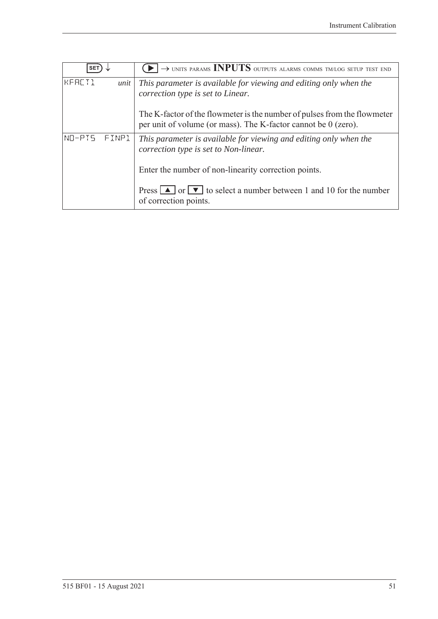| <b>SET</b> |       | $\text{L}\rightarrow$ units params INPUTS outputs alarms comms tm/log setup test end                                                       |  |
|------------|-------|--------------------------------------------------------------------------------------------------------------------------------------------|--|
| KFACT1     | unit  | This parameter is available for viewing and editing only when the<br>correction type is set to Linear.                                     |  |
|            |       | The K-factor of the flowmeter is the number of pulses from the flowmeter<br>per unit of volume (or mass). The K-factor cannot be 0 (zero). |  |
| NO-PIS     | FINPl | This parameter is available for viewing and editing only when the<br>correction type is set to Non-linear.                                 |  |
|            |       | Enter the number of non-linearity correction points.                                                                                       |  |
|            |       | Press $\boxed{\blacktriangle}$ or $\boxed{\blacktriangledown}$ to select a number between 1 and 10 for the number<br>of correction points. |  |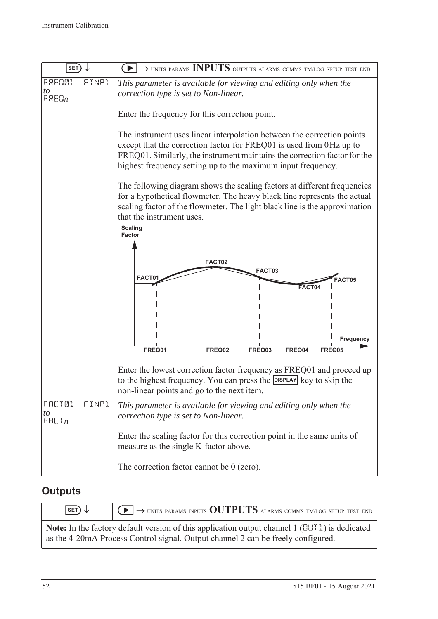| <b>SET</b>                         | $\rightarrow$ units params INPUTS outputs alarms comms tm/log setup test end                                                                                                                                                                                                               |
|------------------------------------|--------------------------------------------------------------------------------------------------------------------------------------------------------------------------------------------------------------------------------------------------------------------------------------------|
| FREQ01<br>FINP1                    | This parameter is available for viewing and editing only when the                                                                                                                                                                                                                          |
| to<br>$F$ RE $\mathbb{G}_n$        | correction type is set to Non-linear.                                                                                                                                                                                                                                                      |
|                                    | Enter the frequency for this correction point.                                                                                                                                                                                                                                             |
|                                    | The instrument uses linear interpolation between the correction points<br>except that the correction factor for FREQ01 is used from 0Hz up to<br>FREQ01. Similarly, the instrument maintains the correction factor for the<br>highest frequency setting up to the maximum input frequency. |
|                                    | The following diagram shows the scaling factors at different frequencies<br>for a hypothetical flowmeter. The heavy black line represents the actual<br>scaling factor of the flowmeter. The light black line is the approximation<br>that the instrument uses.                            |
|                                    | <b>Scaling</b>                                                                                                                                                                                                                                                                             |
|                                    | <b>Factor</b>                                                                                                                                                                                                                                                                              |
|                                    |                                                                                                                                                                                                                                                                                            |
|                                    | FACT02<br>FACT03                                                                                                                                                                                                                                                                           |
|                                    | <b>FACT0</b><br>FACT05<br>FACT04                                                                                                                                                                                                                                                           |
|                                    |                                                                                                                                                                                                                                                                                            |
|                                    |                                                                                                                                                                                                                                                                                            |
|                                    |                                                                                                                                                                                                                                                                                            |
|                                    | <b>Frequency</b>                                                                                                                                                                                                                                                                           |
|                                    | FREQ01<br>FREQ02<br>FREQ03<br>FREQ04<br>FREQ05                                                                                                                                                                                                                                             |
|                                    | Enter the lowest correction factor frequency as FREQ01 and proceed up<br>to the highest frequency. You can press the <b>DISPLAY</b> key to skip the<br>non-linear points and go to the next item.                                                                                          |
| FINP1<br>FACT01<br>to<br>F H L T n | This parameter is available for viewing and editing only when the<br>correction type is set to Non-linear.                                                                                                                                                                                 |
|                                    | Enter the scaling factor for this correction point in the same units of<br>measure as the single K-factor above.                                                                                                                                                                           |
|                                    | The correction factor cannot be $0$ (zero).                                                                                                                                                                                                                                                |

# **Outputs**

| $\boxed{\text{SET}}$ | $ \Theta\rangle \rightarrow$ units params inputs $\text{OUTPUTS}$ alarms comms tm/log setup test end                                                                              |
|----------------------|-----------------------------------------------------------------------------------------------------------------------------------------------------------------------------------|
|                      | Note: In the factory default version of this application output channel 1 (CUT1) is dedicated<br>as the 4-20mA Process Control signal. Output channel 2 can be freely configured. |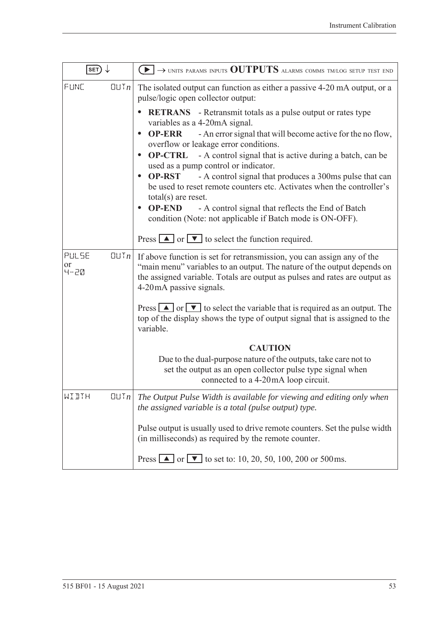| SET)                                            | $\textcolor{blue}{\blacktriangleright} \rightarrow$ units params inputs $\textcolor{blue}{OUTPUTS}$ alarms comms tm/log setup test end                                                                                                                                                                                                                                                                                                                                                                                                                                                                                                                                                                                                                                         |
|-------------------------------------------------|--------------------------------------------------------------------------------------------------------------------------------------------------------------------------------------------------------------------------------------------------------------------------------------------------------------------------------------------------------------------------------------------------------------------------------------------------------------------------------------------------------------------------------------------------------------------------------------------------------------------------------------------------------------------------------------------------------------------------------------------------------------------------------|
| FUNE<br>$\Box$ $\Box$ $\Box$ $n$                | The isolated output can function as either a passive 4-20 mA output, or a<br>pulse/logic open collector output:                                                                                                                                                                                                                                                                                                                                                                                                                                                                                                                                                                                                                                                                |
|                                                 | <b>RETRANS</b> - Retransmit totals as a pulse output or rates type<br>variables as a 4-20mA signal.<br><b>OP-ERR</b><br>- An error signal that will become active for the no flow,<br>$\bullet$<br>overflow or leakage error conditions.<br><b>OP-CTRL</b> - A control signal that is active during a batch, can be<br>$\bullet$<br>used as a pump control or indicator.<br><b>OP-RST</b><br>- A control signal that produces a 300ms pulse that can<br>$\bullet$<br>be used to reset remote counters etc. Activates when the controller's<br>$total(s)$ are reset.<br><b>OP-END</b><br>- A control signal that reflects the End of Batch<br>$\bullet$<br>condition (Note: not applicable if Batch mode is ON-OFF).<br>Press $\Box$ or $\Box$ to select the function required. |
| PULSE<br>$\Box$ $\Box$ $\Box$ $n$<br>or<br>4-20 | If above function is set for retransmission, you can assign any of the<br>"main menu" variables to an output. The nature of the output depends on<br>the assigned variable. Totals are output as pulses and rates are output as<br>4-20 mA passive signals.                                                                                                                                                                                                                                                                                                                                                                                                                                                                                                                    |
|                                                 | Press $\boxed{\blacktriangle}$ or $\boxed{\blacktriangledown}$ to select the variable that is required as an output. The<br>top of the display shows the type of output signal that is assigned to the<br>variable.                                                                                                                                                                                                                                                                                                                                                                                                                                                                                                                                                            |
|                                                 | <b>CAUTION</b><br>Due to the dual-purpose nature of the outputs, take care not to<br>set the output as an open collector pulse type signal when<br>connected to a 4-20mA loop circuit.                                                                                                                                                                                                                                                                                                                                                                                                                                                                                                                                                                                         |
| WIJTH<br>QUTn                                   | The Output Pulse Width is available for viewing and editing only when<br>the assigned variable is a total (pulse output) type.                                                                                                                                                                                                                                                                                                                                                                                                                                                                                                                                                                                                                                                 |
|                                                 | Pulse output is usually used to drive remote counters. Set the pulse width<br>(in milliseconds) as required by the remote counter.                                                                                                                                                                                                                                                                                                                                                                                                                                                                                                                                                                                                                                             |
|                                                 | Press $\triangle$ or $\triangledown$ to set to: 10, 20, 50, 100, 200 or 500 ms.                                                                                                                                                                                                                                                                                                                                                                                                                                                                                                                                                                                                                                                                                                |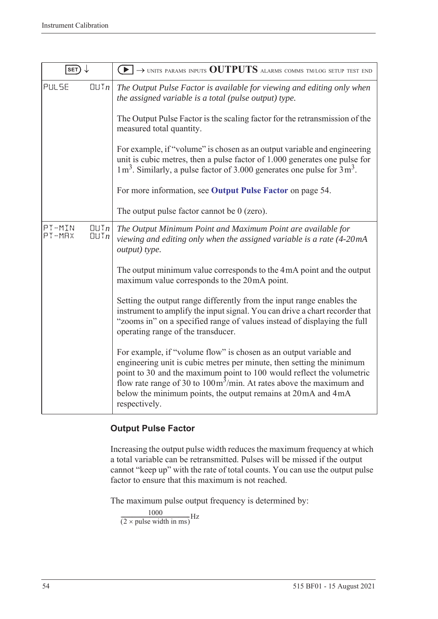| SET)             |                    | $\leftarrow$ $\rightarrow$ units params inputs OUTPUTS alarms comms tmlog setup test end                                                                                                                                                                                                                                                                                                        |
|------------------|--------------------|-------------------------------------------------------------------------------------------------------------------------------------------------------------------------------------------------------------------------------------------------------------------------------------------------------------------------------------------------------------------------------------------------|
| PULSE            | QUTn               | The Output Pulse Factor is available for viewing and editing only when<br>the assigned variable is a total (pulse output) type.                                                                                                                                                                                                                                                                 |
|                  |                    | The Output Pulse Factor is the scaling factor for the retransmission of the<br>measured total quantity.                                                                                                                                                                                                                                                                                         |
|                  |                    | For example, if "volume" is chosen as an output variable and engineering<br>unit is cubic metres, then a pulse factor of 1.000 generates one pulse for<br>$1 m3$ . Similarly, a pulse factor of 3.000 generates one pulse for $3 m3$ .                                                                                                                                                          |
|                  |                    | For more information, see Output Pulse Factor on page 54.                                                                                                                                                                                                                                                                                                                                       |
|                  |                    | The output pulse factor cannot be $0$ (zero).                                                                                                                                                                                                                                                                                                                                                   |
| PT-MIN<br>PT-MAX | $QU$ T $n$<br>QUTn | The Output Minimum Point and Maximum Point are available for<br>viewing and editing only when the assigned variable is a rate (4-20mA<br>output) type.                                                                                                                                                                                                                                          |
|                  |                    | The output minimum value corresponds to the 4mA point and the output<br>maximum value corresponds to the 20mA point.                                                                                                                                                                                                                                                                            |
|                  |                    | Setting the output range differently from the input range enables the<br>instrument to amplify the input signal. You can drive a chart recorder that<br>"zooms in" on a specified range of values instead of displaying the full<br>operating range of the transducer.                                                                                                                          |
|                  |                    | For example, if "volume flow" is chosen as an output variable and<br>engineering unit is cubic metres per minute, then setting the minimum<br>point to 30 and the maximum point to 100 would reflect the volumetric<br>flow rate range of 30 to $100 \text{m}^3/\text{min}$ . At rates above the maximum and<br>below the minimum points, the output remains at 20 mA and 4 mA<br>respectively. |

#### <span id="page-63-0"></span>**Output Pulse Factor**

Increasing the output pulse width reduces the maximum frequency at which a total variable can be retransmitted. Pulses will be missed if the output cannot "keep up" with the rate of total counts. You can use the output pulse factor to ensure that this maximum is not reached.

The maximum pulse output frequency is determined by:

```
1000
\frac{1000}{(2 \times \text{pulse width in ms})}Hz
```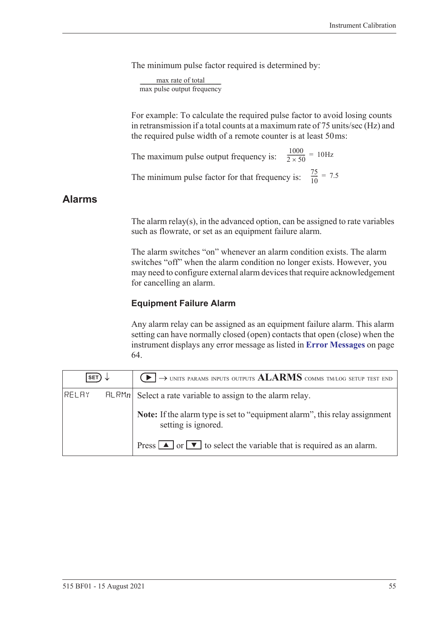The minimum pulse factor required is determined by:

max rate of total max pulse output frequency ------------------------------------------------------------------

For example: To calculate the required pulse factor to avoid losing counts in retransmission if a total counts at a maximum rate of 75 units/sec (Hz) and the required pulse width of a remote counter is at least 50 ms:

The maximum pulse output frequency is:  $\frac{1000}{2 \times 50}$  = 10Hz

The minimum pulse factor for that frequency is:  $\frac{75}{10}$  $\frac{73}{10}$  = 7.5

#### **Alarms**

The alarm relay(s), in the advanced option, can be assigned to rate variables such as flowrate, or set as an equipment failure alarm.

The alarm switches "on" whenever an alarm condition exists. The alarm switches "off" when the alarm condition no longer exists. However, you may need to configure external alarm devices that require acknowledgement for cancelling an alarm.

#### **Equipment Failure Alarm**

Any alarm relay can be assigned as an equipment failure alarm. This alarm setting can have normally closed (open) contacts that open (close) when the instrument displays any error message as listed in **[Error Messages](#page-73-1)** on page [64.](#page-73-1)

| SET)  |  | $\left(\blacktriangleright\right)\rightarrow$ units params inputs outputs $ALARNING$ comms tm/log setup test end |
|-------|--|------------------------------------------------------------------------------------------------------------------|
| RELAY |  | $\text{FLRM}_n$ Select a rate variable to assign to the alarm relay.                                             |
|       |  | Note: If the alarm type is set to "equipment alarm", this relay assignment<br>setting is ignored.                |
|       |  | Press $\Box$ or $\nabla$ to select the variable that is required as an alarm.                                    |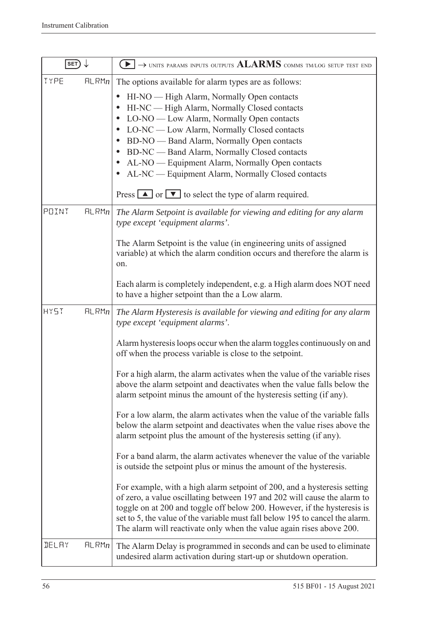| SET)                  | $\rightarrow$ units params inputs outputs $ALARMS$ comms tm/log setup test end<br>$\blacktriangleright$                                                                                                                                                                                                                                                                                                                                                                                                                                                                                         |
|-----------------------|-------------------------------------------------------------------------------------------------------------------------------------------------------------------------------------------------------------------------------------------------------------------------------------------------------------------------------------------------------------------------------------------------------------------------------------------------------------------------------------------------------------------------------------------------------------------------------------------------|
| TYPE<br>HLRMn         | The options available for alarm types are as follows:                                                                                                                                                                                                                                                                                                                                                                                                                                                                                                                                           |
|                       | HI-NO — High Alarm, Normally Open contacts<br>$\bullet$<br>HI-NC — High Alarm, Normally Closed contacts<br>$\bullet$<br>LO-NO — Low Alarm, Normally Open contacts<br>$\bullet$<br>LO-NC — Low Alarm, Normally Closed contacts<br>BD-NO — Band Alarm, Normally Open contacts<br>$\bullet$<br>BD-NC — Band Alarm, Normally Closed contacts<br>$\bullet$<br>AL-NO — Equipment Alarm, Normally Open contacts<br>$\bullet$<br>AL-NC — Equipment Alarm, Normally Closed contacts<br>$\bullet$<br>Press $\boxed{\blacktriangle}$ or $\boxed{\blacktriangledown}$ to select the type of alarm required. |
| POINT<br>HLRMn        |                                                                                                                                                                                                                                                                                                                                                                                                                                                                                                                                                                                                 |
|                       | The Alarm Setpoint is available for viewing and editing for any alarm<br>type except 'equipment alarms'.                                                                                                                                                                                                                                                                                                                                                                                                                                                                                        |
|                       | The Alarm Setpoint is the value (in engineering units of assigned<br>variable) at which the alarm condition occurs and therefore the alarm is<br>on.                                                                                                                                                                                                                                                                                                                                                                                                                                            |
|                       | Each alarm is completely independent, e.g. a High alarm does NOT need<br>to have a higher setpoint than the a Low alarm.                                                                                                                                                                                                                                                                                                                                                                                                                                                                        |
| <b>HY5T</b><br>HLRMn  | The Alarm Hysteresis is available for viewing and editing for any alarm<br>type except 'equipment alarms'.                                                                                                                                                                                                                                                                                                                                                                                                                                                                                      |
|                       | Alarm hysteresis loops occur when the alarm toggles continuously on and<br>off when the process variable is close to the setpoint.                                                                                                                                                                                                                                                                                                                                                                                                                                                              |
|                       | For a high alarm, the alarm activates when the value of the variable rises<br>above the alarm setpoint and deactivates when the value falls below the<br>alarm setpoint minus the amount of the hysteresis setting (if any).                                                                                                                                                                                                                                                                                                                                                                    |
|                       | For a low alarm, the alarm activates when the value of the variable falls<br>below the alarm setpoint and deactivates when the value rises above the<br>alarm setpoint plus the amount of the hysteresis setting (if any).                                                                                                                                                                                                                                                                                                                                                                      |
|                       | For a band alarm, the alarm activates whenever the value of the variable<br>is outside the setpoint plus or minus the amount of the hysteresis.                                                                                                                                                                                                                                                                                                                                                                                                                                                 |
|                       | For example, with a high alarm setpoint of 200, and a hysteresis setting<br>of zero, a value oscillating between 197 and 202 will cause the alarm to<br>toggle on at 200 and toggle off below 200. However, if the hysteresis is<br>set to 5, the value of the variable must fall below 195 to cancel the alarm.<br>The alarm will reactivate only when the value again rises above 200.                                                                                                                                                                                                        |
| <b>JELAY</b><br>HLRMn | The Alarm Delay is programmed in seconds and can be used to eliminate<br>undesired alarm activation during start-up or shutdown operation.                                                                                                                                                                                                                                                                                                                                                                                                                                                      |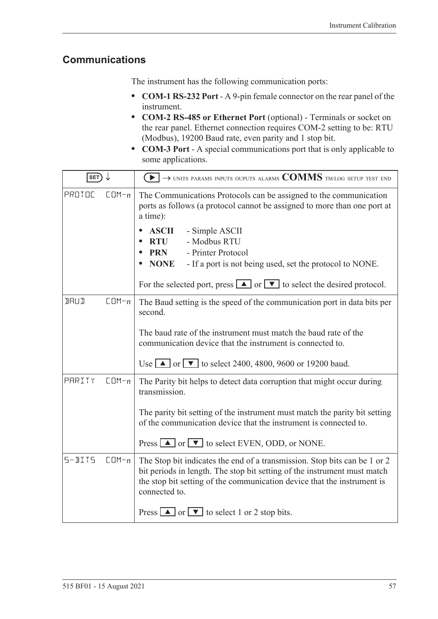#### **Communications**

The instrument has the following communication ports:

- **• COM-1 RS-232 Port** A 9-pin female connector on the rear panel of the instrument.
- **• COM-2 RS-485 or Ethernet Port** (optional) Terminals or socket on the rear panel. Ethernet connection requires COM-2 setting to be: RTU (Modbus), 19200 Baud rate, even parity and 1 stop bit.
- **• COM-3 Port** A special communications port that is only applicable to some applications.

| SET)                     | $\rightarrow$ units params inputs ouputs alarms $COMMS$ tm/log setup test end<br>$\rightarrow$ $\rightarrow$ $\rightarrow$                                                                                                                        |
|--------------------------|---------------------------------------------------------------------------------------------------------------------------------------------------------------------------------------------------------------------------------------------------|
| PROTOC<br>$CDM - n$      | The Communications Protocols can be assigned to the communication<br>ports as follows (a protocol cannot be assigned to more than one port at<br>a time):                                                                                         |
|                          | <b>ASCII</b><br>- Simple ASCII<br>- Modbus RTU<br><b>RTU</b>                                                                                                                                                                                      |
|                          | - Printer Protocol<br><b>PRN</b><br><b>NONE</b><br>- If a port is not being used, set the protocol to NONE.                                                                                                                                       |
|                          | For the selected port, press $\boxed{\blacktriangle}$ or $\boxed{\blacktriangledown}$ to select the desired protocol.                                                                                                                             |
| <b>BAUD</b><br>$CDM - n$ | The Baud setting is the speed of the communication port in data bits per<br>second.                                                                                                                                                               |
|                          | The baud rate of the instrument must match the baud rate of the<br>communication device that the instrument is connected to.                                                                                                                      |
|                          | Use $\boxed{\blacktriangle}$ or $\boxed{\blacktriangledown}$ to select 2400, 4800, 9600 or 19200 baud.                                                                                                                                            |
| PARITY<br>$CDM - n$      | The Parity bit helps to detect data corruption that might occur during<br>transmission.                                                                                                                                                           |
|                          | The parity bit setting of the instrument must match the parity bit setting<br>of the communication device that the instrument is connected to.                                                                                                    |
|                          | Press $\blacksquare$ or $\blacksquare$ to select EVEN, ODD, or NONE.                                                                                                                                                                              |
| $5 - B1T5$<br>$CDM - n$  | The Stop bit indicates the end of a transmission. Stop bits can be 1 or 2<br>bit periods in length. The stop bit setting of the instrument must match<br>the stop bit setting of the communication device that the instrument is<br>connected to. |
|                          | Press $\boxed{\blacktriangle}$ or $\boxed{\blacktriangledown}$ to select 1 or 2 stop bits.                                                                                                                                                        |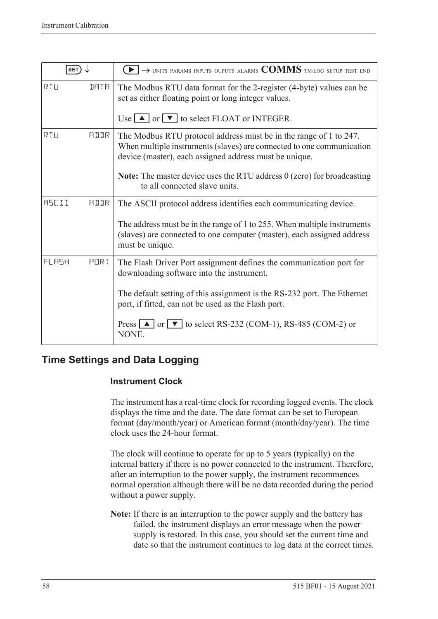| SET          |             | $\rightarrow$ units params inputs ouputs alarms $COMMS$ tm/log setup test end                                                                                                                        |
|--------------|-------------|------------------------------------------------------------------------------------------------------------------------------------------------------------------------------------------------------|
| RTU          | <b>IRTR</b> | The Modbus RTU data format for the 2-register (4-byte) values can be<br>set as either floating point or long integer values.                                                                         |
|              |             | Use $\Box$ or $\Box$ to select FLOAT or INTEGER.                                                                                                                                                     |
| RTU          | AIIR        | The Modbus RTU protocol address must be in the range of 1 to 247.<br>When multiple instruments (slaves) are connected to one communication<br>device (master), each assigned address must be unique. |
|              |             | <b>Note:</b> The master device uses the RTU address $0$ (zero) for broadcasting<br>to all connected slave units.                                                                                     |
| <b>RSCII</b> | <b>ATTR</b> | The ASCII protocol address identifies each communicating device.                                                                                                                                     |
|              |             | The address must be in the range of 1 to 255. When multiple instruments<br>(slaves) are connected to one computer (master), each assigned address<br>must be unique.                                 |
| FLASH        | PORT        | The Flash Driver Port assignment defines the communication port for<br>downloading software into the instrument.                                                                                     |
|              |             | The default setting of this assignment is the RS-232 port. The Ethernet<br>port, if fitted, can not be used as the Flash port.                                                                       |
|              |             | Press $\Box$ or $\nabla$ to select RS-232 (COM-1), RS-485 (COM-2) or<br>NONE.                                                                                                                        |

# **Time Settings and Data Logging**

#### **Instrument Clock**

The instrument has a real-time clock for recording logged events. The clock displays the time and the date. The date format can be set to European format (day/month/year) or American format (month/day/year). The time clock uses the 24-hour format.

The clock will continue to operate for up to 5 years (typically) on the internal battery if there is no power connected to the instrument. Therefore, after an interruption to the power supply, the instrument recommences normal operation although there will be no data recorded during the period without a power supply.

**Note:** If there is an interruption to the power supply and the battery has failed, the instrument displays an error message when the power supply is restored. In this case, you should set the current time and date so that the instrument continues to log data at the correct times.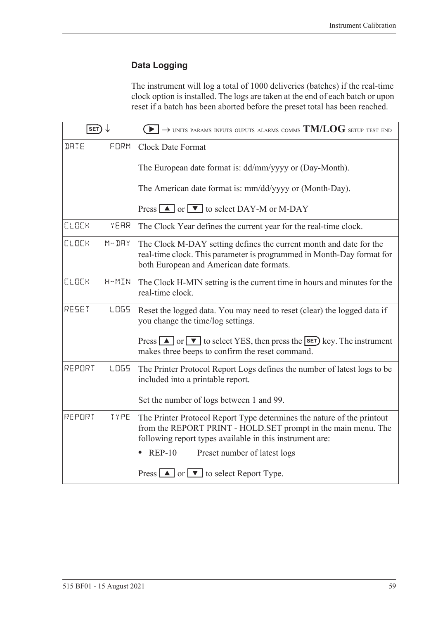#### **Data Logging**

The instrument will log a total of 1000 deliveries (batches) if the real-time clock option is installed. The logs are taken at the end of each batch or upon reset if a batch has been aborted before the preset total has been reached.

| SET)         |             | $\rightarrow$ units params inputs ouputs alarms comms $\mathrm{TM/LOG}$ setup test end<br>$\blacktriangleright$ $\blacktriangleright$                                                               |
|--------------|-------------|-----------------------------------------------------------------------------------------------------------------------------------------------------------------------------------------------------|
| <b>IRTE</b>  | FORM        | <b>Clock Date Format</b>                                                                                                                                                                            |
|              |             | The European date format is: dd/mm/yyyy or (Day-Month).                                                                                                                                             |
|              |             | The American date format is: mm/dd/yyyy or (Month-Day).                                                                                                                                             |
|              |             | Press $\boxed{\blacktriangle}$ or $\boxed{\blacktriangledown}$ to select DAY-M or M-DAY                                                                                                             |
| <b>CLOCK</b> | YEAR        | The Clock Year defines the current year for the real-time clock.                                                                                                                                    |
| <b>CLOCK</b> | $M - JHY$   | The Clock M-DAY setting defines the current month and date for the<br>real-time clock. This parameter is programmed in Month-Day format for<br>both European and American date formats.             |
| <b>CLOCK</b> | H-MIN       | The Clock H-MIN setting is the current time in hours and minutes for the<br>real-time clock.                                                                                                        |
| RESET        | <b>LOGS</b> | Reset the logged data. You may need to reset (clear) the logged data if<br>you change the time/log settings.                                                                                        |
|              |             | Press $\Box$ or $\nabla$ to select YES, then press the SET key. The instrument<br>makes three beeps to confirm the reset command.                                                                   |
| REPORT       | LO65        | The Printer Protocol Report Logs defines the number of latest logs to be<br>included into a printable report.                                                                                       |
|              |             | Set the number of logs between 1 and 99.                                                                                                                                                            |
| REPORT       | TYPE        | The Printer Protocol Report Type determines the nature of the printout<br>from the REPORT PRINT - HOLD.SET prompt in the main menu. The<br>following report types available in this instrument are: |
|              |             | $REP-10$<br>Preset number of latest logs                                                                                                                                                            |
|              |             | Press $\boxed{\blacktriangle}$ or $\boxed{\blacktriangledown}$ to select Report Type.                                                                                                               |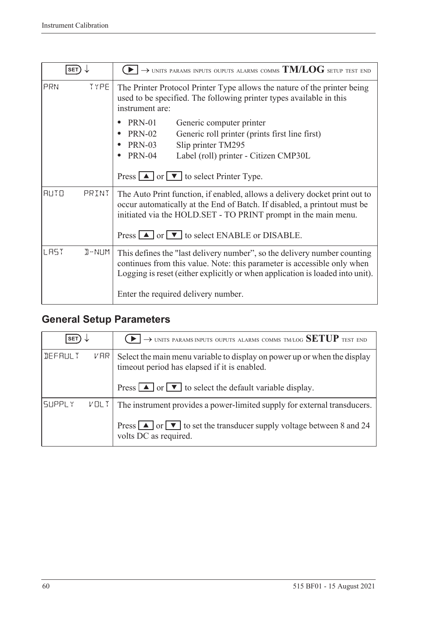| <b>SET</b>  |             | $\rightarrow$ units params inputs ouputs alarms comms $\mathrm{TM}/\mathrm{LOG}$ setup test end                                                                                                                                                                                                         |
|-------------|-------------|---------------------------------------------------------------------------------------------------------------------------------------------------------------------------------------------------------------------------------------------------------------------------------------------------------|
| PRN         | TYPE        | The Printer Protocol Printer Type allows the nature of the printer being<br>used to be specified. The following printer types available in this<br>instrument are:                                                                                                                                      |
|             |             | <b>PRN-01</b><br>Generic computer printer<br><b>PRN-02</b><br>Generic roll printer (prints first line first)<br><b>PRN-03</b><br>Slip printer TM295<br><b>PRN-04</b><br>Label (roll) printer - Citizen CMP30L<br>Press $\boxed{\blacktriangle}$ or $\boxed{\blacktriangledown}$ to select Printer Type. |
|             |             |                                                                                                                                                                                                                                                                                                         |
| <b>RUTO</b> | PRINT       | The Auto Print function, if enabled, allows a delivery docket print out to<br>occur automatically at the End of Batch. If disabled, a printout must be<br>initiated via the HOLD.SET - TO PRINT prompt in the main menu.<br>Press $\Box$ or $\nabla$ to select ENABLE or DISABLE.                       |
|             |             |                                                                                                                                                                                                                                                                                                         |
| LAST        | $I - N L M$ | This defines the "last delivery number", so the delivery number counting<br>continues from this value. Note: this parameter is accessible only when<br>Logging is reset (either explicitly or when application is loaded into unit).                                                                    |
|             |             | Enter the required delivery number.                                                                                                                                                                                                                                                                     |

# **General Setup Parameters**

| $ $ SET $) \downarrow$ |            | $\rightarrow$ units params inputs ouputs alarms comms tm/log SETUP test end                                              |
|------------------------|------------|--------------------------------------------------------------------------------------------------------------------------|
| <b>JEFAULT</b>         | $V$ RR $ $ | Select the main menu variable to display on power up or when the display<br>timeout period has elapsed if it is enabled. |
|                        |            | Press $\boxed{\blacktriangle}$ or $\boxed{\blacktriangledown}$ to select the default variable display.                   |
| <b>SUPPLY</b>          | VCLT       | The instrument provides a power-limited supply for external transducers.                                                 |
|                        |            | Press $\Box$ or $\nabla$ to set the transducer supply voltage between 8 and 24<br>volts DC as required.                  |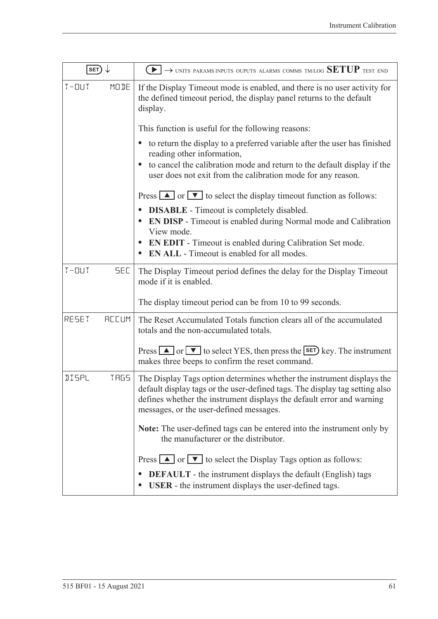| SET)                  | $\rightarrow$ units params inputs ouputs alarms comms tm/log SETUP test end<br>$\blacktriangleright$ 1                                                                                                                                                                    |  |  |
|-----------------------|---------------------------------------------------------------------------------------------------------------------------------------------------------------------------------------------------------------------------------------------------------------------------|--|--|
| MODE<br>$T - 11T$     | If the Display Timeout mode is enabled, and there is no user activity for<br>the defined timeout period, the display panel returns to the default<br>display.                                                                                                             |  |  |
|                       | This function is useful for the following reasons:                                                                                                                                                                                                                        |  |  |
|                       | to return the display to a preferred variable after the user has finished<br>$\bullet$<br>reading other information,<br>to cancel the calibration mode and return to the default display if the                                                                           |  |  |
|                       | user does not exit from the calibration mode for any reason.                                                                                                                                                                                                              |  |  |
|                       | Press $\boxed{\blacktriangle}$ or $\boxed{\blacktriangledown}$ to select the display timeout function as follows:                                                                                                                                                         |  |  |
|                       | <b>DISABLE</b> - Timeout is completely disabled.<br>$\bullet$<br><b>EN DISP</b> - Timeout is enabled during Normal mode and Calibration<br>View mode.                                                                                                                     |  |  |
|                       | <b>EN EDIT</b> - Timeout is enabled during Calibration Set mode.<br>$\bullet$<br><b>EN ALL</b> - Timeout is enabled for all modes.                                                                                                                                        |  |  |
| $T - 111T$<br>SEC.    | The Display Timeout period defines the delay for the Display Timeout<br>mode if it is enabled.                                                                                                                                                                            |  |  |
|                       | The display timeout period can be from 10 to 99 seconds.                                                                                                                                                                                                                  |  |  |
| <b>REEUM</b><br>RESET | The Reset Accumulated Totals function clears all of the accumulated<br>totals and the non-accumulated totals.                                                                                                                                                             |  |  |
|                       | Press $\Box$ or $\nabla$ to select YES, then press the <b>SET</b> ) key. The instrument<br>makes three beeps to confirm the reset command.                                                                                                                                |  |  |
| <b>IISPL</b><br>TRG5  | The Display Tags option determines whether the instrument displays the<br>default display tags or the user-defined tags. The display tag setting also<br>defines whether the instrument displays the default error and warning<br>messages, or the user-defined messages. |  |  |
|                       | Note: The user-defined tags can be entered into the instrument only by<br>the manufacturer or the distributor.                                                                                                                                                            |  |  |
|                       | Press $\Box$ or $\nabla$ to select the Display Tags option as follows:                                                                                                                                                                                                    |  |  |
|                       | <b>DEFAULT</b> - the instrument displays the default (English) tags<br>$\bullet$<br><b>USER</b> - the instrument displays the user-defined tags.                                                                                                                          |  |  |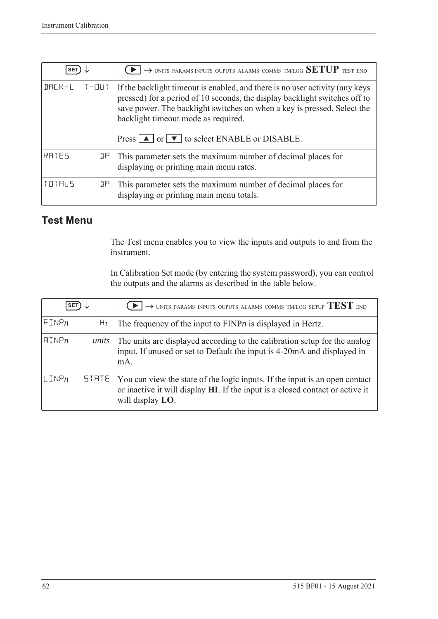| <b>SET</b>    |            | $\rightarrow$ units params inputs ouputs alarms comms tm/log SETUP test end                                                                                                                                                                                                                                                                                                  |
|---------------|------------|------------------------------------------------------------------------------------------------------------------------------------------------------------------------------------------------------------------------------------------------------------------------------------------------------------------------------------------------------------------------------|
| $B H L K - L$ | $T - 011T$ | If the backlight time out is enabled, and there is no user activity (any keys<br>pressed) for a period of 10 seconds, the display backlight switches off to<br>save power. The backlight switches on when a key is pressed. Select the<br>backlight timeout mode as required.<br>Press $\boxed{\blacktriangle}$ or $\boxed{\blacktriangledown}$ to select ENABLE or DISABLE. |
| <b>RATES</b>  | <b>JP</b>  | This parameter sets the maximum number of decimal places for<br>displaying or printing main menu rates.                                                                                                                                                                                                                                                                      |
| TOTALS        | IP         | This parameter sets the maximum number of decimal places for<br>displaying or printing main menu totals.                                                                                                                                                                                                                                                                     |

#### **Test Menu**

The Test menu enables you to view the inputs and outputs to and from the instrument.

In Calibration Set mode (by entering the system password), you can control the outputs and the alarms as described in the table below.

| SET         |                | $\rightarrow$ units params inputs ouputs alarms comms tm/log setup $\mathrm{TEST}$ end                                                                                           |
|-------------|----------------|----------------------------------------------------------------------------------------------------------------------------------------------------------------------------------|
| FINPn       | H <sub>z</sub> | The frequency of the input to $FINPn$ is displayed in Hertz.                                                                                                                     |
| HINPn       | units          | The units are displayed according to the calibration setup for the analog<br>input. If unused or set to Default the input is 4-20mA and displayed in<br>mA.                      |
| $L$ INP $n$ | STRTE          | You can view the state of the logic inputs. If the input is an open contact<br>or inactive it will display HI. If the input is a closed contact or active it<br>will display LO. |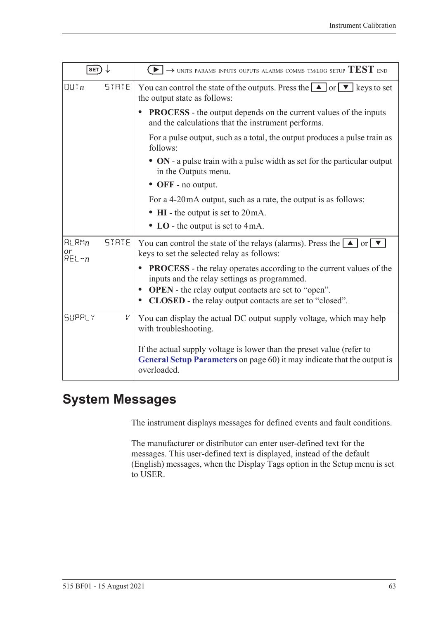| SET)                     |       | $\rightarrow$ units params inputs ouputs alarms comms tm/log setup $\mathrm{TEST}$ end                                                                          |
|--------------------------|-------|-----------------------------------------------------------------------------------------------------------------------------------------------------------------|
| QUTn                     | STRTE | You can control the state of the outputs. Press the $\Box$ or $\nabla$ keys to set<br>the output state as follows:                                              |
|                          |       | <b>PROCESS</b> - the output depends on the current values of the inputs<br>and the calculations that the instrument performs.                                   |
|                          |       | For a pulse output, such as a total, the output produces a pulse train as<br>follows:                                                                           |
|                          |       | • ON - a pulse train with a pulse width as set for the particular output<br>in the Outputs menu.                                                                |
|                          |       | • OFF - no output.                                                                                                                                              |
|                          |       | For a 4-20 mA output, such as a rate, the output is as follows:                                                                                                 |
|                          |       | • HI - the output is set to 20 mA.                                                                                                                              |
|                          |       | • LO - the output is set to 4mA.                                                                                                                                |
| HLRMn<br>0r<br>$REL - n$ | STRTE | You can control the state of the relays (alarms). Press the $\Box$ or $\nabla$<br>keys to set the selected relay as follows:                                    |
|                          |       | <b>PROCESS</b> - the relay operates according to the current values of the<br>inputs and the relay settings as programmed.                                      |
|                          |       | <b>OPEN</b> - the relay output contacts are set to "open".<br>$\bullet$<br>CLOSED - the relay output contacts are set to "closed".<br>$\bullet$                 |
| <b>SUPPLY</b>            | V     | You can display the actual DC output supply voltage, which may help<br>with troubleshooting.                                                                    |
|                          |       | If the actual supply voltage is lower than the preset value (refer to<br>General Setup Parameters on page 60) it may indicate that the output is<br>overloaded. |

### **System Messages**

<span id="page-72-0"></span>The instrument displays messages for defined events and fault conditions.

The manufacturer or distributor can enter user-defined text for the messages. This user-defined text is displayed, instead of the default (English) messages, when the Display Tags option in the Setup menu is set to USER.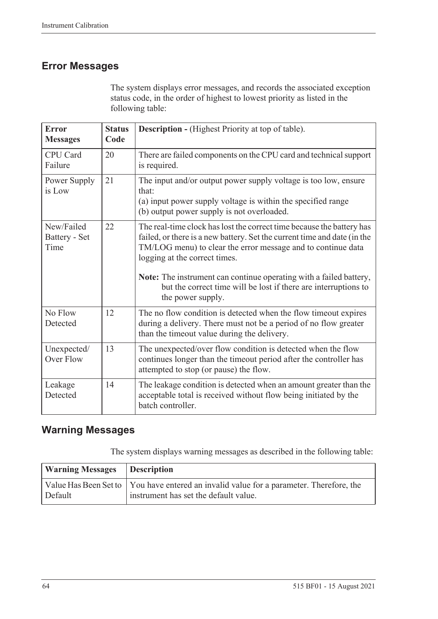#### <span id="page-73-1"></span>**Error Messages**

The system displays error messages, and records the associated exception status code, in the order of highest to lowest priority as listed in the following table:

<span id="page-73-0"></span>

| <b>Error</b><br><b>Messages</b>     | <b>Status</b><br>Code | Description - (Highest Priority at top of table).                                                                                                                                                                                                                                                                                                                                                                |
|-------------------------------------|-----------------------|------------------------------------------------------------------------------------------------------------------------------------------------------------------------------------------------------------------------------------------------------------------------------------------------------------------------------------------------------------------------------------------------------------------|
| CPU Card<br>Failure                 | 20                    | There are failed components on the CPU card and technical support<br>is required.                                                                                                                                                                                                                                                                                                                                |
| Power Supply<br>is Low              | 21                    | The input and/or output power supply voltage is too low, ensure<br>that:<br>(a) input power supply voltage is within the specified range<br>(b) output power supply is not overloaded.                                                                                                                                                                                                                           |
| New/Failed<br>Battery - Set<br>Time | 22                    | The real-time clock has lost the correct time because the battery has<br>failed, or there is a new battery. Set the current time and date (in the<br>TM/LOG menu) to clear the error message and to continue data<br>logging at the correct times.<br>Note: The instrument can continue operating with a failed battery,<br>but the correct time will be lost if there are interruptions to<br>the power supply. |
| No Flow<br>Detected                 | 12                    | The no flow condition is detected when the flow timeout expires<br>during a delivery. There must not be a period of no flow greater<br>than the timeout value during the delivery.                                                                                                                                                                                                                               |
| Unexpected/<br><b>Over Flow</b>     | 13                    | The unexpected/over flow condition is detected when the flow<br>continues longer than the timeout period after the controller has<br>attempted to stop (or pause) the flow.                                                                                                                                                                                                                                      |
| Leakage<br>Detected                 | 14                    | The leakage condition is detected when an amount greater than the<br>acceptable total is received without flow being initiated by the<br>batch controller.                                                                                                                                                                                                                                                       |

#### <span id="page-73-2"></span>**Warning Messages**

The system displays warning messages as described in the following table:

| <b>Warning Messages</b> | <i>Description</i>                                                                      |
|-------------------------|-----------------------------------------------------------------------------------------|
|                         | Value Has Been Set to You have entered an invalid value for a parameter. Therefore, the |
| Default                 | instrument has set the default value.                                                   |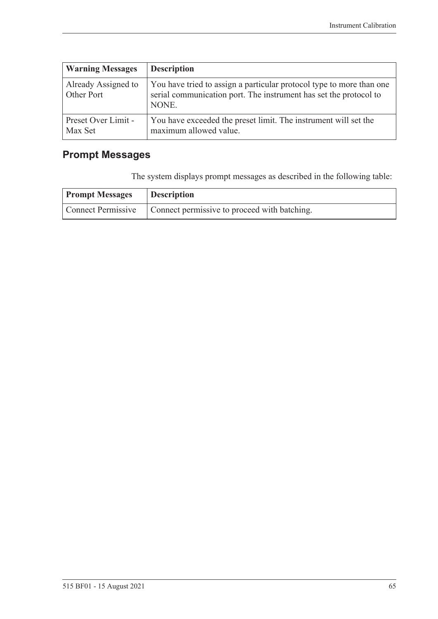| <b>Warning Messages</b>           | <b>Description</b>                                                                                                                                 |
|-----------------------------------|----------------------------------------------------------------------------------------------------------------------------------------------------|
| Already Assigned to<br>Other Port | You have tried to assign a particular protocol type to more than one<br>serial communication port. The instrument has set the protocol to<br>NONE. |
| Preset Over Limit -<br>Max Set    | You have exceeded the preset limit. The instrument will set the<br>maximum allowed value.                                                          |

### <span id="page-74-0"></span>**Prompt Messages**

The system displays prompt messages as described in the following table:

| <b>Prompt Messages</b> | <b>Description</b>                           |
|------------------------|----------------------------------------------|
| Connect Permissive     | Connect permissive to proceed with batching. |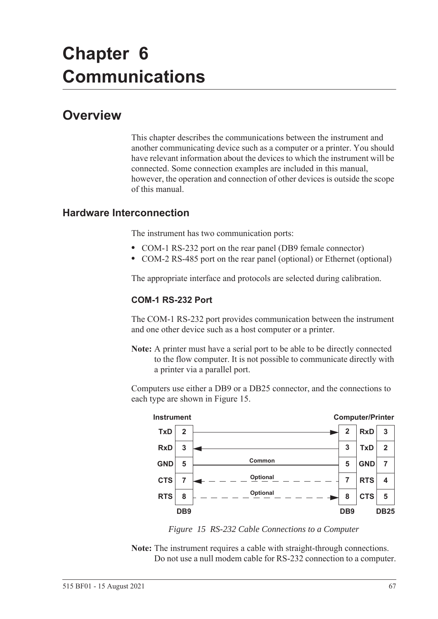## **Chapter 6 Communications**

### **Overview**

<span id="page-76-2"></span>This chapter describes the communications between the instrument and another communicating device such as a computer or a printer. You should have relevant information about the devices to which the instrument will be connected. Some connection examples are included in this manual, however, the operation and connection of other devices is outside the scope of this manual.

#### **Hardware Interconnection**

<span id="page-76-3"></span>The instrument has two communication ports:

- **•** COM-1 RS-232 port on the rear panel (DB9 female connector)
- **•** COM-2 RS-485 port on the rear panel (optional) or Ethernet (optional)

The appropriate interface and protocols are selected during calibration.

#### <span id="page-76-1"></span>**COM-1 RS-232 Port**

The COM-1 RS-232 port provides communication between the instrument and one other device such as a host computer or a printer.

**Note:** A printer must have a serial port to be able to be directly connected to the flow computer. It is not possible to communicate directly with a printer via a parallel port.

Computers use either a DB9 or a DB25 connector, and the connections to each type are shown in [Figure 15.](#page-76-0)



*Figure 15 RS-232 Cable Connections to a Computer*

<span id="page-76-0"></span>**Note:** The instrument requires a cable with straight-through connections. Do not use a null modem cable for RS-232 connection to a computer.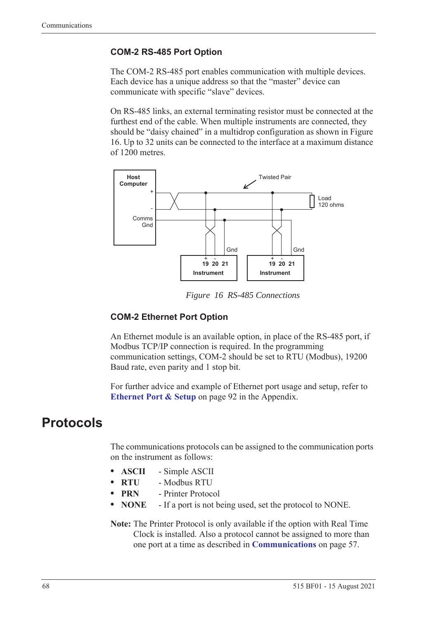#### <span id="page-77-1"></span>**COM-2 RS-485 Port Option**

The COM-2 RS-485 port enables communication with multiple devices. Each device has a unique address so that the "master" device can communicate with specific "slave" devices.

On RS-485 links, an external terminating resistor must be connected at the furthest end of the cable. When multiple instruments are connected, they should be "daisy chained" in a multidrop configuration as shown in Figure [16](#page-77-0). Up to 32 units can be connected to the interface at a maximum distance of 1200 metres.



<span id="page-77-3"></span>*Figure 16 RS-485 Connections*

#### <span id="page-77-0"></span>**COM-2 Ethernet Port Option**

An Ethernet module is an available option, in place of the RS-485 port, if Modbus TCP/IP connection is required. In the programming communication settings, COM-2 should be set to RTU (Modbus), 19200 Baud rate, even parity and 1 stop bit.

<span id="page-77-2"></span>For further advice and example of Ethernet port usage and setup, refer to **[Ethernet Port & Setup](#page-101-0)** on page 92 in the Appendix.

### **Protocols**

The communications protocols can be assigned to the communication ports on the instrument as follows:

- **• ASCII** Simple ASCII
- **• RTU** Modbus RTU
- **• PRN** Printer Protocol
- **NONE** If a port is not being used, set the protocol to NONE.

**Note:** The Printer Protocol is only available if the option with Real Time Clock is installed. Also a protocol cannot be assigned to more than one port at a time as described in **[Communications](#page-66-0)** on page 57.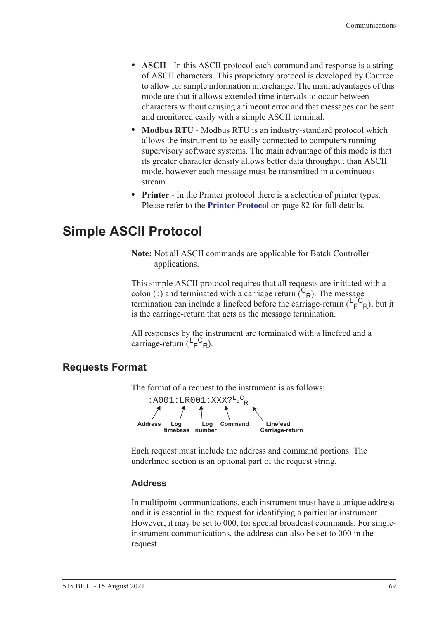- **• ASCII** In this ASCII protocol each command and response is a string of ASCII characters. This proprietary protocol is developed by Contrec to allow for simple information interchange. The main advantages of this mode are that it allows extended time intervals to occur between characters without causing a timeout error and that messages can be sent and monitored easily with a simple ASCII terminal.
- **• Modbus RTU** Modbus RTU is an industry-standard protocol which allows the instrument to be easily connected to computers running supervisory software systems. The main advantage of this mode is that its greater character density allows better data throughput than ASCII mode, however each message must be transmitted in a continuous stream.
- <span id="page-78-1"></span>**• Printer** - In the Printer protocol there is a selection of printer types. Please refer to the **[Printer Protocol](#page-91-0)** on page 82 for full details.

### **Simple ASCII Protocol**

**Note:** Not all ASCII commands are applicable for Batch Controller applications.

This simple ASCII protocol requires that all requests are initiated with a colon (:) and terminated with a carriage return  $\binom{C_R}{R}$ . The message termination can include a linefeed before the carriage-return  $(\mathsf{L}_\mathsf{F}^\mathsf{C}_{\mathsf{R}})$ , but it is the carriage-return that acts as the message termination.

<span id="page-78-2"></span>All responses by the instrument are terminated with a linefeed and a carriage-return  $\left( \begin{smallmatrix} L & C \\ F & R \end{smallmatrix} \right)$ .

#### **Requests Format**

The format of a request to the instrument is as follows:



Each request must include the address and command portions. The underlined section is an optional part of the request string.

#### <span id="page-78-0"></span>**Address**

In multipoint communications, each instrument must have a unique address and it is essential in the request for identifying a particular instrument. However, it may be set to 000, for special broadcast commands. For singleinstrument communications, the address can also be set to 000 in the request.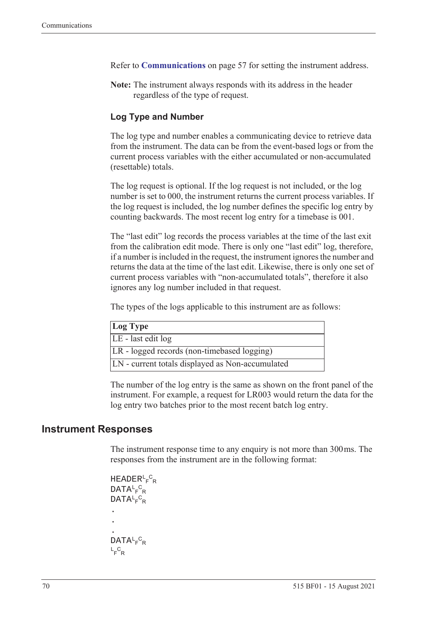Refer to **[Communications](#page-66-0)** on page 57 for setting the instrument address.

**Note:** The instrument always responds with its address in the header regardless of the type of request.

#### **Log Type and Number**

The log type and number enables a communicating device to retrieve data from the instrument. The data can be from the event-based logs or from the current process variables with the either accumulated or non-accumulated (resettable) totals.

The log request is optional. If the log request is not included, or the log number is set to 000, the instrument returns the current process variables. If the log request is included, the log number defines the specific log entry by counting backwards. The most recent log entry for a timebase is 001.

The "last edit" log records the process variables at the time of the last exit from the calibration edit mode. There is only one "last edit" log, therefore, if a number is included in the request, the instrument ignores the number and returns the data at the time of the last edit. Likewise, there is only one set of current process variables with "non-accumulated totals", therefore it also ignores any log number included in that request.

The types of the logs applicable to this instrument are as follows:

| Log Type                                         |
|--------------------------------------------------|
| LE - last edit log                               |
| LR - logged records (non-timebased logging)      |
| LN - current totals displayed as Non-accumulated |

The number of the log entry is the same as shown on the front panel of the instrument. For example, a request for LR003 would return the data for the log entry two batches prior to the most recent batch log entry.

#### **Instrument Responses**

<span id="page-79-0"></span>The instrument response time to any enquiry is not more than 300 ms. The responses from the instrument are in the following format:

```
HEADER<sup>L</sup>F<sup>C</sup>R
DATA<sup>L</sup>F<sup>C</sup>R
DATA<sup>L</sup>F<sup>C</sup>R
.
.
.
DATA<sup>L</sup>F<sup>C</sup>R
L
F
C
R
```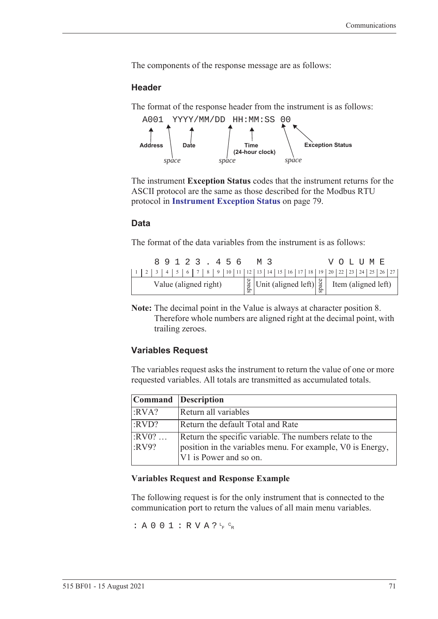The components of the response message are as follows:

#### **Header**

The format of the response header from the instrument is as follows:



<span id="page-80-0"></span>The instrument **Exception Status** codes that the instrument returns for the ASCII protocol are the same as those described for the Modbus RTU protocol in **[Instrument Exception Status](#page-88-0)** on page 79.

#### **Data**

The format of the data variables from the instrument is as follows:

|  |                                                                                                                    |                       |  |  | 89123.456 |  | M २ |                                                                                                                                           |  |  |  |  | V O L II M E |  |  |
|--|--------------------------------------------------------------------------------------------------------------------|-----------------------|--|--|-----------|--|-----|-------------------------------------------------------------------------------------------------------------------------------------------|--|--|--|--|--------------|--|--|
|  | 2   3   4   5   6   7   8   9   10   11   12   13   14   15   16   17   18   19   20   22   23   24   25   26   27 |                       |  |  |           |  |     |                                                                                                                                           |  |  |  |  |              |  |  |
|  |                                                                                                                    | Value (aligned right) |  |  |           |  |     | $\begin{bmatrix} 8 \\ 8 \\ 6 \\ 6 \end{bmatrix}$ Unit (aligned left) $\begin{bmatrix} 8 \\ 8 \\ 6 \\ 6 \end{bmatrix}$ Item (aligned left) |  |  |  |  |              |  |  |

**Note:** The decimal point in the Value is always at character position 8. Therefore whole numbers are aligned right at the decimal point, with trailing zeroes.

#### **Variables Request**

The variables request asks the instrument to return the value of one or more requested variables. All totals are transmitted as accumulated totals.

|                             | Command Description                                                                                                                             |
|-----------------------------|-------------------------------------------------------------------------------------------------------------------------------------------------|
| :RVA?                       | Return all variables                                                                                                                            |
| :RVD?                       | Return the default Total and Rate                                                                                                               |
| $\vert:RV0? \dots$<br>:RV9? | Return the specific variable. The numbers relate to the<br>position in the variables menu. For example, V0 is Energy,<br>V1 is Power and so on. |

#### **Variables Request and Response Example**

The following request is for the only instrument that is connected to the communication port to return the values of all main menu variables.

: A 0 0 1 : R V A ?  $L_F C_R$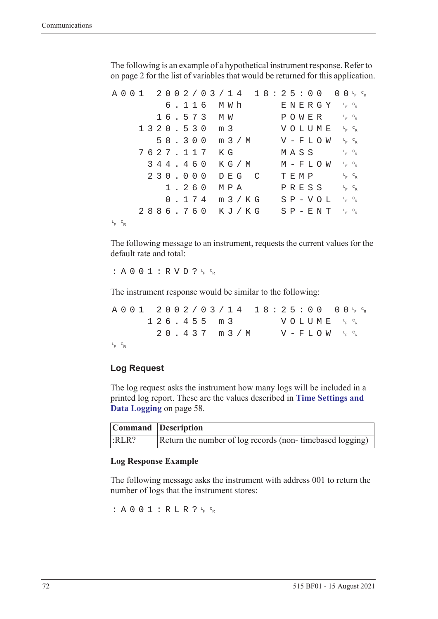The following is an example of a hypothetical instrument response. Refer to [on page 2](#page-11-0) for the list of variables that would be returned for this application.

|                 |  |  |  |  |          |  |              |  |       |  |                            |       |  | A 0 0 1 2 0 0 2 / 0 3 / 1 4 1 8 : 2 5 : 0 0 0 0 0 $\frac{1}{2}$ $\frac{6}{10}$ |                 |                 |  |
|-----------------|--|--|--|--|----------|--|--------------|--|-------|--|----------------------------|-------|--|--------------------------------------------------------------------------------|-----------------|-----------------|--|
|                 |  |  |  |  |          |  | 6.116 MWh    |  |       |  |                            |       |  | E N E R G Y                                                                    |                 |                 |  |
|                 |  |  |  |  |          |  | 16.573 MW    |  |       |  |                            | POWER |  |                                                                                | $L_{F}$ $C_{R}$ |                 |  |
|                 |  |  |  |  |          |  | 1320.530 m 3 |  |       |  |                            |       |  | VOLUME <sup>L</sup> <sub>R</sub> <sup>C</sup> R                                |                 |                 |  |
|                 |  |  |  |  |          |  |              |  |       |  | 58.300 m 3 / M V - F L O W |       |  |                                                                                | $L_{F}$ $C_{R}$ |                 |  |
|                 |  |  |  |  | 7627.117 |  | K G          |  |       |  |                            | MASS  |  |                                                                                |                 | $L_{F}$ $C_{R}$ |  |
|                 |  |  |  |  |          |  |              |  |       |  | 344.460 KG/M M-FLOW        |       |  |                                                                                | $L_F$ $C_R$     |                 |  |
|                 |  |  |  |  | 230.000  |  |              |  | DEG C |  | T E M P                    |       |  |                                                                                | $L_F$ $C_R$     |                 |  |
|                 |  |  |  |  | 1.260    |  | МРА          |  |       |  |                            | PRESS |  |                                                                                |                 | $L_{F}$ $C_{R}$ |  |
|                 |  |  |  |  |          |  |              |  |       |  | $0.174$ m $3/KG$ SP-VOL    |       |  |                                                                                | $L_F$ $C_R$     |                 |  |
|                 |  |  |  |  |          |  |              |  |       |  |                            |       |  | 2886.760 KJ/KG SP-ENT F <sup>c</sup> r                                         |                 |                 |  |
| $L_{F}$ $C_{R}$ |  |  |  |  |          |  |              |  |       |  |                            |       |  |                                                                                |                 |                 |  |

The following message to an instrument, requests the current values for the default rate and total:

: A 0 0 1 : R V D ?  $L_F$   $C_R$ 

The instrument response would be similar to the following:

A001 2002/03/14 18:25:00  $F$   $\circ$ <sub>R</sub> 126.455 m3 VOLUME <sup>L</sup>  $F$   $\circ$ <sub>R</sub> 20.437 m3/M V-FLOW <sup>L</sup> <sup>F</sup> <sup>C</sup> R L <sup>F</sup> <sup>C</sup> R

#### **Log Request**

The log request asks the instrument how many logs will be included in a printed log report. These are the values described in **[Time Settings and](#page-67-0)  [Data Logging](#page-67-0)** on page 58.

|      | Command Description                                      |
|------|----------------------------------------------------------|
| RLR? | Return the number of log records (non-timebased logging) |

#### **Log Response Example**

The following message asks the instrument with address 001 to return the number of logs that the instrument stores:

: A 0 0 1 : R L R ?  $L_F$   $C_R$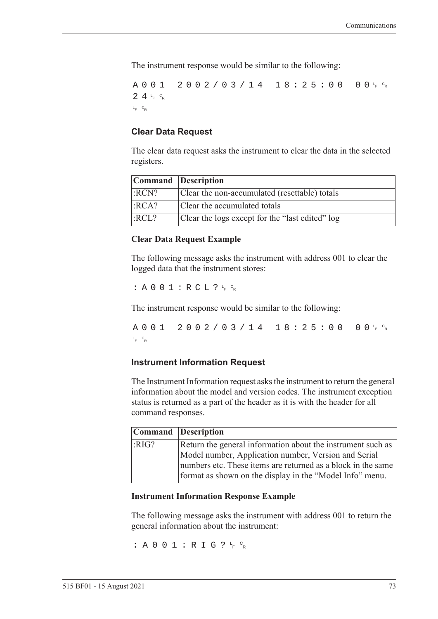The instrument response would be similar to the following:

A001 2002/03/14 18:25:00  $F$   $C_R$  $24r$ <sub>F</sub>  $c$ <sub>R</sub> L <sup>F</sup> <sup>C</sup> R

#### **Clear Data Request**

The clear data request asks the instrument to clear the data in the selected registers.

| Command Description |                                                 |
|---------------------|-------------------------------------------------|
| ERCN?               | Clear the non-accumulated (resettable) totals   |
| :RCA?               | Clear the accumulated totals                    |
| :RCL?               | Clear the logs except for the "last edited" log |

#### **Clear Data Request Example**

The following message asks the instrument with address 001 to clear the logged data that the instrument stores:

: A 0 0 1 : R C L ?  $L_F$   $c_R$ 

The instrument response would be similar to the following:

A001 2002/03/14 18:25:00  $F$   $C_R$ L <sup>F</sup> <sup>C</sup> R

#### <span id="page-82-0"></span>**Instrument Information Request**

The Instrument Information request asks the instrument to return the general information about the model and version codes. The instrument exception status is returned as a part of the header as it is with the header for all command responses.

| Command Description        |                                                              |
|----------------------------|--------------------------------------------------------------|
| $\mathsf{I}:\mathsf{RIG}?$ | Return the general information about the instrument such as  |
|                            | Model number, Application number, Version and Serial         |
|                            | numbers etc. These items are returned as a block in the same |
|                            | format as shown on the display in the "Model Info" menu.     |

#### **Instrument Information Response Example**

The following message asks the instrument with address 001 to return the general information about the instrument:

 $: A 0 0 1 : R I G ? L F c R$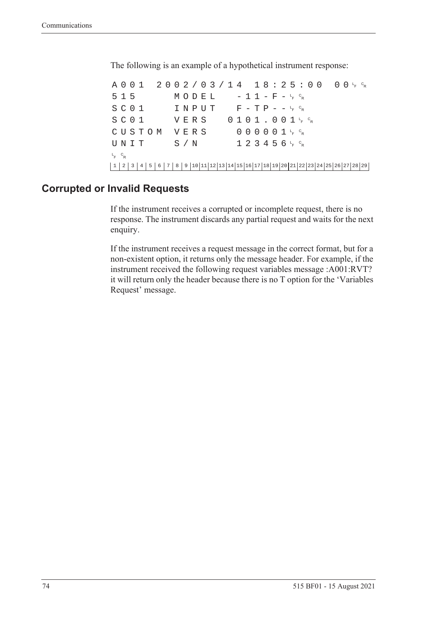The following is an example of a hypothetical instrument response:

A001 2002/03/14 18:25:00  $F$   $\circ$ <sub>R</sub>  $515$   $MODEL$   $-11-F F$   $R$  $S$  C O  $1$  I N P U T F - T P - - <sup>L</sup><sub>F</sub> <sup>C</sup>R  $S$  C O  $1$  V E R S O  $1$  O  $1$  J  $1$  , O  $0$   $1$   $1$   $1$   $6$   $8$ CUSTOM VERS 000001<sup>L</sup>F<sup>C</sup>R  $\texttt{UNIT}$  S/N 123456<sup>L</sup><sub>F</sub>  $\texttt{C}_{\texttt{R}}$ L <sup>F</sup> <sup>C</sup> R 1 2 3 4 5 6 7 8 9 10 11 12 13 14 15 16 17 18 19 20 21 22 23 24 25 26 27 28 29

#### **Corrupted or Invalid Requests**

If the instrument receives a corrupted or incomplete request, there is no response. The instrument discards any partial request and waits for the next enquiry.

If the instrument receives a request message in the correct format, but for a non-existent option, it returns only the message header. For example, if the instrument received the following request variables message :A001:RVT? it will return only the header because there is no T option for the 'Variables Request' message.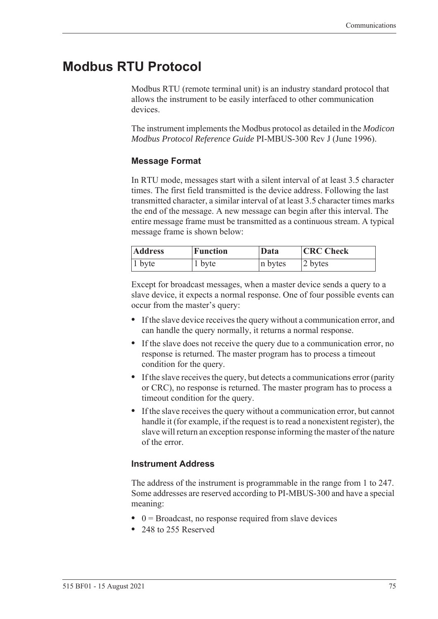### **Modbus RTU Protocol**

<span id="page-84-0"></span>Modbus RTU (remote terminal unit) is an industry standard protocol that allows the instrument to be easily interfaced to other communication devices.

The instrument implements the Modbus protocol as detailed in the *Modicon Modbus Protocol Reference Guide* PI-MBUS-300 Rev J (June 1996).

#### **Message Format**

In RTU mode, messages start with a silent interval of at least 3.5 character times. The first field transmitted is the device address. Following the last transmitted character, a similar interval of at least 3.5 character times marks the end of the message. A new message can begin after this interval. The entire message frame must be transmitted as a continuous stream. A typical message frame is shown below:

| <b>Address</b> | <b>Function</b> | Data    | <b>CRC</b> Check |
|----------------|-----------------|---------|------------------|
| $ 1$ byte      | 1 byte          | n bytes | 2 bytes          |

Except for broadcast messages, when a master device sends a query to a slave device, it expects a normal response. One of four possible events can occur from the master's query:

- **•** If the slave device receives the query without a communication error, and can handle the query normally, it returns a normal response.
- **•** If the slave does not receive the query due to a communication error, no response is returned. The master program has to process a timeout condition for the query.
- **•** If the slave receives the query, but detects a communications error (parity or CRC), no response is returned. The master program has to process a timeout condition for the query.
- **•** If the slave receives the query without a communication error, but cannot handle it (for example, if the request is to read a nonexistent register), the slave will return an exception response informing the master of the nature of the error.

#### **Instrument Address**

The address of the instrument is programmable in the range from 1 to 247. Some addresses are reserved according to PI-MBUS-300 and have a special meaning:

- 0 = Broadcast, no response required from slave devices
- **•** 248 to 255 Reserved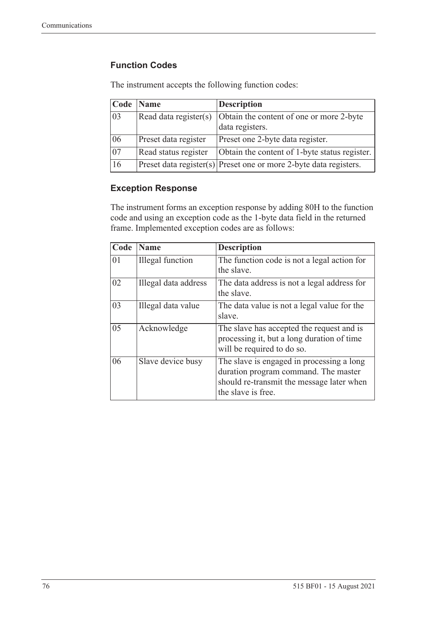#### **Function Codes**

| Code            | <b>Name</b>           | <b>Description</b>                                                    |
|-----------------|-----------------------|-----------------------------------------------------------------------|
| 03              | Read data register(s) | Obtain the content of one or more 2-byte<br>data registers.           |
| 06              | Preset data register  | Preset one 2-byte data register.                                      |
| $\overline{07}$ | Read status register  | Obtain the content of 1-byte status register.                         |
| 16              |                       | $ $ Preset data register(s) Preset one or more 2-byte data registers. |

The instrument accepts the following function codes:

#### **Exception Response**

The instrument forms an exception response by adding 80H to the function code and using an exception code as the 1-byte data field in the returned frame. Implemented exception codes are as follows:

| Code | <b>Name</b>             | <b>Description</b>                                                                                                                                   |
|------|-------------------------|------------------------------------------------------------------------------------------------------------------------------------------------------|
| 01   | <b>Illegal</b> function | The function code is not a legal action for<br>the slave.                                                                                            |
| 02   | Illegal data address    | The data address is not a legal address for<br>the slave.                                                                                            |
| 03   | Illegal data value      | The data value is not a legal value for the<br>slave.                                                                                                |
| 05   | Acknowledge             | The slave has accepted the request and is<br>processing it, but a long duration of time<br>will be required to do so.                                |
| 06   | Slave device busy       | The slave is engaged in processing a long<br>duration program command. The master<br>should re-transmit the message later when<br>the slave is free. |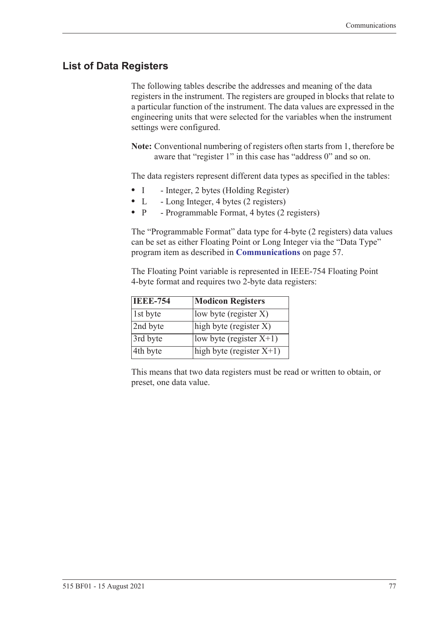#### **List of Data Registers**

The following tables describe the addresses and meaning of the data registers in the instrument. The registers are grouped in blocks that relate to a particular function of the instrument. The data values are expressed in the engineering units that were selected for the variables when the instrument settings were configured.

**Note:** Conventional numbering of registers often starts from 1, therefore be aware that "register 1" in this case has "address 0" and so on.

The data registers represent different data types as specified in the tables:

- I Integer, 2 bytes (Holding Register)
- L Long Integer, 4 bytes (2 registers)
- P Programmable Format, 4 bytes (2 registers)

The "Programmable Format" data type for 4-byte (2 registers) data values can be set as either Floating Point or Long Integer via the "Data Type" program item as described in **[Communications](#page-66-0)** on page 57.

The Floating Point variable is represented in IEEE-754 Floating Point 4-byte format and requires two 2-byte data registers:

| <b>IEEE-754</b> | <b>Modicon Registers</b>                       |
|-----------------|------------------------------------------------|
| 1st byte        | low byte (register X)                          |
| 2nd byte        | $\left  \text{high byte (register X)} \right $ |
| 3rd byte        | low byte (register $X+1$ )                     |
| 4th byte        | high byte (register $X+1$ )                    |

This means that two data registers must be read or written to obtain, or preset, one data value.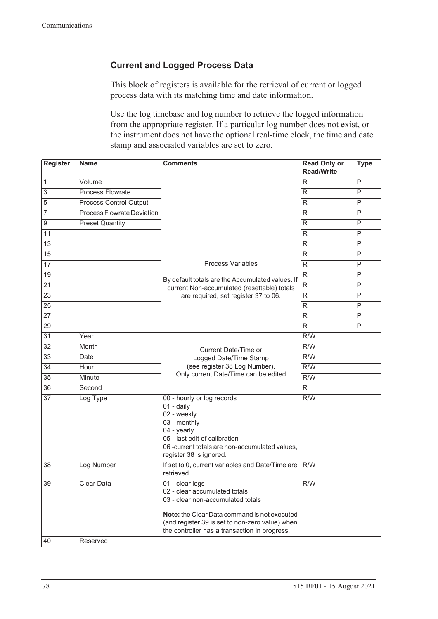#### **Current and Logged Process Data**

This block of registers is available for the retrieval of current or logged process data with its matching time and date information.

Use the log timebase and log number to retrieve the logged information from the appropriate register. If a particular log number does not exist, or the instrument does not have the optional real-time clock, the time and date stamp and associated variables are set to zero.

| <b>Register</b> | <b>Name</b>                | <b>Comments</b>                                                                                                                                                                                                                           | <b>Read Only or</b><br><b>Read/Write</b> | <b>Type</b>    |
|-----------------|----------------------------|-------------------------------------------------------------------------------------------------------------------------------------------------------------------------------------------------------------------------------------------|------------------------------------------|----------------|
| $\overline{1}$  | Volume                     |                                                                                                                                                                                                                                           | R                                        | P              |
| $\overline{3}$  | <b>Process Flowrate</b>    |                                                                                                                                                                                                                                           | $\mathsf{R}$                             | P              |
| 5               | Process Control Output     |                                                                                                                                                                                                                                           | R                                        | P              |
| $\overline{7}$  | Process Flowrate Deviation |                                                                                                                                                                                                                                           | $\mathsf{R}$                             | P              |
| $9$             | <b>Preset Quantity</b>     |                                                                                                                                                                                                                                           | $\mathsf{R}$                             | P              |
| 11              |                            |                                                                                                                                                                                                                                           | R                                        | P              |
| 13              |                            |                                                                                                                                                                                                                                           | $\mathsf{R}$                             | P              |
| 15              |                            |                                                                                                                                                                                                                                           | R                                        | P              |
| 17              |                            | <b>Process Variables</b>                                                                                                                                                                                                                  | R                                        | P              |
| 19              |                            | By default totals are the Accumulated values. If                                                                                                                                                                                          | ${\sf R}$                                | $\mathsf{P}$   |
| $\overline{21}$ |                            | current Non-accumulated (resettable) totals                                                                                                                                                                                               | $\overline{\mathsf{R}}$                  | P              |
| 23              |                            | are required, set register 37 to 06.                                                                                                                                                                                                      | R                                        | P              |
| 25              |                            |                                                                                                                                                                                                                                           | $\mathsf{R}$                             | $\overline{P}$ |
| $\overline{27}$ |                            |                                                                                                                                                                                                                                           | $\mathsf{R}$                             | P              |
| 29              |                            |                                                                                                                                                                                                                                           | R                                        | P              |
| 31              | Year                       |                                                                                                                                                                                                                                           | R/W                                      | T              |
| $\overline{32}$ | <b>Month</b>               | Current Date/Time or<br>Logged Date/Time Stamp                                                                                                                                                                                            | R/W                                      | ı              |
| 33              | Date                       |                                                                                                                                                                                                                                           | R/W                                      | ı              |
| 34              | Hour                       | (see register 38 Log Number).                                                                                                                                                                                                             | R/W                                      | I              |
| $\overline{35}$ | Minute                     | Only current Date/Time can be edited                                                                                                                                                                                                      | R/W                                      | I              |
| 36              | Second                     |                                                                                                                                                                                                                                           | R                                        | I              |
| 37              | Log Type                   | 00 - hourly or log records<br>$01 - \text{daily}$<br>02 - weekly<br>03 - monthly<br>04 - yearly<br>05 - last edit of calibration<br>06 - current totals are non-accumulated values,<br>register 38 is ignored.                            | R/W                                      | I              |
| 38              | Log Number                 | If set to 0, current variables and Date/Time are<br>retrieved                                                                                                                                                                             | R/W                                      | $\overline{1}$ |
| 39              | Clear Data                 | 01 - clear logs<br>02 - clear accumulated totals<br>03 - clear non-accumulated totals<br>Note: the Clear Data command is not executed<br>(and register 39 is set to non-zero value) when<br>the controller has a transaction in progress. | R/W                                      | I              |
| 40              | Reserved                   |                                                                                                                                                                                                                                           |                                          |                |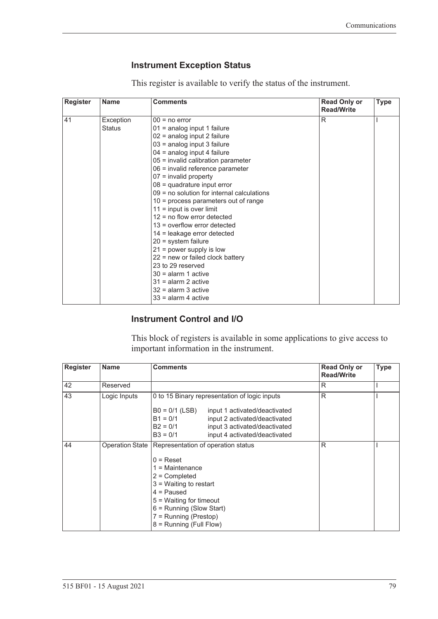#### <span id="page-88-1"></span><span id="page-88-0"></span>**Instrument Exception Status**

This register is available to verify the status of the instrument.

| <b>Register</b> | <b>Comments</b><br><b>Name</b> |                                              | <b>Read Only or</b><br><b>Read/Write</b> | <b>Type</b> |
|-----------------|--------------------------------|----------------------------------------------|------------------------------------------|-------------|
| 41              | Exception                      | $00 = no error$                              | R                                        |             |
|                 | <b>Status</b>                  | $01$ = analog input 1 failure                |                                          |             |
|                 |                                | 02 = analog input 2 failure                  |                                          |             |
|                 |                                | 03 = analog input 3 failure                  |                                          |             |
|                 |                                | 04 = analog input 4 failure                  |                                          |             |
|                 |                                | 05 = invalid calibration parameter           |                                          |             |
|                 |                                | 06 = invalid reference parameter             |                                          |             |
|                 |                                | $07$ = invalid property                      |                                          |             |
|                 |                                | $08$ = quadrature input error                |                                          |             |
|                 |                                | $09$ = no solution for internal calculations |                                          |             |
|                 |                                | $10$ = process parameters out of range       |                                          |             |
|                 |                                | $11 =$ input is over limit                   |                                          |             |
|                 |                                | $12$ = no flow error detected                |                                          |             |
|                 |                                | $13$ = overflow error detected               |                                          |             |
|                 |                                | $14$ = leakage error detected                |                                          |             |
|                 |                                | $20 =$ system failure                        |                                          |             |
|                 |                                | $21$ = power supply is low                   |                                          |             |
|                 |                                | $22$ = new or failed clock battery           |                                          |             |
|                 |                                | 23 to 29 reserved                            |                                          |             |
|                 |                                | $30 =$ alarm 1 active                        |                                          |             |
|                 |                                | $31$ = alarm 2 active                        |                                          |             |
|                 |                                | $32$ = alarm 3 active                        |                                          |             |
|                 |                                | $33$ = alarm 4 active                        |                                          |             |

#### **Instrument Control and I/O**

This block of registers is available in some applications to give access to important information in the instrument.

| <b>Register</b> | <b>Name</b>  | <b>Comments</b>                                                                                                                                                                                                                                                        | <b>Read Only or</b><br><b>Read/Write</b> | <b>Type</b> |
|-----------------|--------------|------------------------------------------------------------------------------------------------------------------------------------------------------------------------------------------------------------------------------------------------------------------------|------------------------------------------|-------------|
| 42              | Reserved     |                                                                                                                                                                                                                                                                        | R                                        |             |
| 43              | Logic Inputs | 0 to 15 Binary representation of logic inputs<br>$B0 = 0/1$ (LSB)<br>input 1 activated/deactivated<br>$B1 = 0/1$<br>input 2 activated/deactivated<br>$B2 = 0/1$<br>input 3 activated/deactivated<br>$B3 = 0/1$<br>input 4 activated/deactivated                        | R                                        |             |
| 44              |              | Operation State   Representation of operation status<br>$0 =$ Reset<br>$1 =$ Maintenance<br>$2 =$ Completed<br>$3$ = Waiting to restart<br>$4 =$ Paused<br>$5 =$ Waiting for timeout<br>6 = Running (Slow Start)<br>7 = Running (Prestop)<br>$8$ = Running (Full Flow) | R                                        |             |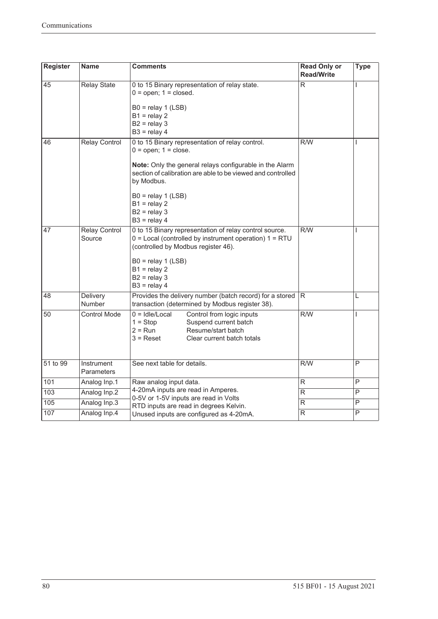| <b>Register</b> | <b>Name</b>                     | <b>Comments</b>                                                                                                                                                                                                                                                                                   | <b>Read Only or</b><br><b>Read/Write</b> | <b>Type</b> |
|-----------------|---------------------------------|---------------------------------------------------------------------------------------------------------------------------------------------------------------------------------------------------------------------------------------------------------------------------------------------------|------------------------------------------|-------------|
| 45              | <b>Relay State</b>              | 0 to 15 Binary representation of relay state.<br>$0 =$ open; $1 =$ closed.<br>$B0 =$ relay 1 (LSB)<br>$B1$ = relay 2<br>$B2 =$ relay 3<br>$B3 =$ relay 4                                                                                                                                          | R                                        | ı           |
| 46              | <b>Relay Control</b>            | 0 to 15 Binary representation of relay control.<br>$0 =$ open; $1 =$ close.<br>Note: Only the general relays configurable in the Alarm<br>section of calibration are able to be viewed and controlled<br>by Modbus.<br>$B0 =$ relay 1 (LSB)<br>$B1$ = relay 2<br>$B2 =$ relay 3<br>$B3 =$ relay 4 | R/W                                      |             |
| 47              | <b>Relay Control</b><br>Source  | 0 to 15 Binary representation of relay control source.<br>$0 =$ Local (controlled by instrument operation) $1 = RTU$<br>(controlled by Modbus register 46).<br>$B0 =$ relay 1 (LSB)<br>$B1$ = relay 2<br>$B2 =$ relay 3<br>$B3 =$ relay 4                                                         | R/W                                      | ı           |
| 48              | Delivery<br>Number              | Provides the delivery number (batch record) for a stored<br>transaction (determined by Modbus register 38).                                                                                                                                                                                       | R                                        | L           |
| 50              | <b>Control Mode</b>             | $0 =$ Idle/Local<br>Control from logic inputs<br>$1 = Stop$<br>Suspend current batch<br>Resume/start batch<br>$2 = Run$<br>$3 =$ Reset<br>Clear current batch totals                                                                                                                              | R/W                                      | ı           |
| 51 to 99        | Instrument<br><b>Parameters</b> | See next table for details.                                                                                                                                                                                                                                                                       | $\overline{R/W}$                         | P           |
| 101             | Analog Inp.1                    | Raw analog input data.                                                                                                                                                                                                                                                                            | $\overline{R}$                           | P           |
| 103             | Analog Inp.2                    | 4-20mA inputs are read in Amperes.                                                                                                                                                                                                                                                                | R                                        | P           |
| 105             | Analog Inp.3                    | 0-5V or 1-5V inputs are read in Volts<br>RTD inputs are read in degrees Kelvin.                                                                                                                                                                                                                   | R                                        | P           |
| 107             | Analog Inp.4                    | Unused inputs are configured as 4-20mA.                                                                                                                                                                                                                                                           | $\overline{\mathsf{R}}$                  | P           |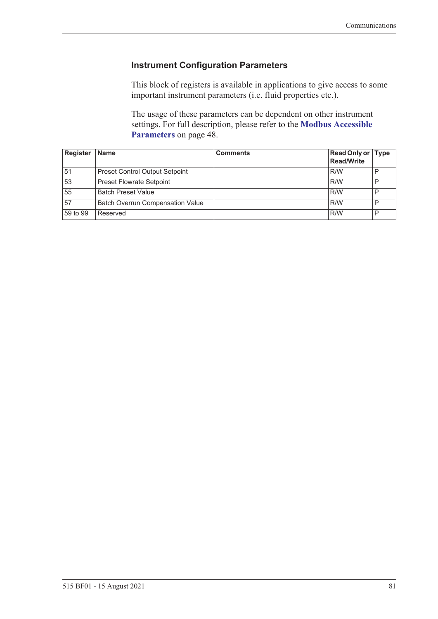#### **Instrument Configuration Parameters**

This block of registers is available in applications to give access to some important instrument parameters (i.e. fluid properties etc.).

The usage of these parameters can be dependent on other instrument settings. For full description, please refer to the **[Modbus Accessible](#page-57-0)  [Parameters](#page-57-0)** on page 48.

| <b>Register</b> | <b>Name</b>                             | <b>Comments</b> | Read Only or Type<br><b>Read/Write</b> |   |
|-----------------|-----------------------------------------|-----------------|----------------------------------------|---|
| 51              | <b>Preset Control Output Setpoint</b>   |                 | R/W                                    | D |
| 53              | <b>Preset Flowrate Setpoint</b>         |                 | R/W                                    | D |
| 55              | <b>Batch Preset Value</b>               |                 | R/W                                    | D |
| 57              | <b>Batch Overrun Compensation Value</b> |                 | R/W                                    | D |
| 59 to 99        | Reserved                                |                 | R/W                                    | D |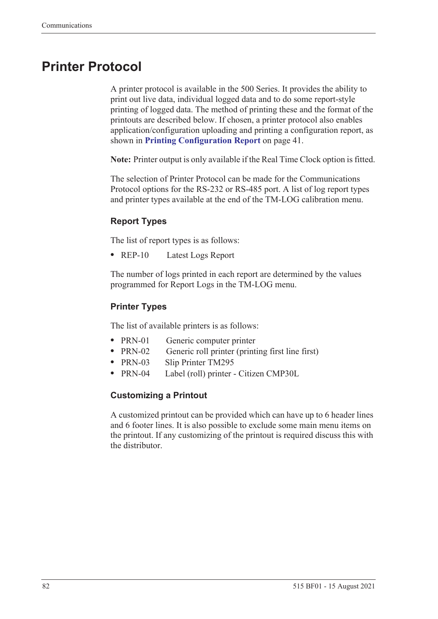### <span id="page-91-0"></span>**Printer Protocol**

<span id="page-91-2"></span>A printer protocol is available in the 500 Series. It provides the ability to print out live data, individual logged data and to do some report-style printing of logged data. The method of printing these and the format of the printouts are described below. If chosen, a printer protocol also enables application/configuration uploading and printing a configuration report, as shown in **[Printing Configuration Report](#page-50-0)** on page 41.

**Note:** Printer output is only available if the Real Time Clock option is fitted.

The selection of Printer Protocol can be made for the Communications Protocol options for the RS-232 or RS-485 port. A list of log report types and printer types available at the end of the TM-LOG calibration menu.

#### <span id="page-91-3"></span>**Report Types**

The list of report types is as follows:

**•** REP-10 Latest Logs Report

The number of logs printed in each report are determined by the values programmed for Report Logs in the TM-LOG menu.

#### <span id="page-91-4"></span>**Printer Types**

The list of available printers is as follows:

- PRN-01 Generic computer printer
- PRN-02 Generic roll printer (printing first line first)
- PRN-03 Slip Printer TM295
- **•** PRN-04 Label (roll) printer Citizen CMP30L

#### <span id="page-91-1"></span>**Customizing a Printout**

A customized printout can be provided which can have up to 6 header lines and 6 footer lines. It is also possible to exclude some main menu items on the printout. If any customizing of the printout is required discuss this with the distributor.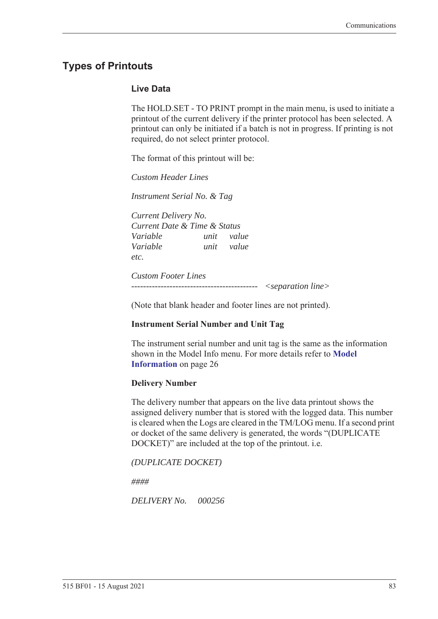#### <span id="page-92-1"></span>**Types of Printouts**

#### <span id="page-92-0"></span>**Live Data**

The HOLD.SET - TO PRINT prompt in the main menu, is used to initiate a printout of the current delivery if the printer protocol has been selected. A printout can only be initiated if a batch is not in progress. If printing is not required, do not select printer protocol.

The format of this printout will be:

*Custom Header Lines*

*Instrument Serial No. & Tag*

*Current Delivery No. Current Date & Time & Status Variable unit value Variable unit value etc.*

*Custom Footer Lines ------------------------------------------- <separation line>*

(Note that blank header and footer lines are not printed).

#### **Instrument Serial Number and Unit Tag**

The instrument serial number and unit tag is the same as the information shown in the Model Info menu. For more details refer to **[Model](#page-35-0)  [Information](#page-35-0)** on page 26

#### **Delivery Number**

The delivery number that appears on the live data printout shows the assigned delivery number that is stored with the logged data. This number is cleared when the Logs are cleared in the TM/LOG menu. If a second print or docket of the same delivery is generated, the words "(DUPLICATE DOCKET)" are included at the top of the printout. i.e.

*(DUPLICATE DOCKET)*

*####*

*DELIVERY No. 000256*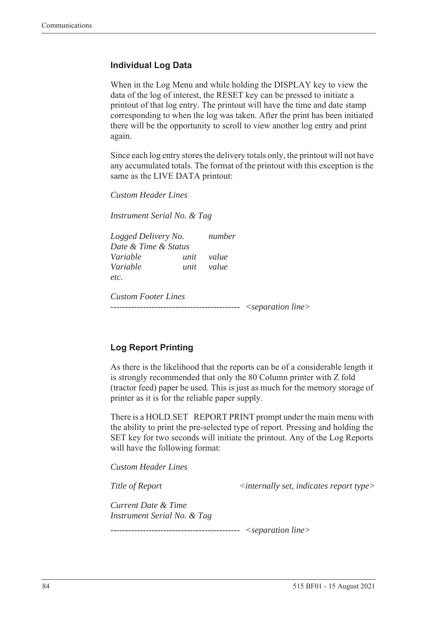#### <span id="page-93-0"></span>**Individual Log Data**

When in the Log Menu and while holding the DISPLAY key to view the data of the log of interest, the RESET key can be pressed to initiate a printout of that log entry. The printout will have the time and date stamp corresponding to when the log was taken. After the print has been initiated there will be the opportunity to scroll to view another log entry and print again.

Since each log entry stores the delivery totals only, the printout will not have any accumulated totals. The format of the printout with this exception is the same as the LIVE DATA printout:

*Custom Header Lines*

*Instrument Serial No. & Tag*

| Logged Delivery No.  |            | number |
|----------------------|------------|--------|
| Date & Time & Status |            |        |
| Variable             | unit value |        |
| Variable             | unit value |        |
| etc.                 |            |        |

*Custom Footer Lines* 

*-------------------------------------------- <separation line>*

#### <span id="page-93-1"></span>**Log Report Printing**

As there is the likelihood that the reports can be of a considerable length it is strongly recommended that only the 80 Column printer with Z fold (tractor feed) paper be used. This is just as much for the memory storage of printer as it is for the reliable paper supply.

There is a HOLD.SET REPORT PRINT prompt under the main menu with the ability to print the pre-selected type of report. Pressing and holding the SET key for two seconds will initiate the printout. Any of the Log Reports will have the following format:

*Custom Header Lines*

*Title of Report*  $\langle$  *internally set, indicates report type>* 

*Current Date & Time Instrument Serial No. & Tag*

*-------------------------------------------- <separation line>*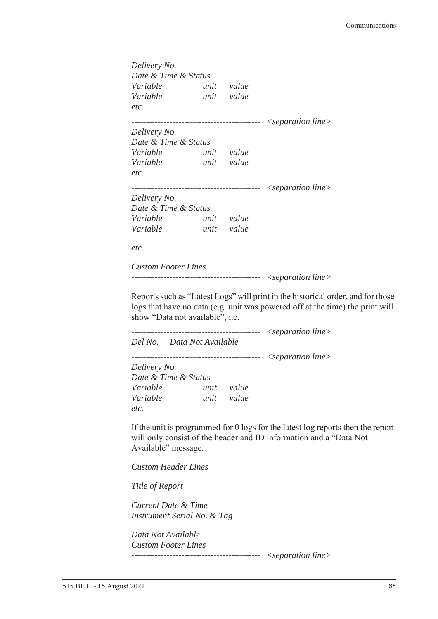| Delivery No.                                |      |            |                                                                                                                                                                  |
|---------------------------------------------|------|------------|------------------------------------------------------------------------------------------------------------------------------------------------------------------|
| Date & Time & Status<br>Variable unit value |      |            |                                                                                                                                                                  |
| Variable                                    |      | unit value |                                                                                                                                                                  |
| etc.                                        |      |            |                                                                                                                                                                  |
|                                             |      |            |                                                                                                                                                                  |
| Delivery No.                                |      |            |                                                                                                                                                                  |
| Date & Time & Status                        |      |            |                                                                                                                                                                  |
| Variable                                    |      | unit value |                                                                                                                                                                  |
| Variable                                    |      | unit value |                                                                                                                                                                  |
| etc.                                        |      |            |                                                                                                                                                                  |
|                                             |      |            |                                                                                                                                                                  |
| Delivery No.                                |      |            |                                                                                                                                                                  |
| Date & Time & Status                        |      |            |                                                                                                                                                                  |
| Variable unit value                         |      |            |                                                                                                                                                                  |
| Variable                                    |      | unit value |                                                                                                                                                                  |
|                                             |      |            |                                                                                                                                                                  |
| etc.                                        |      |            |                                                                                                                                                                  |
| <b>Custom Footer Lines</b>                  |      |            |                                                                                                                                                                  |
|                                             |      |            |                                                                                                                                                                  |
| show "Data not available", i.e.             |      |            | Reports such as "Latest Logs" will print in the historical order, and for those<br>logs that have no data (e.g. unit was powered off at the time) the print will |
| Del No. Data Not Available                  |      |            |                                                                                                                                                                  |
|                                             |      |            |                                                                                                                                                                  |
| Delivery No.<br>Date & Time & Status        |      |            |                                                                                                                                                                  |
| Variable unit value                         |      |            |                                                                                                                                                                  |
| Variable<br>etc.                            | unit | value      |                                                                                                                                                                  |
| Available" message.                         |      |            | If the unit is programmed for 0 logs for the latest log reports then the report<br>will only consist of the header and ID information and a "Data Not            |

*Custom Header Lines*

*Title of Report*

*Current Date & Time Instrument Serial No. & Tag*

*Data Not Available Custom Footer Lines -------------------------------------------- <separation line>*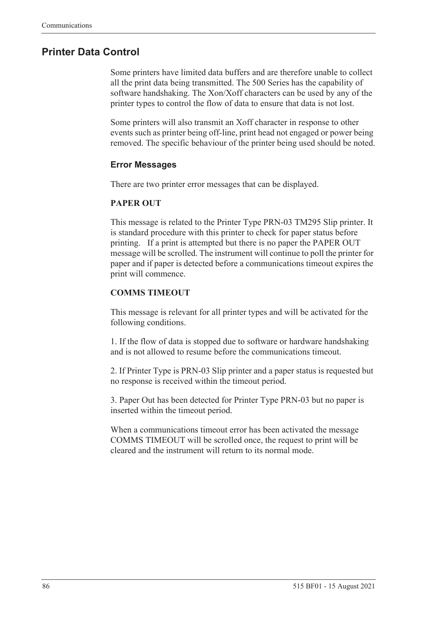#### <span id="page-95-0"></span>**Printer Data Control**

Some printers have limited data buffers and are therefore unable to collect all the print data being transmitted. The 500 Series has the capability of software handshaking. The Xon/Xoff characters can be used by any of the printer types to control the flow of data to ensure that data is not lost.

Some printers will also transmit an Xoff character in response to other events such as printer being off-line, print head not engaged or power being removed. The specific behaviour of the printer being used should be noted.

#### <span id="page-95-1"></span>**Error Messages**

There are two printer error messages that can be displayed.

#### **PAPER OUT**

This message is related to the Printer Type PRN-03 TM295 Slip printer. It is standard procedure with this printer to check for paper status before printing. If a print is attempted but there is no paper the PAPER OUT message will be scrolled. The instrument will continue to poll the printer for paper and if paper is detected before a communications timeout expires the print will commence.

#### **COMMS TIMEOUT**

This message is relevant for all printer types and will be activated for the following conditions.

1. If the flow of data is stopped due to software or hardware handshaking and is not allowed to resume before the communications timeout.

2. If Printer Type is PRN-03 Slip printer and a paper status is requested but no response is received within the timeout period.

3. Paper Out has been detected for Printer Type PRN-03 but no paper is inserted within the timeout period.

When a communications timeout error has been activated the message COMMS TIMEOUT will be scrolled once, the request to print will be cleared and the instrument will return to its normal mode.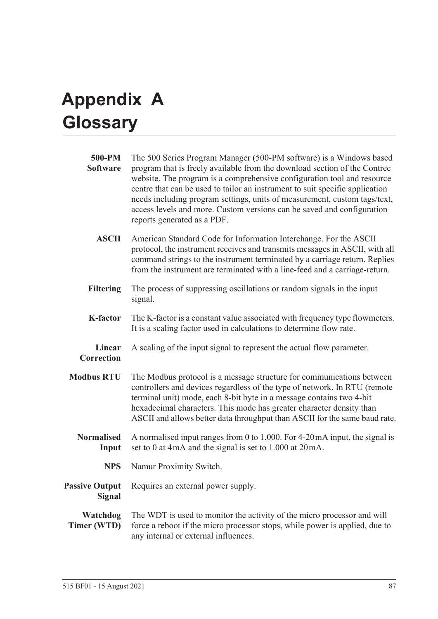# <span id="page-96-1"></span>**Appendix A Glossary**

<span id="page-96-0"></span>

| 500-PM<br><b>Software</b>              | The 500 Series Program Manager (500-PM software) is a Windows based<br>program that is freely available from the download section of the Contrec<br>website. The program is a comprehensive configuration tool and resource<br>centre that can be used to tailor an instrument to suit specific application<br>needs including program settings, units of measurement, custom tags/text,<br>access levels and more. Custom versions can be saved and configuration<br>reports generated as a PDF. |
|----------------------------------------|---------------------------------------------------------------------------------------------------------------------------------------------------------------------------------------------------------------------------------------------------------------------------------------------------------------------------------------------------------------------------------------------------------------------------------------------------------------------------------------------------|
| <b>ASCII</b>                           | American Standard Code for Information Interchange. For the ASCII<br>protocol, the instrument receives and transmits messages in ASCII, with all<br>command strings to the instrument terminated by a carriage return. Replies<br>from the instrument are terminated with a line-feed and a carriage-return.                                                                                                                                                                                      |
| <b>Filtering</b>                       | The process of suppressing oscillations or random signals in the input<br>signal.                                                                                                                                                                                                                                                                                                                                                                                                                 |
| <b>K-factor</b>                        | The K-factor is a constant value associated with frequency type flowmeters.<br>It is a scaling factor used in calculations to determine flow rate.                                                                                                                                                                                                                                                                                                                                                |
| <b>Linear</b><br>Correction            | A scaling of the input signal to represent the actual flow parameter.                                                                                                                                                                                                                                                                                                                                                                                                                             |
| <b>Modbus RTU</b>                      | The Modbus protocol is a message structure for communications between<br>controllers and devices regardless of the type of network. In RTU (remote<br>terminal unit) mode, each 8-bit byte in a message contains two 4-bit<br>hexadecimal characters. This mode has greater character density than<br>ASCII and allows better data throughput than ASCII for the same baud rate.                                                                                                                  |
| <b>Normalised</b><br>Input             | A normalised input ranges from 0 to 1.000. For 4-20 mA input, the signal is<br>set to 0 at 4mA and the signal is set to 1.000 at 20mA.                                                                                                                                                                                                                                                                                                                                                            |
| <b>NPS</b>                             | Namur Proximity Switch.                                                                                                                                                                                                                                                                                                                                                                                                                                                                           |
| <b>Passive Output</b><br><b>Signal</b> | Requires an external power supply.                                                                                                                                                                                                                                                                                                                                                                                                                                                                |
| Watchdog<br>Timer (WTD)                | The WDT is used to monitor the activity of the micro processor and will<br>force a reboot if the micro processor stops, while power is applied, due to<br>any internal or external influences.                                                                                                                                                                                                                                                                                                    |
|                                        |                                                                                                                                                                                                                                                                                                                                                                                                                                                                                                   |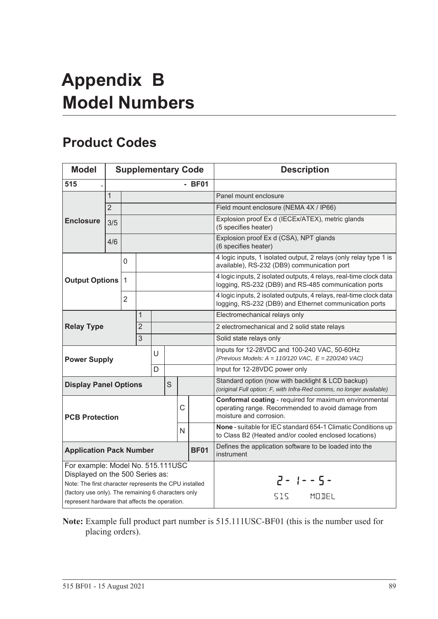## <span id="page-98-1"></span>**Appendix B Model Numbers**

### <span id="page-98-0"></span>**Product Codes**

| <b>Model</b>                                                                                                                                                                                                                            | <b>Supplementary Code</b> |                |                |   |  |   |                                                                                                                           | <b>Description</b>                                                                                                                     |
|-----------------------------------------------------------------------------------------------------------------------------------------------------------------------------------------------------------------------------------------|---------------------------|----------------|----------------|---|--|---|---------------------------------------------------------------------------------------------------------------------------|----------------------------------------------------------------------------------------------------------------------------------------|
| 515                                                                                                                                                                                                                                     |                           |                |                |   |  |   | - BF01                                                                                                                    |                                                                                                                                        |
|                                                                                                                                                                                                                                         | $\mathbf{1}$              |                |                |   |  |   |                                                                                                                           | Panel mount enclosure                                                                                                                  |
|                                                                                                                                                                                                                                         | $\overline{2}$            |                |                |   |  |   |                                                                                                                           | Field mount enclosure (NEMA 4X / IP66)                                                                                                 |
| <b>Enclosure</b>                                                                                                                                                                                                                        | 3/5                       |                |                |   |  |   |                                                                                                                           | Explosion proof Ex d (IECEx/ATEX), metric glands<br>(5 specifies heater)                                                               |
|                                                                                                                                                                                                                                         | 4/6                       |                |                |   |  |   |                                                                                                                           | Explosion proof Ex d (CSA), NPT glands<br>(6 specifies heater)                                                                         |
|                                                                                                                                                                                                                                         |                           | 0              |                |   |  |   |                                                                                                                           | 4 logic inputs, 1 isolated output, 2 relays (only relay type 1 is<br>available), RS-232 (DB9) communication port                       |
| <b>Output Options</b>                                                                                                                                                                                                                   |                           | $\mathbf{1}$   |                |   |  |   |                                                                                                                           | 4 logic inputs, 2 isolated outputs, 4 relays, real-time clock data<br>logging, RS-232 (DB9) and RS-485 communication ports             |
|                                                                                                                                                                                                                                         |                           | $\overline{2}$ |                |   |  |   |                                                                                                                           | 4 logic inputs, 2 isolated outputs, 4 relays, real-time clock data<br>logging, RS-232 (DB9) and Ethernet communication ports           |
|                                                                                                                                                                                                                                         |                           |                | $\mathbf{1}$   |   |  |   |                                                                                                                           | Electromechanical relays only                                                                                                          |
| <b>Relay Type</b>                                                                                                                                                                                                                       |                           |                | $\overline{2}$ |   |  |   |                                                                                                                           | 2 electromechanical and 2 solid state relays                                                                                           |
|                                                                                                                                                                                                                                         |                           |                | $\overline{3}$ |   |  |   |                                                                                                                           | Solid state relays only                                                                                                                |
| <b>Power Supply</b>                                                                                                                                                                                                                     |                           |                |                | U |  |   |                                                                                                                           | Inputs for 12-28VDC and 100-240 VAC, 50-60Hz<br>(Previous Models: $A = 110/120$ VAC, $E = 220/240$ VAC)                                |
|                                                                                                                                                                                                                                         |                           |                |                | D |  |   |                                                                                                                           | Input for 12-28VDC power only                                                                                                          |
| S<br><b>Display Panel Options</b>                                                                                                                                                                                                       |                           |                |                |   |  |   | Standard option (now with backlight & LCD backup)<br>(original Full option: F, with Infra-Red comms, no longer available) |                                                                                                                                        |
| <b>PCB Protection</b>                                                                                                                                                                                                                   |                           |                |                |   |  | C |                                                                                                                           | Conformal coating - required for maximum environmental<br>operating range. Recommended to avoid damage from<br>moisture and corrosion. |
|                                                                                                                                                                                                                                         |                           |                |                |   |  | N |                                                                                                                           | None - suitable for IEC standard 654-1 Climatic Conditions up<br>to Class B2 (Heated and/or cooled enclosed locations)                 |
| <b>BF01</b><br><b>Application Pack Number</b>                                                                                                                                                                                           |                           |                |                |   |  |   |                                                                                                                           | Defines the application software to be loaded into the<br>instrument                                                                   |
| For example: Model No. 515.111USC<br>Displayed on the 500 Series as:<br>Note: The first character represents the CPU installed<br>(factory use only). The remaining 6 characters only<br>represent hardware that affects the operation. |                           |                |                |   |  |   | $2 - 1 - - 5 -$<br>515<br>MODEL                                                                                           |                                                                                                                                        |

**Note:** Example full product part number is 515.111USC-BF01 (this is the number used for placing orders).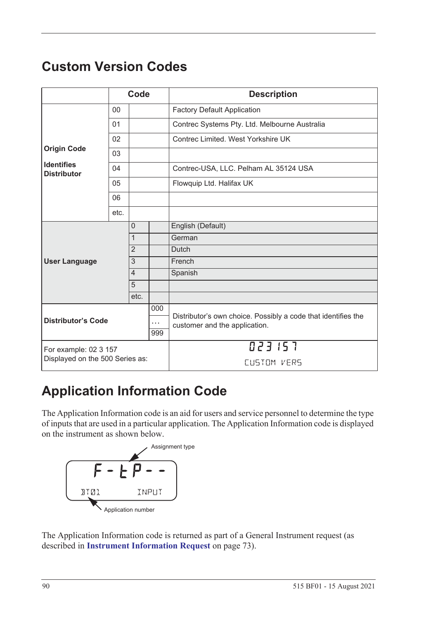### <span id="page-99-1"></span>**Custom Version Codes**

|                                         | Code                  |                |  | <b>Description</b>                                                                             |  |  |
|-----------------------------------------|-----------------------|----------------|--|------------------------------------------------------------------------------------------------|--|--|
|                                         | 00                    |                |  | <b>Factory Default Application</b>                                                             |  |  |
|                                         | 01                    |                |  | Contrec Systems Pty. Ltd. Melbourne Australia                                                  |  |  |
|                                         | 02                    |                |  | Contrec Limited, West Yorkshire UK                                                             |  |  |
| <b>Origin Code</b>                      | 03                    |                |  |                                                                                                |  |  |
| <b>Identifies</b><br><b>Distributor</b> | 04                    |                |  | Contrec-USA, LLC. Pelham AL 35124 USA                                                          |  |  |
|                                         | 05                    |                |  | Flowquip Ltd. Halifax UK                                                                       |  |  |
|                                         | 06                    |                |  |                                                                                                |  |  |
|                                         | etc.                  |                |  |                                                                                                |  |  |
|                                         |                       | $\overline{0}$ |  | English (Default)                                                                              |  |  |
|                                         |                       | $\mathbf{1}$   |  | German                                                                                         |  |  |
|                                         |                       | $\overline{2}$ |  | Dutch                                                                                          |  |  |
| <b>User Language</b>                    |                       | 3              |  | French                                                                                         |  |  |
|                                         |                       | $\overline{4}$ |  | Spanish                                                                                        |  |  |
|                                         |                       | $\overline{5}$ |  |                                                                                                |  |  |
|                                         |                       | etc.           |  |                                                                                                |  |  |
|                                         |                       | 000            |  |                                                                                                |  |  |
| <b>Distributor's Code</b><br>$\cdots$   |                       |                |  | Distributor's own choice. Possibly a code that identifies the<br>customer and the application. |  |  |
| 999                                     |                       |                |  |                                                                                                |  |  |
|                                         | For example: 02 3 157 |                |  | 023157                                                                                         |  |  |
| Displayed on the 500 Series as:         |                       |                |  | <b>CUSTOM VERS</b>                                                                             |  |  |

### **Application Information Code**

The Application Information code is an aid for users and service personnel to determine the type of inputs that are used in a particular application. The Application Information code is displayed on the instrument as shown below.

<span id="page-99-0"></span>

The Application Information code is returned as part of a General Instrument request (as described in **[Instrument Information Request](#page-82-0)** on page 73).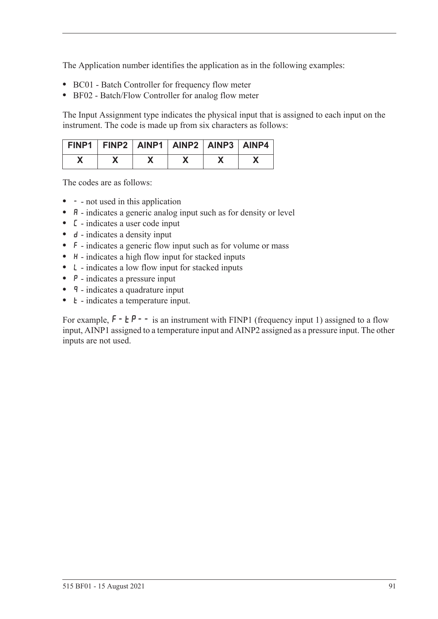The Application number identifies the application as in the following examples:

- **•** BC01 Batch Controller for frequency flow meter
- **•** BF02 Batch/Flow Controller for analog flow meter

The Input Assignment type indicates the physical input that is assigned to each input on the instrument. The code is made up from six characters as follows:

| FINP1   FINP2   AINP1   AINP2   AINP3   AINP4 |  |  |  |
|-----------------------------------------------|--|--|--|
|                                               |  |  |  |

The codes are as follows:

- - not used in this application
- **A** indicates a generic analog input such as for density or level
- **•** C indicates a user code input
- d indicates a density input
- **•** F indicates a generic flow input such as for volume or mass
- H indicates a high flow input for stacked inputs
- **•** L indicates a low flow input for stacked inputs
- **•** P indicates a pressure input
- **q** indicates a quadrature input
- *k* indicates a temperature input.

For example,  $F - tP - -$  is an instrument with FINP1 (frequency input 1) assigned to a flow input, AINP1 assigned to a temperature input and AINP2 assigned as a pressure input. The other inputs are not used.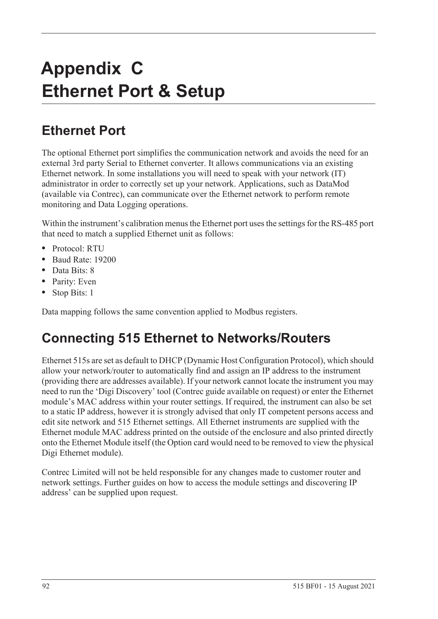## <span id="page-101-0"></span>**Appendix C Ethernet Port & Setup**

### **Ethernet Port**

The optional Ethernet port simplifies the communication network and avoids the need for an external 3rd party Serial to Ethernet converter. It allows communications via an existing Ethernet network. In some installations you will need to speak with your network (IT) administrator in order to correctly set up your network. Applications, such as DataMod (available via Contrec), can communicate over the Ethernet network to perform remote monitoring and Data Logging operations.

Within the instrument's calibration menus the Ethernet port uses the settings for the RS-485 port that need to match a supplied Ethernet unit as follows:

- **•** Protocol: RTU
- **•** Baud Rate: 19200
- **•** Data Bits: 8
- **•** Parity: Even
- **•** Stop Bits: 1

Data mapping follows the same convention applied to Modbus registers.

### **Connecting 515 Ethernet to Networks/Routers**

Ethernet 515s are set as default to DHCP (Dynamic Host Configuration Protocol), which should allow your network/router to automatically find and assign an IP address to the instrument (providing there are addresses available). If your network cannot locate the instrument you may need to run the 'Digi Discovery' tool (Contrec guide available on request) or enter the Ethernet module's MAC address within your router settings. If required, the instrument can also be set to a static IP address, however it is strongly advised that only IT competent persons access and edit site network and 515 Ethernet settings. All Ethernet instruments are supplied with the Ethernet module MAC address printed on the outside of the enclosure and also printed directly onto the Ethernet Module itself (the Option card would need to be removed to view the physical Digi Ethernet module).

Contrec Limited will not be held responsible for any changes made to customer router and network settings. Further guides on how to access the module settings and discovering IP address' can be supplied upon request.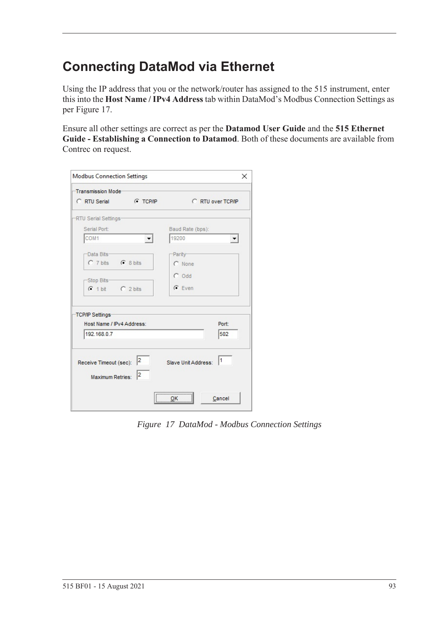### **Connecting DataMod via Ethernet**

Using the IP address that you or the network/router has assigned to the 515 instrument, enter this into the **Host Name / IPv4 Address** tab within DataMod's Modbus Connection Settings as per [Figure 17.](#page-102-0)

Ensure all other settings are correct as per the **Datamod User Guide** and the **515 Ethernet Guide - Establishing a Connection to Datamod**. Both of these documents are available from Contrec on request.

| Transmission Mode-                                   |                 |                     |                      |
|------------------------------------------------------|-----------------|---------------------|----------------------|
| C RTU Serial                                         | <b>C</b> TCP/IP | C RTU over TCP/IP   |                      |
| -RTU Serial Settings-                                |                 |                     |                      |
| Serial Port:                                         |                 | Baud Rate (bps):    |                      |
| COM1                                                 |                 | 19200               | $\blacktriangledown$ |
| -Data Bits-                                          |                 | -Parity-            |                      |
| C 7 bits C 8 bits                                    |                 | C None              |                      |
|                                                      |                 | $C$ Odd             |                      |
| -Stop Bits-                                          |                 | $G$ Even            |                      |
| $C$ 1 bit $C$ 2 bits                                 |                 |                     |                      |
| TCP/IP Settings                                      |                 |                     |                      |
| Host Name / IPv4 Address:                            |                 |                     | Port:                |
| 192.168.0.7                                          |                 |                     | 502                  |
| Receive Timeout (sec): $\vert^2$<br>Maximum Retries: | 2               | Slave Unit Address: | 11                   |
|                                                      |                 | ,                   | Cancel               |

<span id="page-102-0"></span>*Figure 17 DataMod - Modbus Connection Settings*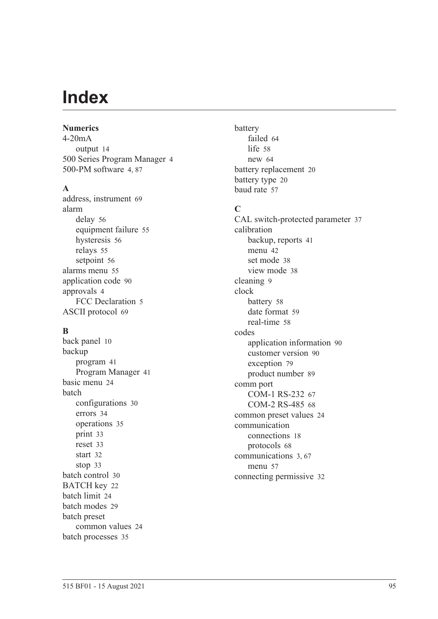## **Index**

#### **Numerics** 4-20mA output [14](#page-23-0) 500 Series Program Manage[r 4](#page-13-0) 500-PM software [4,](#page-13-0) [87](#page-96-0)

#### **A**

address, instrumen[t 69](#page-78-0) alarm dela[y 56](#page-65-0) equipment failur[e 55](#page-64-0) hysteresi[s 56](#page-65-1) relays [55](#page-64-1) setpoin[t 56](#page-65-2) alarms menu [55](#page-64-2) application cod[e 90](#page-99-0) approvals [4](#page-13-1) FCC Declaration [5](#page-14-0) ASCII protoco[l 69](#page-78-1)

#### **B**

back panel [10](#page-19-0) backup program [41](#page-50-1) Program Manage[r 41](#page-50-2) basic men[u 24](#page-33-0) batch configuration[s 30](#page-39-0) error[s 34](#page-43-0) operation[s 35](#page-44-0) print [33](#page-42-0) reset [33](#page-42-1) start [32](#page-41-0) sto[p 33](#page-42-2) batch contro[l 30](#page-39-1) BATCH ke[y 22](#page-31-0) batch limit [24](#page-33-1) batch mode[s 29](#page-38-0) batch preset common values [24](#page-33-2) batch processe[s 35](#page-44-0)

battery faile[d 64](#page-73-0) life [58](#page-67-1) new [64](#page-73-0) battery replacement [20](#page-29-0) battery type [20](#page-29-1) baud rat[e 57](#page-66-1) **C** CAL switch-protected parameter [37](#page-46-0) calibration backup, reports [41](#page-50-1) menu [42](#page-51-0) set mode [38](#page-47-0) view mode [38](#page-47-1) cleaning [9](#page-18-0) clock batter[y 58](#page-67-1) date format [59](#page-68-0) real-tim[e 58](#page-67-2) codes application information [90](#page-99-0) customer versio[n 90](#page-99-1) exception [79](#page-88-1) product numbe[r 89](#page-98-0) comm port COM-1 RS-232 [67](#page-76-1) COM-2 RS-485 [68](#page-77-1) common preset value[s 24](#page-33-2) communication connection[s 18](#page-27-0) protocols [68](#page-77-2) communication[s 3,](#page-12-0) [67](#page-76-2) menu [57](#page-66-2) connecting permissive [32](#page-41-1)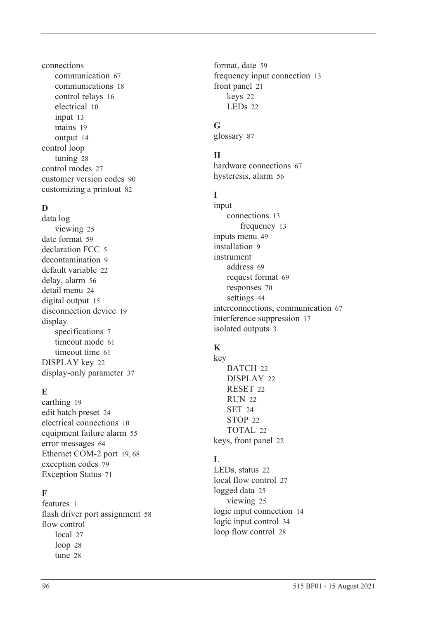connections communicatio[n 67](#page-76-3) communication[s 18](#page-27-0) control relay[s 16](#page-25-0) electrical [10](#page-19-1) inpu[t 13](#page-22-0) main[s 19](#page-28-0) outpu[t 14](#page-23-1) control loop tunin[g 28](#page-37-0) control mode[s 27](#page-36-0) customer version code[s 90](#page-99-1) customizing a printout [82](#page-91-1)

#### **D**

data log viewin[g 25](#page-34-0) date format [59](#page-68-0) declaration FCC [5](#page-14-0) decontamination [9](#page-18-0) default variable [22](#page-31-1) delay, alar[m 56](#page-65-0) detail men[u 24](#page-33-0) digital outpu[t 15](#page-24-0) disconnection device [19](#page-28-1) display specifications [7](#page-16-0) timeout mod[e 61](#page-70-0) timeout time [61](#page-70-1) DISPLAY key [22](#page-31-2) display-only parameter [37](#page-46-1)

#### **E**

earthin[g 19](#page-28-2) edit batch prese[t 24](#page-33-3) electrical connections [10](#page-19-1) equipment failure alarm [55](#page-64-0) error message[s 64](#page-73-1) Ethernet COM-2 por[t 19,](#page-28-3) [68](#page-77-3) exception codes [79](#page-88-1) Exception Status [71](#page-80-0)

#### **F**

features [1](#page-10-0) flash driver port assignmen[t 58](#page-67-3) flow control loca[l 27](#page-36-1) loo[p 28](#page-37-1) tun[e 28](#page-37-2)

format, date [59](#page-68-0) frequency input connection [13](#page-22-1) front panel [21](#page-30-0) keys [22](#page-31-3) LEDs [22](#page-31-4)

#### **G**

glossary [87](#page-96-1)

#### **H**

hardware connections [67](#page-76-3) hysteresis, alar[m 56](#page-65-1)

#### **I**

input connections [13](#page-22-0) frequency [13](#page-22-1) inputs menu [49](#page-58-0) installation [9](#page-18-1) instrument address [69](#page-78-0) request forma[t 69](#page-78-2) response[s 70](#page-79-0) setting[s 44](#page-53-0) interconnections, communication [67](#page-76-3) interference suppression [17](#page-26-0) isolated output[s 3](#page-12-1)

#### **K**

key BATC[H 22](#page-31-0) DISPLA[Y 22](#page-31-2) RESE[T 22](#page-31-5) RUN [22](#page-31-6) SET [24](#page-33-4) STOP [22](#page-31-7) TOTAL [22](#page-31-8) keys, front panel [22](#page-31-3)

#### $\mathbf{L}$

LEDs, status [22](#page-31-4) local flow control [27](#page-36-1) logged dat[a 25](#page-34-0) viewin[g 25](#page-34-1) logic input connection [14](#page-23-2) logic input contro[l 34](#page-43-1) loop flow control [28](#page-37-1)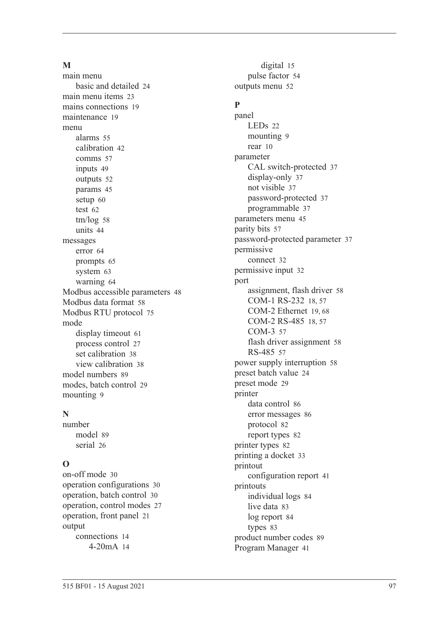main menu basic and detaile[d 24](#page-33-0) main menu items [23](#page-32-0) mains connection[s 19](#page-28-0) maintenance [19](#page-28-4) menu alarm[s 55](#page-64-2) calibratio[n 42](#page-51-0) comms [57](#page-66-2) input[s 49](#page-58-0) output[s 52](#page-61-0) params [45](#page-54-0) setu[p 60](#page-69-1) test [62](#page-71-0) tm/lo[g 58](#page-67-4) unit[s 44](#page-53-1) messages erro[r 64](#page-73-1) prompt[s 65](#page-74-0) syste[m 63](#page-72-0) warnin[g 64](#page-73-2) Modbus accessible parameters [48](#page-57-0) Modbus data forma[t 58](#page-67-5) Modbus RTU protoco[l 75](#page-84-0) mode display timeou[t 61](#page-70-0) process contro[l 27](#page-36-0) set calibration [38](#page-47-0) view calibration [38](#page-47-1) model number[s 89](#page-98-1) modes, batch contro[l 29](#page-38-0) mountin[g 9](#page-18-2)

#### **N**

number mode[l 89](#page-98-1) seria[l 26](#page-35-1)

#### **O**

on-off mode [30](#page-39-2) operation configurations [30](#page-39-0) operation, batch contro[l 30](#page-39-1) operation, control modes [27](#page-36-0) operation, front panel [21](#page-30-0) output connection[s 14](#page-23-1) 4-20m[A 14](#page-23-0)

**M**<br> **Example 2021**<br> **Example 2021**<br> **Example 2021**<br> **Example 2021**<br> **Example 2021**<br> **Example 2021**<br> **Example 2021**<br> **Example 2021**<br> **Example 2021**<br> **Example 2021**<br> **Example 2021**<br> **Example 2021**<br> **Example 2021**<br> **Example** digital [15](#page-24-0) pulse facto[r 54](#page-63-0) outputs menu [52](#page-61-0) **P** panel LEDs [22](#page-31-4) mounting [9](#page-18-2) rear [10](#page-19-0) parameter CAL switch-protected [37](#page-46-0) display-only [37](#page-46-1) not visibl[e 37](#page-46-2) password-protected [37](#page-46-3) programmable [37](#page-46-4) parameters men[u 45](#page-54-0) parity bit[s 57](#page-66-3) password-protected parameter [37](#page-46-3) permissive connec[t 32](#page-41-1) permissive input [32](#page-41-2) port assignment, flash driver [58](#page-67-3) COM-1 RS-232 [18,](#page-27-1) [57](#page-66-4) COM-2 Ethernet [19,](#page-28-3) [68](#page-77-3) COM-2 RS-485 [18,](#page-27-2) [57](#page-66-5) COM-[3 57](#page-66-6) flash driver assignment [58](#page-67-3) RS-485 [57](#page-66-7) power supply interruption [58](#page-67-1) preset batch value [24](#page-33-3) preset mod[e 29](#page-38-1) printer data control [86](#page-95-0) error messages [86](#page-95-1) protocol [82](#page-91-2) report types [82](#page-91-3) printer type[s 82](#page-91-4) printing a docke[t 33](#page-42-0) printout configuration repor[t 41](#page-50-0) printouts individual logs [84](#page-93-0) live data [83](#page-92-0) log report [84](#page-93-1) type[s 83](#page-92-1) product number codes [89](#page-98-0) Program Manager [41](#page-50-2)